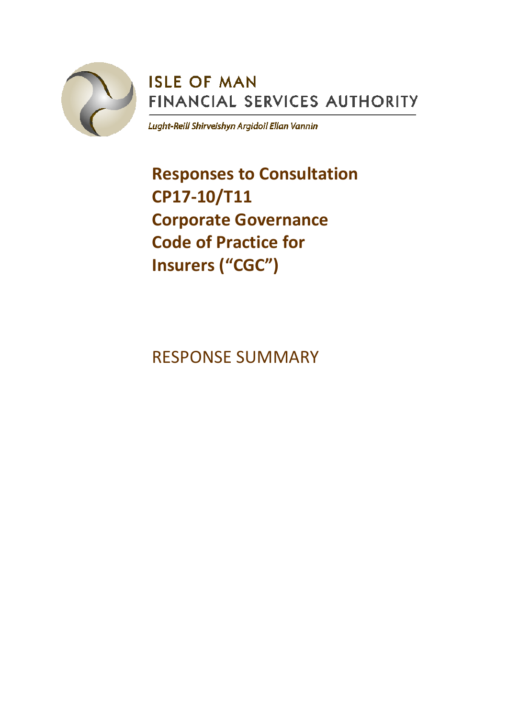

# **ISLE OF MAN** FINANCIAL SERVICES AUTHORITY

Lught-Reill Shirveishyn Argidoil Ellan Vannin

**Responses to Consultation CP17-10/T11 Corporate Governance Code of Practice for Insurers ("CGC")**

RESPONSE SUMMARY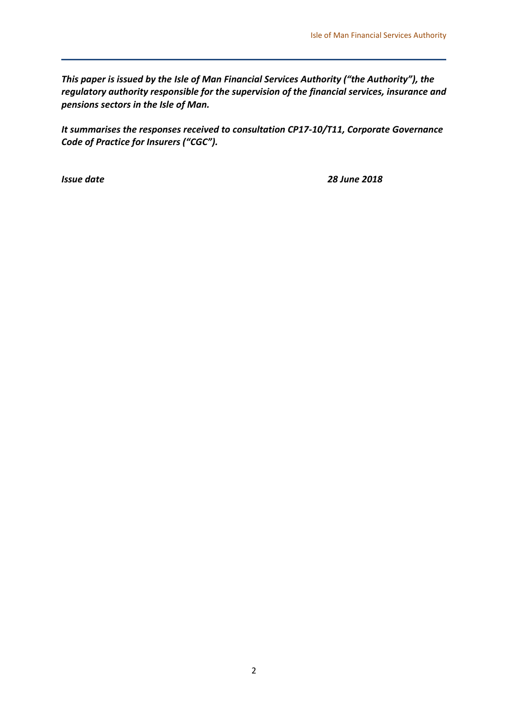*This paper is issued by the Isle of Man Financial Services Authority ("the Authority"), the regulatory authority responsible for the supervision of the financial services, insurance and pensions sectors in the Isle of Man.* 

*It summarises the responses received to consultation CP17-10/T11, Corporate Governance Code of Practice for Insurers ("CGC").*

*Issue date 28 June 2018*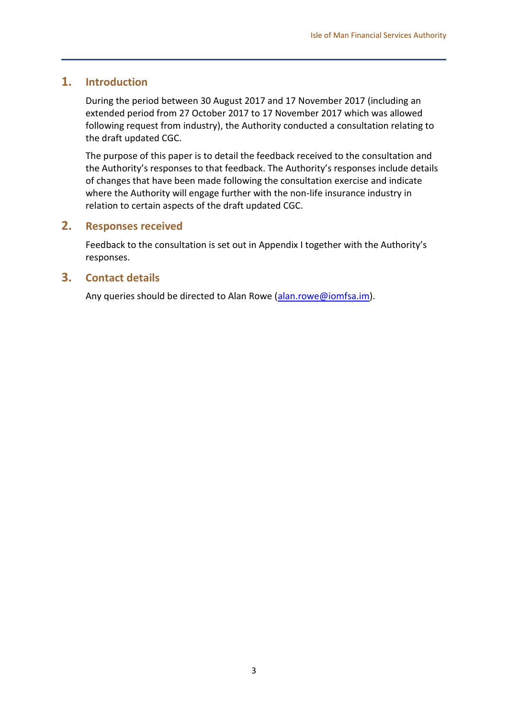#### **1. Introduction**

During the period between 30 August 2017 and 17 November 2017 (including an extended period from 27 October 2017 to 17 November 2017 which was allowed following request from industry), the Authority conducted a consultation relating to the draft updated CGC.

The purpose of this paper is to detail the feedback received to the consultation and the Authority's responses to that feedback. The Authority's responses include details of changes that have been made following the consultation exercise and indicate where the Authority will engage further with the non-life insurance industry in relation to certain aspects of the draft updated CGC.

#### **2. Responses received**

Feedback to the consultation is set out in Appendix I together with the Authority's responses.

#### **3. Contact details**

Any queries should be directed to Alan Rowe [\(alan.rowe@iomfsa.im\)](mailto:alan.rowe@iomfsa.im).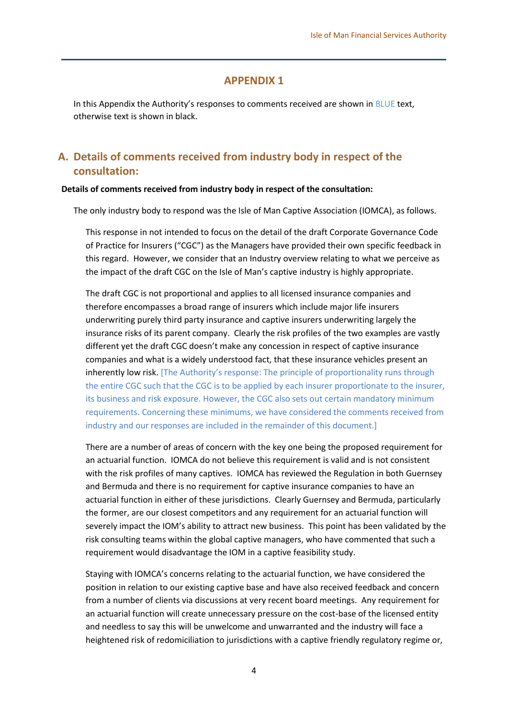#### **APPENDIX 1**

In this Appendix the Authority's responses to comments received are shown in BLUE text, otherwise text is shown in black.

### **A. Details of comments received from industry body in respect of the consultation:**

#### **Details of comments received from industry body in respect of the consultation:**

The only industry body to respond was the Isle of Man Captive Association (IOMCA), as follows.

This response in not intended to focus on the detail of the draft Corporate Governance Code of Practice for Insurers ("CGC") as the Managers have provided their own specific feedback in this regard. However, we consider that an Industry overview relating to what we perceive as the impact of the draft CGC on the Isle of Man's captive industry is highly appropriate.

The draft CGC is not proportional and applies to all licensed insurance companies and therefore encompasses a broad range of insurers which include major life insurers underwriting purely third party insurance and captive insurers underwriting largely the insurance risks of its parent company. Clearly the risk profiles of the two examples are vastly different yet the draft CGC doesn't make any concession in respect of captive insurance companies and what is a widely understood fact, that these insurance vehicles present an inherently low risk. [The Authority's response: The principle of proportionality runs through the entire CGC such that the CGC is to be applied by each insurer proportionate to the insurer, its business and risk exposure. However, the CGC also sets out certain mandatory minimum requirements. Concerning these minimums, we have considered the comments received from industry and our responses are included in the remainder of this document.]

There are a number of areas of concern with the key one being the proposed requirement for an actuarial function. IOMCA do not believe this requirement is valid and is not consistent with the risk profiles of many captives. IOMCA has reviewed the Regulation in both Guernsey and Bermuda and there is no requirement for captive insurance companies to have an actuarial function in either of these jurisdictions. Clearly Guernsey and Bermuda, particularly the former, are our closest competitors and any requirement for an actuarial function will severely impact the IOM's ability to attract new business. This point has been validated by the risk consulting teams within the global captive managers, who have commented that such a requirement would disadvantage the IOM in a captive feasibility study.

Staying with IOMCA's concerns relating to the actuarial function, we have considered the position in relation to our existing captive base and have also received feedback and concern from a number of clients via discussions at very recent board meetings. Any requirement for an actuarial function will create unnecessary pressure on the cost-base of the licensed entity and needless to say this will be unwelcome and unwarranted and the industry will face a heightened risk of redomiciliation to jurisdictions with a captive friendly regulatory regime or,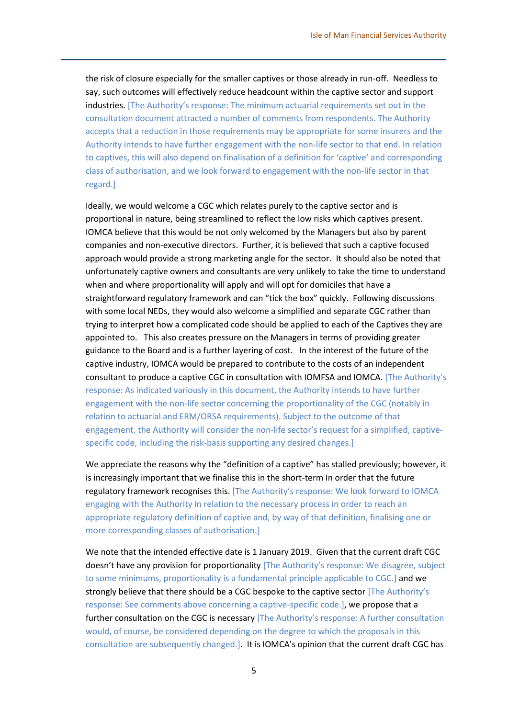the risk of closure especially for the smaller captives or those already in run-off. Needless to say, such outcomes will effectively reduce headcount within the captive sector and support industries. [The Authority's response: The minimum actuarial requirements set out in the consultation document attracted a number of comments from respondents. The Authority accepts that a reduction in those requirements may be appropriate for some insurers and the Authority intends to have further engagement with the non-life sector to that end. In relation to captives, this will also depend on finalisation of a definition for 'captive' and corresponding class of authorisation, and we look forward to engagement with the non-life sector in that regard.]

Ideally, we would welcome a CGC which relates purely to the captive sector and is proportional in nature, being streamlined to reflect the low risks which captives present. IOMCA believe that this would be not only welcomed by the Managers but also by parent companies and non-executive directors. Further, it is believed that such a captive focused approach would provide a strong marketing angle for the sector. It should also be noted that unfortunately captive owners and consultants are very unlikely to take the time to understand when and where proportionality will apply and will opt for domiciles that have a straightforward regulatory framework and can "tick the box" quickly. Following discussions with some local NEDs, they would also welcome a simplified and separate CGC rather than trying to interpret how a complicated code should be applied to each of the Captives they are appointed to. This also creates pressure on the Managers in terms of providing greater guidance to the Board and is a further layering of cost. In the interest of the future of the captive industry, IOMCA would be prepared to contribute to the costs of an independent consultant to produce a captive CGC in consultation with IOMFSA and IOMCA. [The Authority's response: As indicated variously in this document, the Authority intends to have further engagement with the non-life sector concerning the proportionality of the CGC (notably in relation to actuarial and ERM/ORSA requirements). Subject to the outcome of that engagement, the Authority will consider the non-life sector's request for a simplified, captivespecific code, including the risk-basis supporting any desired changes.]

We appreciate the reasons why the "definition of a captive" has stalled previously; however, it is increasingly important that we finalise this in the short-term In order that the future regulatory framework recognises this. [The Authority's response: We look forward to IOMCA engaging with the Authority in relation to the necessary process in order to reach an appropriate regulatory definition of captive and, by way of that definition, finalising one or more corresponding classes of authorisation.]

We note that the intended effective date is 1 January 2019. Given that the current draft CGC doesn't have any provision for proportionality [The Authority's response: We disagree, subject to some minimums, proportionality is a fundamental principle applicable to CGC.] and we strongly believe that there should be a CGC bespoke to the captive sector [The Authority's response: See comments above concerning a captive-specific code.], we propose that a further consultation on the CGC is necessary [The Authority's response: A further consultation would, of course, be considered depending on the degree to which the proposals in this consultation are subsequently changed.]. It is IOMCA's opinion that the current draft CGC has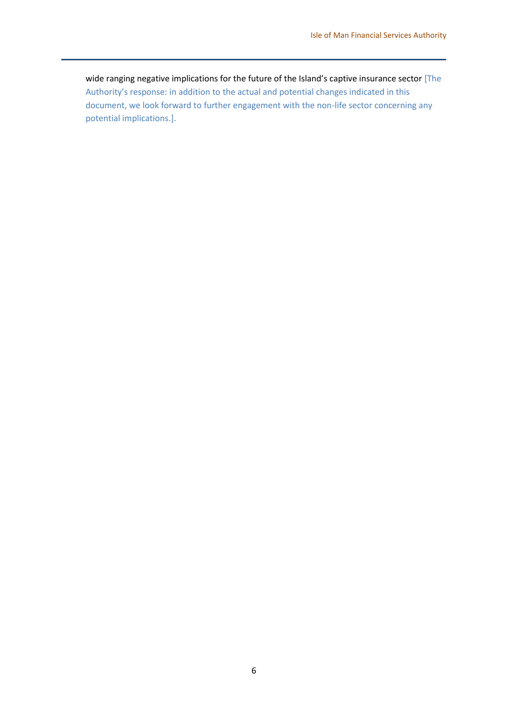wide ranging negative implications for the future of the Island's captive insurance sector [The Authority's response: in addition to the actual and potential changes indicated in this document, we look forward to further engagement with the non-life sector concerning any potential implications.].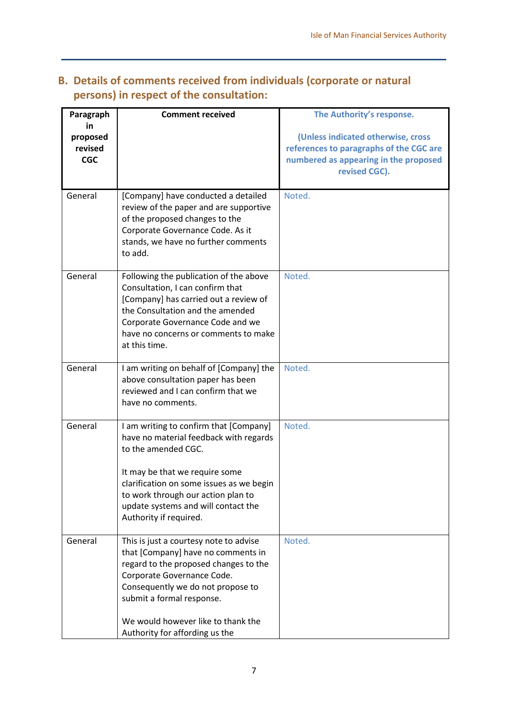| Paragraph                               | <b>Comment received</b>                                                                                                                                                                                                                                                                       | The Authority's response.                                                                                                               |
|-----------------------------------------|-----------------------------------------------------------------------------------------------------------------------------------------------------------------------------------------------------------------------------------------------------------------------------------------------|-----------------------------------------------------------------------------------------------------------------------------------------|
| in<br>proposed<br>revised<br><b>CGC</b> |                                                                                                                                                                                                                                                                                               | (Unless indicated otherwise, cross<br>references to paragraphs of the CGC are<br>numbered as appearing in the proposed<br>revised CGC). |
| General                                 | [Company] have conducted a detailed<br>review of the paper and are supportive<br>of the proposed changes to the<br>Corporate Governance Code. As it<br>stands, we have no further comments<br>to add.                                                                                         | Noted.                                                                                                                                  |
| General                                 | Following the publication of the above<br>Consultation, I can confirm that<br>[Company] has carried out a review of<br>the Consultation and the amended<br>Corporate Governance Code and we<br>have no concerns or comments to make<br>at this time.                                          | Noted.                                                                                                                                  |
| General                                 | I am writing on behalf of [Company] the<br>above consultation paper has been<br>reviewed and I can confirm that we<br>have no comments.                                                                                                                                                       | Noted.                                                                                                                                  |
| General                                 | I am writing to confirm that [Company]<br>have no material feedback with regards<br>to the amended CGC.<br>It may be that we require some<br>clarification on some issues as we begin<br>to work through our action plan to<br>update systems and will contact the<br>Authority if required.  | Noted.                                                                                                                                  |
| General                                 | This is just a courtesy note to advise<br>that [Company] have no comments in<br>regard to the proposed changes to the<br>Corporate Governance Code.<br>Consequently we do not propose to<br>submit a formal response.<br>We would however like to thank the<br>Authority for affording us the | Noted.                                                                                                                                  |

## **B. Details of comments received from individuals (corporate or natural persons) in respect of the consultation:**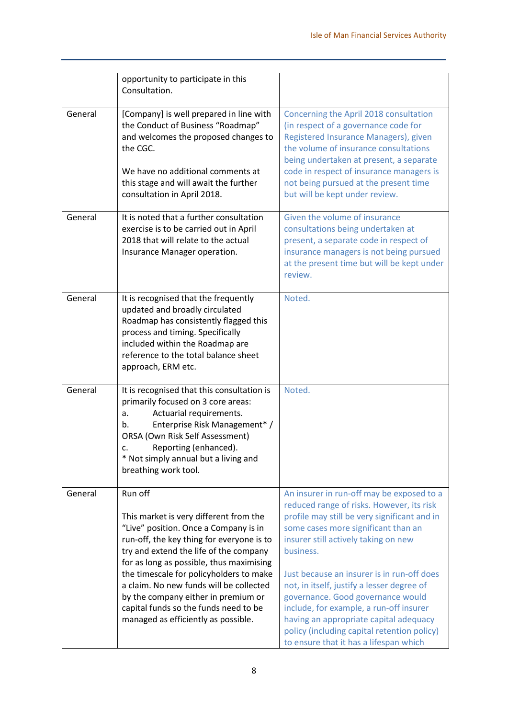|         | opportunity to participate in this<br>Consultation.                                                                                                                                                                                                                                                                                                                                                                                        |                                                                                                                                                                                                                                                                                                                                                                                                                                                                                                                                                   |
|---------|--------------------------------------------------------------------------------------------------------------------------------------------------------------------------------------------------------------------------------------------------------------------------------------------------------------------------------------------------------------------------------------------------------------------------------------------|---------------------------------------------------------------------------------------------------------------------------------------------------------------------------------------------------------------------------------------------------------------------------------------------------------------------------------------------------------------------------------------------------------------------------------------------------------------------------------------------------------------------------------------------------|
| General | [Company] is well prepared in line with<br>the Conduct of Business "Roadmap"<br>and welcomes the proposed changes to<br>the CGC.<br>We have no additional comments at<br>this stage and will await the further<br>consultation in April 2018.                                                                                                                                                                                              | Concerning the April 2018 consultation<br>(in respect of a governance code for<br>Registered Insurance Managers), given<br>the volume of insurance consultations<br>being undertaken at present, a separate<br>code in respect of insurance managers is<br>not being pursued at the present time<br>but will be kept under review.                                                                                                                                                                                                                |
| General | It is noted that a further consultation<br>exercise is to be carried out in April<br>2018 that will relate to the actual<br>Insurance Manager operation.                                                                                                                                                                                                                                                                                   | Given the volume of insurance<br>consultations being undertaken at<br>present, a separate code in respect of<br>insurance managers is not being pursued<br>at the present time but will be kept under<br>review.                                                                                                                                                                                                                                                                                                                                  |
| General | It is recognised that the frequently<br>updated and broadly circulated<br>Roadmap has consistently flagged this<br>process and timing. Specifically<br>included within the Roadmap are<br>reference to the total balance sheet<br>approach, ERM etc.                                                                                                                                                                                       | Noted.                                                                                                                                                                                                                                                                                                                                                                                                                                                                                                                                            |
| General | It is recognised that this consultation is<br>primarily focused on 3 core areas:<br>Actuarial requirements.<br>a.<br>Enterprise Risk Management* /<br>b.<br>ORSA (Own Risk Self Assessment)<br>Reporting (enhanced).<br>c.<br>* Not simply annual but a living and<br>breathing work tool.                                                                                                                                                 | Noted.                                                                                                                                                                                                                                                                                                                                                                                                                                                                                                                                            |
| General | Run off<br>This market is very different from the<br>"Live" position. Once a Company is in<br>run-off, the key thing for everyone is to<br>try and extend the life of the company<br>for as long as possible, thus maximising<br>the timescale for policyholders to make<br>a claim. No new funds will be collected<br>by the company either in premium or<br>capital funds so the funds need to be<br>managed as efficiently as possible. | An insurer in run-off may be exposed to a<br>reduced range of risks. However, its risk<br>profile may still be very significant and in<br>some cases more significant than an<br>insurer still actively taking on new<br>business.<br>Just because an insurer is in run-off does<br>not, in itself, justify a lesser degree of<br>governance. Good governance would<br>include, for example, a run-off insurer<br>having an appropriate capital adequacy<br>policy (including capital retention policy)<br>to ensure that it has a lifespan which |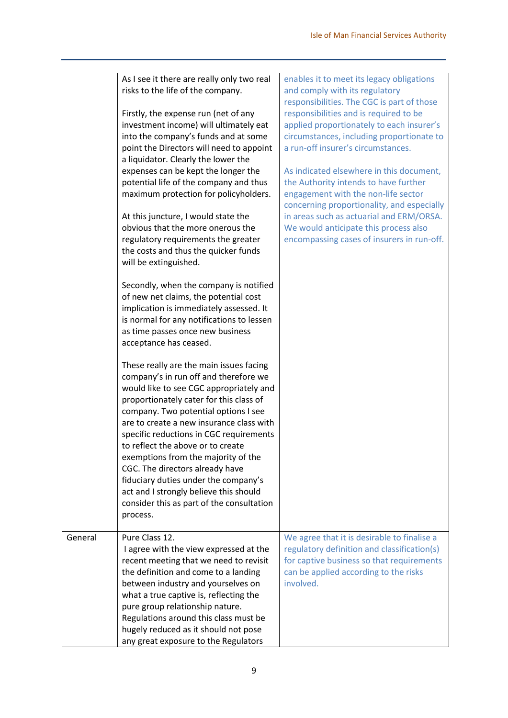|         | As I see it there are really only two real | enables it to meet its legacy obligations   |
|---------|--------------------------------------------|---------------------------------------------|
|         | risks to the life of the company.          | and comply with its regulatory              |
|         |                                            | responsibilities. The CGC is part of those  |
|         | Firstly, the expense run (net of any       | responsibilities and is required to be      |
|         | investment income) will ultimately eat     | applied proportionately to each insurer's   |
|         | into the company's funds and at some       | circumstances, including proportionate to   |
|         | point the Directors will need to appoint   | a run-off insurer's circumstances.          |
|         | a liquidator. Clearly the lower the        |                                             |
|         | expenses can be kept the longer the        | As indicated elsewhere in this document,    |
|         | potential life of the company and thus     | the Authority intends to have further       |
|         | maximum protection for policyholders.      | engagement with the non-life sector         |
|         |                                            | concerning proportionality, and especially  |
|         | At this juncture, I would state the        | in areas such as actuarial and ERM/ORSA.    |
|         | obvious that the more onerous the          | We would anticipate this process also       |
|         | regulatory requirements the greater        | encompassing cases of insurers in run-off.  |
|         | the costs and thus the quicker funds       |                                             |
|         | will be extinguished.                      |                                             |
|         |                                            |                                             |
|         | Secondly, when the company is notified     |                                             |
|         | of new net claims, the potential cost      |                                             |
|         | implication is immediately assessed. It    |                                             |
|         | is normal for any notifications to lessen  |                                             |
|         | as time passes once new business           |                                             |
|         | acceptance has ceased.                     |                                             |
|         |                                            |                                             |
|         | These really are the main issues facing    |                                             |
|         | company's in run off and therefore we      |                                             |
|         | would like to see CGC appropriately and    |                                             |
|         | proportionately cater for this class of    |                                             |
|         | company. Two potential options I see       |                                             |
|         | are to create a new insurance class with   |                                             |
|         | specific reductions in CGC requirements    |                                             |
|         | to reflect the above or to create          |                                             |
|         | exemptions from the majority of the        |                                             |
|         | CGC. The directors already have            |                                             |
|         | fiduciary duties under the company's       |                                             |
|         | act and I strongly believe this should     |                                             |
|         | consider this as part of the consultation  |                                             |
|         | process.                                   |                                             |
|         |                                            |                                             |
| General | Pure Class 12.                             | We agree that it is desirable to finalise a |
|         | I agree with the view expressed at the     | regulatory definition and classification(s) |
|         | recent meeting that we need to revisit     | for captive business so that requirements   |
|         | the definition and come to a landing       | can be applied according to the risks       |
|         | between industry and yourselves on         | involved.                                   |
|         | what a true captive is, reflecting the     |                                             |
|         | pure group relationship nature.            |                                             |
|         | Regulations around this class must be      |                                             |
|         | hugely reduced as it should not pose       |                                             |
|         | any great exposure to the Regulators       |                                             |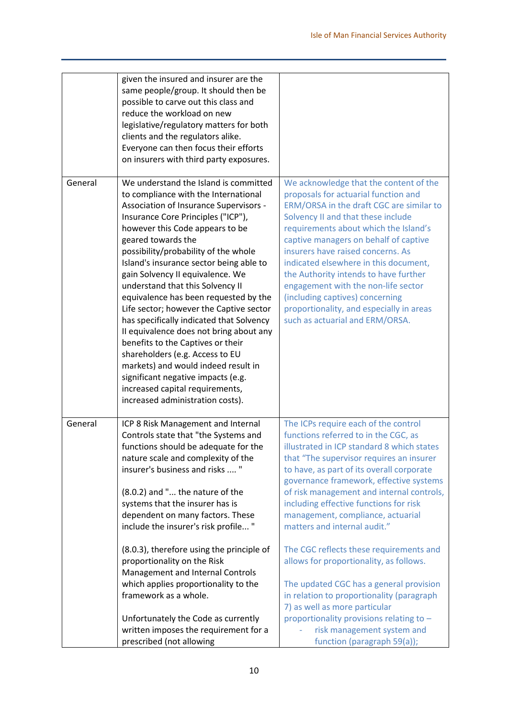|         | given the insured and insurer are the<br>same people/group. It should then be<br>possible to carve out this class and<br>reduce the workload on new<br>legislative/regulatory matters for both<br>clients and the regulators alike.<br>Everyone can then focus their efforts<br>on insurers with third party exposures.                                                                                                                                                                                                                                                                                                                                                                                                                                                                  |                                                                                                                                                                                                                                                                                                                                                                                                                                                                                                                                                                                                                                                                                       |
|---------|------------------------------------------------------------------------------------------------------------------------------------------------------------------------------------------------------------------------------------------------------------------------------------------------------------------------------------------------------------------------------------------------------------------------------------------------------------------------------------------------------------------------------------------------------------------------------------------------------------------------------------------------------------------------------------------------------------------------------------------------------------------------------------------|---------------------------------------------------------------------------------------------------------------------------------------------------------------------------------------------------------------------------------------------------------------------------------------------------------------------------------------------------------------------------------------------------------------------------------------------------------------------------------------------------------------------------------------------------------------------------------------------------------------------------------------------------------------------------------------|
| General | We understand the Island is committed<br>to compliance with the International<br>Association of Insurance Supervisors -<br>Insurance Core Principles ("ICP"),<br>however this Code appears to be<br>geared towards the<br>possibility/probability of the whole<br>Island's insurance sector being able to<br>gain Solvency II equivalence. We<br>understand that this Solvency II<br>equivalence has been requested by the<br>Life sector; however the Captive sector<br>has specifically indicated that Solvency<br>II equivalence does not bring about any<br>benefits to the Captives or their<br>shareholders (e.g. Access to EU<br>markets) and would indeed result in<br>significant negative impacts (e.g.<br>increased capital requirements,<br>increased administration costs). | We acknowledge that the content of the<br>proposals for actuarial function and<br>ERM/ORSA in the draft CGC are similar to<br>Solvency II and that these include<br>requirements about which the Island's<br>captive managers on behalf of captive<br>insurers have raised concerns. As<br>indicated elsewhere in this document,<br>the Authority intends to have further<br>engagement with the non-life sector<br>(including captives) concerning<br>proportionality, and especially in areas<br>such as actuarial and ERM/ORSA.                                                                                                                                                    |
| General | ICP 8 Risk Management and Internal<br>Controls state that "the Systems and<br>functions should be adequate for the<br>nature scale and complexity of the<br>insurer's business and risks  "<br>(8.0.2) and " the nature of the<br>systems that the insurer has is<br>dependent on many factors. These<br>include the insurer's risk profile "<br>(8.0.3), therefore using the principle of<br>proportionality on the Risk<br>Management and Internal Controls<br>which applies proportionality to the<br>framework as a whole.<br>Unfortunately the Code as currently                                                                                                                                                                                                                    | The ICPs require each of the control<br>functions referred to in the CGC, as<br>illustrated in ICP standard 8 which states<br>that "The supervisor requires an insurer<br>to have, as part of its overall corporate<br>governance framework, effective systems<br>of risk management and internal controls,<br>including effective functions for risk<br>management, compliance, actuarial<br>matters and internal audit."<br>The CGC reflects these requirements and<br>allows for proportionality, as follows.<br>The updated CGC has a general provision<br>in relation to proportionality (paragraph<br>7) as well as more particular<br>proportionality provisions relating to - |
|         | written imposes the requirement for a<br>prescribed (not allowing                                                                                                                                                                                                                                                                                                                                                                                                                                                                                                                                                                                                                                                                                                                        | risk management system and<br>function (paragraph 59(a));                                                                                                                                                                                                                                                                                                                                                                                                                                                                                                                                                                                                                             |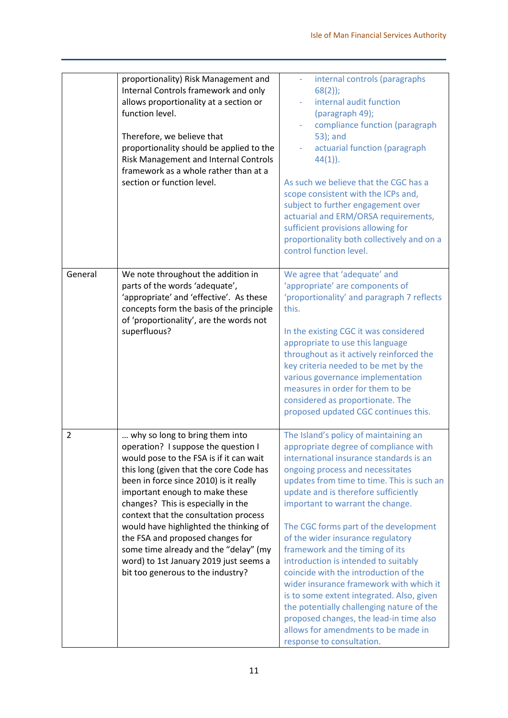|                | proportionality) Risk Management and<br>Internal Controls framework and only<br>allows proportionality at a section or<br>function level.<br>Therefore, we believe that<br>proportionality should be applied to the<br>Risk Management and Internal Controls<br>framework as a whole rather than at a<br>section or function level.                                                                                                                                                                                          | internal controls (paragraphs<br>$68(2)$ ;<br>internal audit function<br>(paragraph 49);<br>compliance function (paragraph<br>53); and<br>actuarial function (paragraph<br>$44(1)$ ).<br>As such we believe that the CGC has a<br>scope consistent with the ICPs and,<br>subject to further engagement over<br>actuarial and ERM/ORSA requirements,<br>sufficient provisions allowing for<br>proportionality both collectively and on a<br>control function level.                                                                                                                                                                                                                                                                            |
|----------------|------------------------------------------------------------------------------------------------------------------------------------------------------------------------------------------------------------------------------------------------------------------------------------------------------------------------------------------------------------------------------------------------------------------------------------------------------------------------------------------------------------------------------|-----------------------------------------------------------------------------------------------------------------------------------------------------------------------------------------------------------------------------------------------------------------------------------------------------------------------------------------------------------------------------------------------------------------------------------------------------------------------------------------------------------------------------------------------------------------------------------------------------------------------------------------------------------------------------------------------------------------------------------------------|
| General        | We note throughout the addition in<br>parts of the words 'adequate',<br>'appropriate' and 'effective'. As these<br>concepts form the basis of the principle<br>of 'proportionality', are the words not<br>superfluous?                                                                                                                                                                                                                                                                                                       | We agree that 'adequate' and<br>'appropriate' are components of<br>'proportionality' and paragraph 7 reflects<br>this.<br>In the existing CGC it was considered<br>appropriate to use this language<br>throughout as it actively reinforced the<br>key criteria needed to be met by the<br>various governance implementation<br>measures in order for them to be<br>considered as proportionate. The<br>proposed updated CGC continues this.                                                                                                                                                                                                                                                                                                  |
| $\overline{2}$ | why so long to bring them into<br>operation? I suppose the question I<br>would pose to the FSA is if it can wait<br>this long (given that the core Code has<br>been in force since 2010) is it really<br>important enough to make these<br>changes? This is especially in the<br>context that the consultation process<br>would have highlighted the thinking of<br>the FSA and proposed changes for<br>some time already and the "delay" (my<br>word) to 1st January 2019 just seems a<br>bit too generous to the industry? | The Island's policy of maintaining an<br>appropriate degree of compliance with<br>international insurance standards is an<br>ongoing process and necessitates<br>updates from time to time. This is such an<br>update and is therefore sufficiently<br>important to warrant the change.<br>The CGC forms part of the development<br>of the wider insurance regulatory<br>framework and the timing of its<br>introduction is intended to suitably<br>coincide with the introduction of the<br>wider insurance framework with which it<br>is to some extent integrated. Also, given<br>the potentially challenging nature of the<br>proposed changes, the lead-in time also<br>allows for amendments to be made in<br>response to consultation. |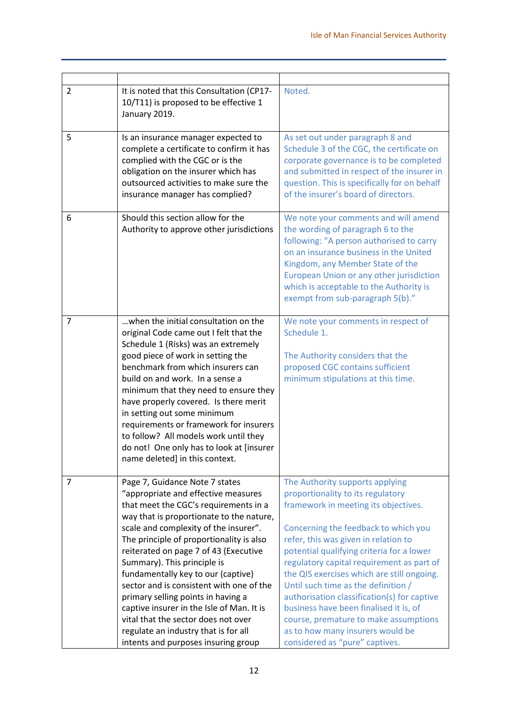| $\overline{2}$ | It is noted that this Consultation (CP17-<br>10/T11) is proposed to be effective 1<br>January 2019.                                                                                                                                                                                                                                                                                                                                                                                                                                                                                                                | Noted.                                                                                                                                                                                                                                                                                                                                                                                                                                                                                                                                                                              |
|----------------|--------------------------------------------------------------------------------------------------------------------------------------------------------------------------------------------------------------------------------------------------------------------------------------------------------------------------------------------------------------------------------------------------------------------------------------------------------------------------------------------------------------------------------------------------------------------------------------------------------------------|-------------------------------------------------------------------------------------------------------------------------------------------------------------------------------------------------------------------------------------------------------------------------------------------------------------------------------------------------------------------------------------------------------------------------------------------------------------------------------------------------------------------------------------------------------------------------------------|
| 5              | Is an insurance manager expected to<br>complete a certificate to confirm it has<br>complied with the CGC or is the<br>obligation on the insurer which has<br>outsourced activities to make sure the<br>insurance manager has complied?                                                                                                                                                                                                                                                                                                                                                                             | As set out under paragraph 8 and<br>Schedule 3 of the CGC, the certificate on<br>corporate governance is to be completed<br>and submitted in respect of the insurer in<br>question. This is specifically for on behalf<br>of the insurer's board of directors.                                                                                                                                                                                                                                                                                                                      |
| 6              | Should this section allow for the<br>Authority to approve other jurisdictions                                                                                                                                                                                                                                                                                                                                                                                                                                                                                                                                      | We note your comments and will amend<br>the wording of paragraph 6 to the<br>following: "A person authorised to carry<br>on an insurance business in the United<br>Kingdom, any Member State of the<br>European Union or any other jurisdiction<br>which is acceptable to the Authority is<br>exempt from sub-paragraph 5(b)."                                                                                                                                                                                                                                                      |
| $\overline{7}$ | when the initial consultation on the<br>original Code came out I felt that the<br>Schedule 1 (Risks) was an extremely<br>good piece of work in setting the<br>benchmark from which insurers can<br>build on and work. In a sense a<br>minimum that they need to ensure they<br>have properly covered. Is there merit<br>in setting out some minimum<br>requirements or framework for insurers<br>to follow? All models work until they<br>do not! One only has to look at [insurer<br>name deleted] in this context.                                                                                               | We note your comments in respect of<br>Schedule 1.<br>The Authority considers that the<br>proposed CGC contains sufficient<br>minimum stipulations at this time.                                                                                                                                                                                                                                                                                                                                                                                                                    |
| 7              | Page 7, Guidance Note 7 states<br>"appropriate and effective measures<br>that meet the CGC's requirements in a<br>way that is proportionate to the nature,<br>scale and complexity of the insurer".<br>The principle of proportionality is also<br>reiterated on page 7 of 43 (Executive<br>Summary). This principle is<br>fundamentally key to our (captive)<br>sector and is consistent with one of the<br>primary selling points in having a<br>captive insurer in the Isle of Man. It is<br>vital that the sector does not over<br>regulate an industry that is for all<br>intents and purposes insuring group | The Authority supports applying<br>proportionality to its regulatory<br>framework in meeting its objectives.<br>Concerning the feedback to which you<br>refer, this was given in relation to<br>potential qualifying criteria for a lower<br>regulatory capital requirement as part of<br>the QIS exercises which are still ongoing.<br>Until such time as the definition /<br>authorisation classification(s) for captive<br>business have been finalised it is, of<br>course, premature to make assumptions<br>as to how many insurers would be<br>considered as "pure" captives. |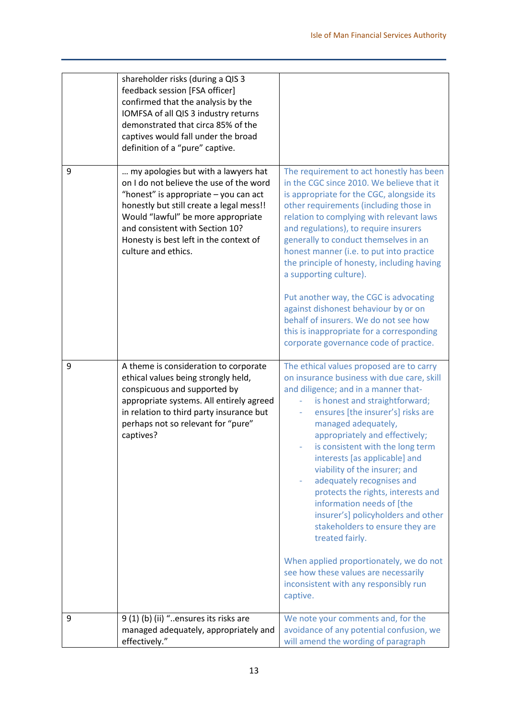|   | shareholder risks (during a QIS 3<br>feedback session [FSA officer]<br>confirmed that the analysis by the<br>IOMFSA of all QIS 3 industry returns<br>demonstrated that circa 85% of the<br>captives would fall under the broad<br>definition of a "pure" captive.                                             |                                                                                                                                                                                                                                                                                                                                                                                                                                                                                                                                                                                                                                                                                                          |
|---|---------------------------------------------------------------------------------------------------------------------------------------------------------------------------------------------------------------------------------------------------------------------------------------------------------------|----------------------------------------------------------------------------------------------------------------------------------------------------------------------------------------------------------------------------------------------------------------------------------------------------------------------------------------------------------------------------------------------------------------------------------------------------------------------------------------------------------------------------------------------------------------------------------------------------------------------------------------------------------------------------------------------------------|
| 9 | my apologies but with a lawyers hat<br>on I do not believe the use of the word<br>"honest" is appropriate - you can act<br>honestly but still create a legal mess!!<br>Would "lawful" be more appropriate<br>and consistent with Section 10?<br>Honesty is best left in the context of<br>culture and ethics. | The requirement to act honestly has been<br>in the CGC since 2010. We believe that it<br>is appropriate for the CGC, alongside its<br>other requirements (including those in<br>relation to complying with relevant laws<br>and regulations), to require insurers<br>generally to conduct themselves in an<br>honest manner (i.e. to put into practice<br>the principle of honesty, including having<br>a supporting culture).<br>Put another way, the CGC is advocating<br>against dishonest behaviour by or on<br>behalf of insurers. We do not see how<br>this is inappropriate for a corresponding<br>corporate governance code of practice.                                                         |
| 9 | A theme is consideration to corporate<br>ethical values being strongly held,<br>conspicuous and supported by<br>appropriate systems. All entirely agreed<br>in relation to third party insurance but<br>perhaps not so relevant for "pure"<br>captives?                                                       | The ethical values proposed are to carry<br>on insurance business with due care, skill<br>and diligence; and in a manner that-<br>is honest and straightforward;<br>ensures [the insurer's] risks are<br>managed adequately,<br>appropriately and effectively;<br>is consistent with the long term<br>interests [as applicable] and<br>viability of the insurer; and<br>adequately recognises and<br>protects the rights, interests and<br>information needs of [the<br>insurer's] policyholders and other<br>stakeholders to ensure they are<br>treated fairly.<br>When applied proportionately, we do not<br>see how these values are necessarily<br>inconsistent with any responsibly run<br>captive. |
| 9 | 9 (1) (b) (ii) "ensures its risks are<br>managed adequately, appropriately and<br>effectively."                                                                                                                                                                                                               | We note your comments and, for the<br>avoidance of any potential confusion, we<br>will amend the wording of paragraph                                                                                                                                                                                                                                                                                                                                                                                                                                                                                                                                                                                    |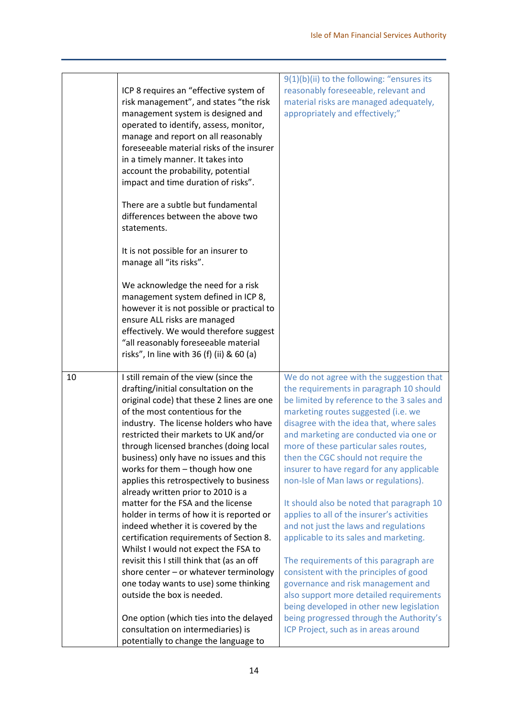|    | ICP 8 requires an "effective system of<br>risk management", and states "the risk<br>management system is designed and<br>operated to identify, assess, monitor,<br>manage and report on all reasonably<br>foreseeable material risks of the insurer<br>in a timely manner. It takes into<br>account the probability, potential<br>impact and time duration of risks".<br>There are a subtle but fundamental<br>differences between the above two<br>statements.<br>It is not possible for an insurer to<br>manage all "its risks".<br>We acknowledge the need for a risk<br>management system defined in ICP 8,<br>however it is not possible or practical to<br>ensure ALL risks are managed<br>effectively. We would therefore suggest<br>"all reasonably foreseeable material<br>risks", In line with 36 (f) (ii) & 60 (a)                                                    | 9(1)(b)(ii) to the following: "ensures its<br>reasonably foreseeable, relevant and<br>material risks are managed adequately,<br>appropriately and effectively;"                                                                                                                                                                                                                                                                                                                                                                                                                                                                                                                                                                                                                                                                                                                  |
|----|----------------------------------------------------------------------------------------------------------------------------------------------------------------------------------------------------------------------------------------------------------------------------------------------------------------------------------------------------------------------------------------------------------------------------------------------------------------------------------------------------------------------------------------------------------------------------------------------------------------------------------------------------------------------------------------------------------------------------------------------------------------------------------------------------------------------------------------------------------------------------------|----------------------------------------------------------------------------------------------------------------------------------------------------------------------------------------------------------------------------------------------------------------------------------------------------------------------------------------------------------------------------------------------------------------------------------------------------------------------------------------------------------------------------------------------------------------------------------------------------------------------------------------------------------------------------------------------------------------------------------------------------------------------------------------------------------------------------------------------------------------------------------|
| 10 | I still remain of the view (since the<br>drafting/initial consultation on the<br>original code) that these 2 lines are one<br>of the most contentious for the<br>industry. The license holders who have<br>restricted their markets to UK and/or<br>through licensed branches (doing local<br>business) only have no issues and this<br>works for them - though how one<br>applies this retrospectively to business<br>already written prior to 2010 is a<br>matter for the FSA and the license<br>holder in terms of how it is reported or<br>indeed whether it is covered by the<br>certification requirements of Section 8.<br>Whilst I would not expect the FSA to<br>revisit this I still think that (as an off<br>shore center - or whatever terminology<br>one today wants to use) some thinking<br>outside the box is needed.<br>One option (which ties into the delayed | We do not agree with the suggestion that<br>the requirements in paragraph 10 should<br>be limited by reference to the 3 sales and<br>marketing routes suggested (i.e. we<br>disagree with the idea that, where sales<br>and marketing are conducted via one or<br>more of these particular sales routes,<br>then the CGC should not require the<br>insurer to have regard for any applicable<br>non-Isle of Man laws or regulations).<br>It should also be noted that paragraph 10<br>applies to all of the insurer's activities<br>and not just the laws and regulations<br>applicable to its sales and marketing.<br>The requirements of this paragraph are<br>consistent with the principles of good<br>governance and risk management and<br>also support more detailed requirements<br>being developed in other new legislation<br>being progressed through the Authority's |
|    | consultation on intermediaries) is<br>potentially to change the language to                                                                                                                                                                                                                                                                                                                                                                                                                                                                                                                                                                                                                                                                                                                                                                                                      | ICP Project, such as in areas around                                                                                                                                                                                                                                                                                                                                                                                                                                                                                                                                                                                                                                                                                                                                                                                                                                             |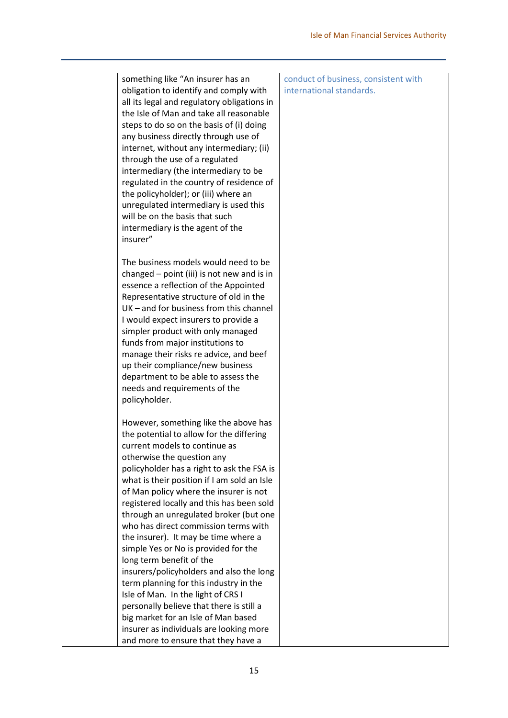| something like "An insurer has an           | conduct of business, consistent with |
|---------------------------------------------|--------------------------------------|
| obligation to identify and comply with      | international standards.             |
| all its legal and regulatory obligations in |                                      |
| the Isle of Man and take all reasonable     |                                      |
| steps to do so on the basis of (i) doing    |                                      |
| any business directly through use of        |                                      |
| internet, without any intermediary; (ii)    |                                      |
| through the use of a regulated              |                                      |
| intermediary (the intermediary to be        |                                      |
| regulated in the country of residence of    |                                      |
|                                             |                                      |
| the policyholder); or (iii) where an        |                                      |
| unregulated intermediary is used this       |                                      |
| will be on the basis that such              |                                      |
| intermediary is the agent of the            |                                      |
| insurer"                                    |                                      |
|                                             |                                      |
| The business models would need to be        |                                      |
| changed - point (iii) is not new and is in  |                                      |
| essence a reflection of the Appointed       |                                      |
| Representative structure of old in the      |                                      |
| UK - and for business from this channel     |                                      |
| I would expect insurers to provide a        |                                      |
| simpler product with only managed           |                                      |
| funds from major institutions to            |                                      |
| manage their risks re advice, and beef      |                                      |
| up their compliance/new business            |                                      |
| department to be able to assess the         |                                      |
| needs and requirements of the               |                                      |
| policyholder.                               |                                      |
|                                             |                                      |
| However, something like the above has       |                                      |
| the potential to allow for the differing    |                                      |
| current models to continue as               |                                      |
| otherwise the question any                  |                                      |
| policyholder has a right to ask the FSA is  |                                      |
| what is their position if I am sold an Isle |                                      |
| of Man policy where the insurer is not      |                                      |
| registered locally and this has been sold   |                                      |
| through an unregulated broker (but one      |                                      |
| who has direct commission terms with        |                                      |
| the insurer). It may be time where a        |                                      |
| simple Yes or No is provided for the        |                                      |
| long term benefit of the                    |                                      |
| insurers/policyholders and also the long    |                                      |
|                                             |                                      |
| term planning for this industry in the      |                                      |
| Isle of Man. In the light of CRS I          |                                      |
| personally believe that there is still a    |                                      |
| big market for an Isle of Man based         |                                      |
| insurer as individuals are looking more     |                                      |
| and more to ensure that they have a         |                                      |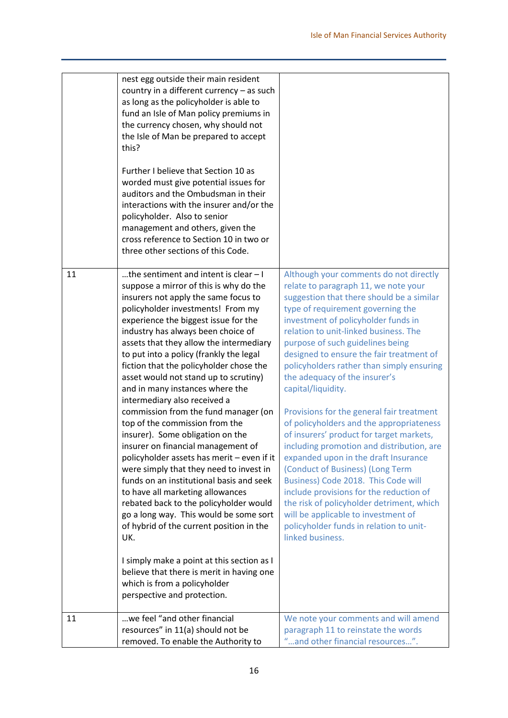|    | nest egg outside their main resident<br>country in a different currency - as such<br>as long as the policyholder is able to<br>fund an Isle of Man policy premiums in<br>the currency chosen, why should not<br>the Isle of Man be prepared to accept<br>this?<br>Further I believe that Section 10 as<br>worded must give potential issues for<br>auditors and the Ombudsman in their<br>interactions with the insurer and/or the<br>policyholder. Also to senior<br>management and others, given the<br>cross reference to Section 10 in two or<br>three other sections of this Code.                                                                                                                                                                                                                                                                                                                                                                                                                                                                                                                               |                                                                                                                                                                                                                                                                                                                                                                                                                                                                                                                                                                                                                                                                                                                                                                                                                                                                                                                                         |
|----|-----------------------------------------------------------------------------------------------------------------------------------------------------------------------------------------------------------------------------------------------------------------------------------------------------------------------------------------------------------------------------------------------------------------------------------------------------------------------------------------------------------------------------------------------------------------------------------------------------------------------------------------------------------------------------------------------------------------------------------------------------------------------------------------------------------------------------------------------------------------------------------------------------------------------------------------------------------------------------------------------------------------------------------------------------------------------------------------------------------------------|-----------------------------------------------------------------------------------------------------------------------------------------------------------------------------------------------------------------------------------------------------------------------------------------------------------------------------------------------------------------------------------------------------------------------------------------------------------------------------------------------------------------------------------------------------------------------------------------------------------------------------------------------------------------------------------------------------------------------------------------------------------------------------------------------------------------------------------------------------------------------------------------------------------------------------------------|
| 11 | the sentiment and intent is clear - I<br>suppose a mirror of this is why do the<br>insurers not apply the same focus to<br>policyholder investments! From my<br>experience the biggest issue for the<br>industry has always been choice of<br>assets that they allow the intermediary<br>to put into a policy (frankly the legal<br>fiction that the policyholder chose the<br>asset would not stand up to scrutiny)<br>and in many instances where the<br>intermediary also received a<br>commission from the fund manager (on<br>top of the commission from the<br>insurer). Some obligation on the<br>insurer on financial management of<br>policyholder assets has merit - even if it<br>were simply that they need to invest in<br>funds on an institutional basis and seek<br>to have all marketing allowances<br>rebated back to the policyholder would<br>go a long way. This would be some sort<br>of hybrid of the current position in the<br>UK.<br>I simply make a point at this section as I<br>believe that there is merit in having one<br>which is from a policyholder<br>perspective and protection. | Although your comments do not directly<br>relate to paragraph 11, we note your<br>suggestion that there should be a similar<br>type of requirement governing the<br>investment of policyholder funds in<br>relation to unit-linked business. The<br>purpose of such guidelines being<br>designed to ensure the fair treatment of<br>policyholders rather than simply ensuring<br>the adequacy of the insurer's<br>capital/liquidity.<br>Provisions for the general fair treatment<br>of policyholders and the appropriateness<br>of insurers' product for target markets,<br>including promotion and distribution, are<br>expanded upon in the draft Insurance<br>(Conduct of Business) (Long Term<br>Business) Code 2018. This Code will<br>include provisions for the reduction of<br>the risk of policyholder detriment, which<br>will be applicable to investment of<br>policyholder funds in relation to unit-<br>linked business. |
| 11 | we feel "and other financial<br>resources" in 11(a) should not be<br>removed. To enable the Authority to                                                                                                                                                                                                                                                                                                                                                                                                                                                                                                                                                                                                                                                                                                                                                                                                                                                                                                                                                                                                              | We note your comments and will amend<br>paragraph 11 to reinstate the words<br>"and other financial resources".                                                                                                                                                                                                                                                                                                                                                                                                                                                                                                                                                                                                                                                                                                                                                                                                                         |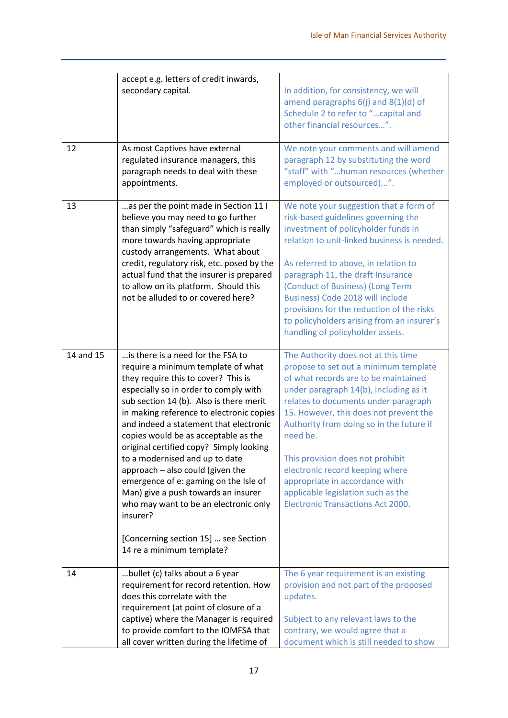|           | accept e.g. letters of credit inwards,<br>secondary capital.                                                                                                                                                                                                                                                                                                                                                                                                                                                                                                                                                                                                | In addition, for consistency, we will<br>amend paragraphs $6(i)$ and $8(1)(d)$ of<br>Schedule 2 to refer to "capital and<br>other financial resources".                                                                                                                                                                                                                                                                                                                                             |
|-----------|-------------------------------------------------------------------------------------------------------------------------------------------------------------------------------------------------------------------------------------------------------------------------------------------------------------------------------------------------------------------------------------------------------------------------------------------------------------------------------------------------------------------------------------------------------------------------------------------------------------------------------------------------------------|-----------------------------------------------------------------------------------------------------------------------------------------------------------------------------------------------------------------------------------------------------------------------------------------------------------------------------------------------------------------------------------------------------------------------------------------------------------------------------------------------------|
| 12        | As most Captives have external<br>regulated insurance managers, this<br>paragraph needs to deal with these<br>appointments.                                                                                                                                                                                                                                                                                                                                                                                                                                                                                                                                 | We note your comments and will amend<br>paragraph 12 by substituting the word<br>"staff" with "human resources (whether<br>employed or outsourced)".                                                                                                                                                                                                                                                                                                                                                |
| 13        | as per the point made in Section 11 I<br>believe you may need to go further<br>than simply "safeguard" which is really<br>more towards having appropriate<br>custody arrangements. What about<br>credit, regulatory risk, etc. posed by the<br>actual fund that the insurer is prepared<br>to allow on its platform. Should this<br>not be alluded to or covered here?                                                                                                                                                                                                                                                                                      | We note your suggestion that a form of<br>risk-based guidelines governing the<br>investment of policyholder funds in<br>relation to unit-linked business is needed.<br>As referred to above, in relation to<br>paragraph 11, the draft Insurance<br>(Conduct of Business) (Long Term<br>Business) Code 2018 will include<br>provisions for the reduction of the risks<br>to policyholders arising from an insurer's<br>handling of policyholder assets.                                             |
| 14 and 15 | is there is a need for the FSA to<br>require a minimum template of what<br>they require this to cover? This is<br>especially so in order to comply with<br>sub section 14 (b). Also is there merit<br>in making reference to electronic copies<br>and indeed a statement that electronic<br>copies would be as acceptable as the<br>original certified copy? Simply looking<br>to a modernised and up to date<br>approach - also could (given the<br>emergence of e: gaming on the Isle of<br>Man) give a push towards an insurer<br>who may want to be an electronic only<br>insurer?<br>[Concerning section 15]  see Section<br>14 re a minimum template? | The Authority does not at this time<br>propose to set out a minimum template<br>of what records are to be maintained<br>under paragraph 14(b), including as it<br>relates to documents under paragraph<br>15. However, this does not prevent the<br>Authority from doing so in the future if<br>need be.<br>This provision does not prohibit<br>electronic record keeping where<br>appropriate in accordance with<br>applicable legislation such as the<br><b>Electronic Transactions Act 2000.</b> |
| 14        | bullet (c) talks about a 6 year<br>requirement for record retention. How<br>does this correlate with the<br>requirement (at point of closure of a<br>captive) where the Manager is required<br>to provide comfort to the IOMFSA that<br>all cover written during the lifetime of                                                                                                                                                                                                                                                                                                                                                                            | The 6 year requirement is an existing<br>provision and not part of the proposed<br>updates.<br>Subject to any relevant laws to the<br>contrary, we would agree that a<br>document which is still needed to show                                                                                                                                                                                                                                                                                     |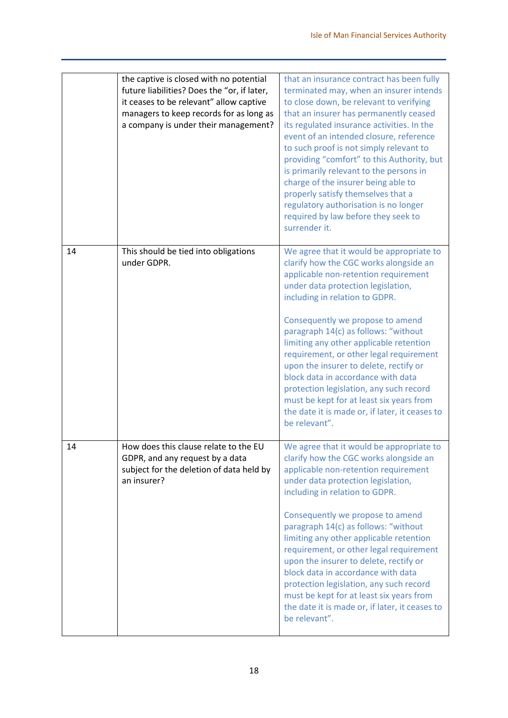|    | the captive is closed with no potential<br>future liabilities? Does the "or, if later,<br>it ceases to be relevant" allow captive<br>managers to keep records for as long as<br>a company is under their management? | that an insurance contract has been fully<br>terminated may, when an insurer intends<br>to close down, be relevant to verifying<br>that an insurer has permanently ceased<br>its regulated insurance activities. In the<br>event of an intended closure, reference<br>to such proof is not simply relevant to<br>providing "comfort" to this Authority, but<br>is primarily relevant to the persons in<br>charge of the insurer being able to<br>properly satisfy themselves that a<br>regulatory authorisation is no longer<br>required by law before they seek to<br>surrender it.                           |
|----|----------------------------------------------------------------------------------------------------------------------------------------------------------------------------------------------------------------------|----------------------------------------------------------------------------------------------------------------------------------------------------------------------------------------------------------------------------------------------------------------------------------------------------------------------------------------------------------------------------------------------------------------------------------------------------------------------------------------------------------------------------------------------------------------------------------------------------------------|
| 14 | This should be tied into obligations<br>under GDPR.                                                                                                                                                                  | We agree that it would be appropriate to<br>clarify how the CGC works alongside an<br>applicable non-retention requirement<br>under data protection legislation,<br>including in relation to GDPR.<br>Consequently we propose to amend<br>paragraph 14(c) as follows: "without<br>limiting any other applicable retention<br>requirement, or other legal requirement<br>upon the insurer to delete, rectify or<br>block data in accordance with data<br>protection legislation, any such record<br>must be kept for at least six years from<br>the date it is made or, if later, it ceases to<br>be relevant". |
| 14 | How does this clause relate to the EU<br>GDPR, and any request by a data<br>subject for the deletion of data held by<br>an insurer?                                                                                  | We agree that it would be appropriate to<br>clarify how the CGC works alongside an<br>applicable non-retention requirement<br>under data protection legislation,<br>including in relation to GDPR.<br>Consequently we propose to amend<br>paragraph 14(c) as follows: "without<br>limiting any other applicable retention<br>requirement, or other legal requirement<br>upon the insurer to delete, rectify or<br>block data in accordance with data<br>protection legislation, any such record<br>must be kept for at least six years from<br>the date it is made or, if later, it ceases to<br>be relevant". |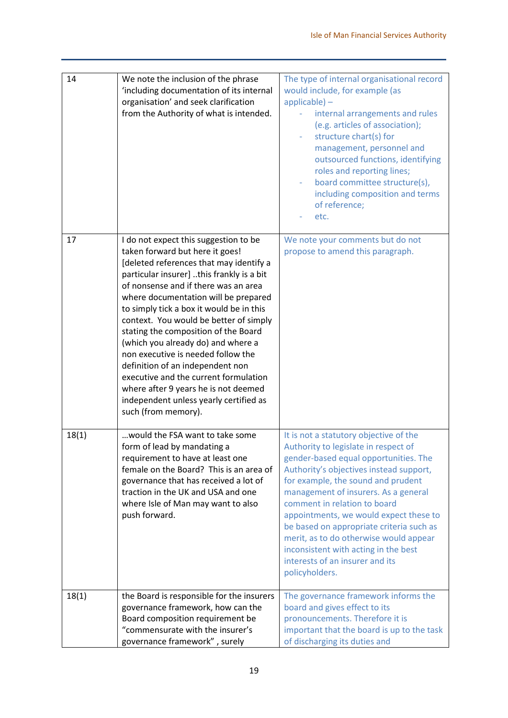| 14    | We note the inclusion of the phrase<br>'including documentation of its internal<br>organisation' and seek clarification<br>from the Authority of what is intended.                                                                                                                                                                                                                                                                                                                                                                                                                                                                               | The type of internal organisational record<br>would include, for example (as<br>$appliedbe$ ) -<br>internal arrangements and rules<br>(e.g. articles of association);<br>structure chart(s) for<br>management, personnel and<br>outsourced functions, identifying<br>roles and reporting lines;<br>board committee structure(s),<br>including composition and terms<br>of reference;<br>etc.                                                                                                                  |
|-------|--------------------------------------------------------------------------------------------------------------------------------------------------------------------------------------------------------------------------------------------------------------------------------------------------------------------------------------------------------------------------------------------------------------------------------------------------------------------------------------------------------------------------------------------------------------------------------------------------------------------------------------------------|---------------------------------------------------------------------------------------------------------------------------------------------------------------------------------------------------------------------------------------------------------------------------------------------------------------------------------------------------------------------------------------------------------------------------------------------------------------------------------------------------------------|
| 17    | I do not expect this suggestion to be<br>taken forward but here it goes!<br>[deleted references that may identify a<br>particular insurer] this frankly is a bit<br>of nonsense and if there was an area<br>where documentation will be prepared<br>to simply tick a box it would be in this<br>context. You would be better of simply<br>stating the composition of the Board<br>(which you already do) and where a<br>non executive is needed follow the<br>definition of an independent non<br>executive and the current formulation<br>where after 9 years he is not deemed<br>independent unless yearly certified as<br>such (from memory). | We note your comments but do not<br>propose to amend this paragraph.                                                                                                                                                                                                                                                                                                                                                                                                                                          |
| 18(1) | would the FSA want to take some<br>form of lead by mandating a<br>requirement to have at least one<br>female on the Board? This is an area of<br>governance that has received a lot of<br>traction in the UK and USA and one<br>where Isle of Man may want to also<br>push forward.                                                                                                                                                                                                                                                                                                                                                              | It is not a statutory objective of the<br>Authority to legislate in respect of<br>gender-based equal opportunities. The<br>Authority's objectives instead support,<br>for example, the sound and prudent<br>management of insurers. As a general<br>comment in relation to board<br>appointments, we would expect these to<br>be based on appropriate criteria such as<br>merit, as to do otherwise would appear<br>inconsistent with acting in the best<br>interests of an insurer and its<br>policyholders. |
| 18(1) | the Board is responsible for the insurers<br>governance framework, how can the<br>Board composition requirement be<br>"commensurate with the insurer's<br>governance framework", surely                                                                                                                                                                                                                                                                                                                                                                                                                                                          | The governance framework informs the<br>board and gives effect to its<br>pronouncements. Therefore it is<br>important that the board is up to the task<br>of discharging its duties and                                                                                                                                                                                                                                                                                                                       |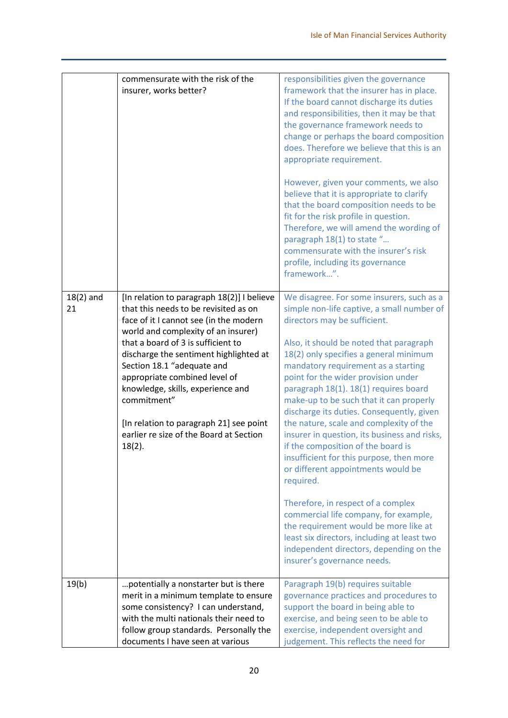|                   | commensurate with the risk of the<br>insurer, works better?                                                                                                                                                                                                                                                                                                                                                                                                                | responsibilities given the governance<br>framework that the insurer has in place.<br>If the board cannot discharge its duties<br>and responsibilities, then it may be that<br>the governance framework needs to<br>change or perhaps the board composition<br>does. Therefore we believe that this is an<br>appropriate requirement.<br>However, given your comments, we also<br>believe that it is appropriate to clarify<br>that the board composition needs to be<br>fit for the risk profile in question.<br>Therefore, we will amend the wording of<br>paragraph 18(1) to state "<br>commensurate with the insurer's risk<br>profile, including its governance<br>framework".                                                                                                                                                                                                                           |
|-------------------|----------------------------------------------------------------------------------------------------------------------------------------------------------------------------------------------------------------------------------------------------------------------------------------------------------------------------------------------------------------------------------------------------------------------------------------------------------------------------|--------------------------------------------------------------------------------------------------------------------------------------------------------------------------------------------------------------------------------------------------------------------------------------------------------------------------------------------------------------------------------------------------------------------------------------------------------------------------------------------------------------------------------------------------------------------------------------------------------------------------------------------------------------------------------------------------------------------------------------------------------------------------------------------------------------------------------------------------------------------------------------------------------------|
| $18(2)$ and<br>21 | [In relation to paragraph 18(2)] I believe<br>that this needs to be revisited as on<br>face of it I cannot see (in the modern<br>world and complexity of an insurer)<br>that a board of 3 is sufficient to<br>discharge the sentiment highlighted at<br>Section 18.1 "adequate and<br>appropriate combined level of<br>knowledge, skills, experience and<br>commitment"<br>[In relation to paragraph 21] see point<br>earlier re size of the Board at Section<br>$18(2)$ . | We disagree. For some insurers, such as a<br>simple non-life captive, a small number of<br>directors may be sufficient.<br>Also, it should be noted that paragraph<br>18(2) only specifies a general minimum<br>mandatory requirement as a starting<br>point for the wider provision under<br>paragraph 18(1). 18(1) requires board<br>make-up to be such that it can properly<br>discharge its duties. Consequently, given<br>the nature, scale and complexity of the<br>insurer in question, its business and risks,<br>if the composition of the board is<br>insufficient for this purpose, then more<br>or different appointments would be<br>required.<br>Therefore, in respect of a complex<br>commercial life company, for example,<br>the requirement would be more like at<br>least six directors, including at least two<br>independent directors, depending on the<br>insurer's governance needs. |
| 19(b)             | potentially a nonstarter but is there<br>merit in a minimum template to ensure<br>some consistency? I can understand,<br>with the multi nationals their need to<br>follow group standards. Personally the<br>documents I have seen at various                                                                                                                                                                                                                              | Paragraph 19(b) requires suitable<br>governance practices and procedures to<br>support the board in being able to<br>exercise, and being seen to be able to<br>exercise, independent oversight and<br>judgement. This reflects the need for                                                                                                                                                                                                                                                                                                                                                                                                                                                                                                                                                                                                                                                                  |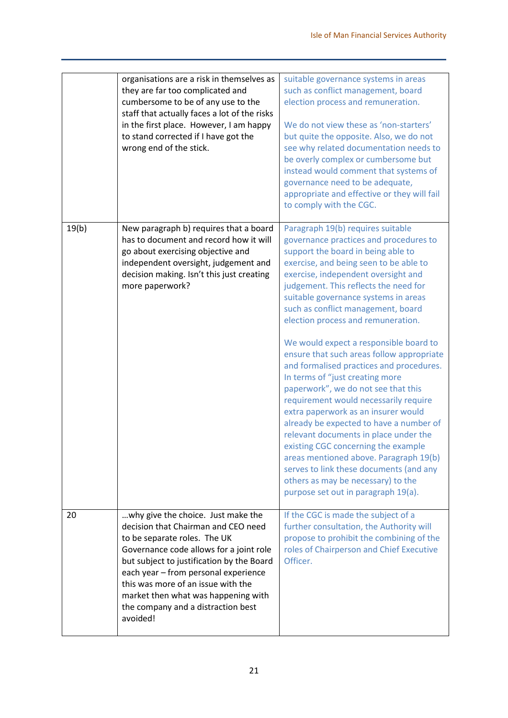|       | organisations are a risk in themselves as<br>they are far too complicated and<br>cumbersome to be of any use to the<br>staff that actually faces a lot of the risks<br>in the first place. However, I am happy<br>to stand corrected if I have got the<br>wrong end of the stick.                                                                                        | suitable governance systems in areas<br>such as conflict management, board<br>election process and remuneration.<br>We do not view these as 'non-starters'<br>but quite the opposite. Also, we do not<br>see why related documentation needs to<br>be overly complex or cumbersome but<br>instead would comment that systems of<br>governance need to be adequate,<br>appropriate and effective or they will fail<br>to comply with the CGC.                                                                                                                                                                                                                                                                                                                                                                                                                                                                                                              |
|-------|--------------------------------------------------------------------------------------------------------------------------------------------------------------------------------------------------------------------------------------------------------------------------------------------------------------------------------------------------------------------------|-----------------------------------------------------------------------------------------------------------------------------------------------------------------------------------------------------------------------------------------------------------------------------------------------------------------------------------------------------------------------------------------------------------------------------------------------------------------------------------------------------------------------------------------------------------------------------------------------------------------------------------------------------------------------------------------------------------------------------------------------------------------------------------------------------------------------------------------------------------------------------------------------------------------------------------------------------------|
| 19(b) | New paragraph b) requires that a board<br>has to document and record how it will<br>go about exercising objective and<br>independent oversight, judgement and<br>decision making. Isn't this just creating<br>more paperwork?                                                                                                                                            | Paragraph 19(b) requires suitable<br>governance practices and procedures to<br>support the board in being able to<br>exercise, and being seen to be able to<br>exercise, independent oversight and<br>judgement. This reflects the need for<br>suitable governance systems in areas<br>such as conflict management, board<br>election process and remuneration.<br>We would expect a responsible board to<br>ensure that such areas follow appropriate<br>and formalised practices and procedures.<br>In terms of "just creating more<br>paperwork", we do not see that this<br>requirement would necessarily require<br>extra paperwork as an insurer would<br>already be expected to have a number of<br>relevant documents in place under the<br>existing CGC concerning the example<br>areas mentioned above. Paragraph 19(b)<br>serves to link these documents (and any<br>others as may be necessary) to the<br>purpose set out in paragraph 19(a). |
| 20    | why give the choice. Just make the<br>decision that Chairman and CEO need<br>to be separate roles. The UK<br>Governance code allows for a joint role<br>but subject to justification by the Board<br>each year - from personal experience<br>this was more of an issue with the<br>market then what was happening with<br>the company and a distraction best<br>avoided! | If the CGC is made the subject of a<br>further consultation, the Authority will<br>propose to prohibit the combining of the<br>roles of Chairperson and Chief Executive<br>Officer.                                                                                                                                                                                                                                                                                                                                                                                                                                                                                                                                                                                                                                                                                                                                                                       |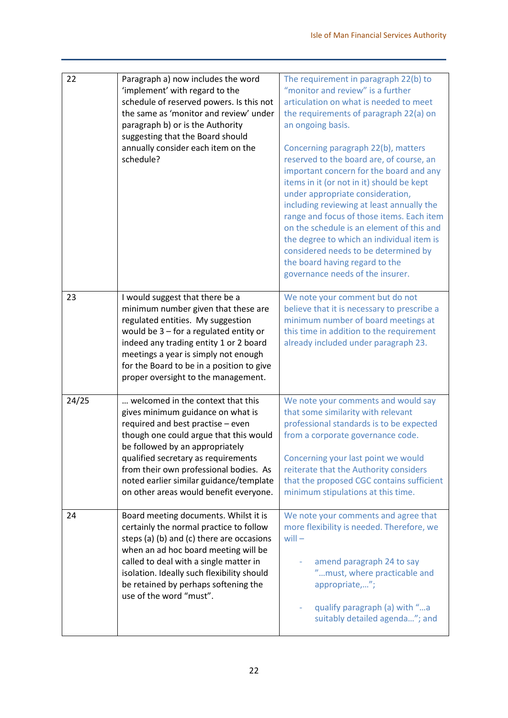| 22    | Paragraph a) now includes the word<br>'implement' with regard to the<br>schedule of reserved powers. Is this not<br>the same as 'monitor and review' under<br>paragraph b) or is the Authority<br>suggesting that the Board should<br>annually consider each item on the<br>schedule?                                                                          | The requirement in paragraph 22(b) to<br>"monitor and review" is a further<br>articulation on what is needed to meet<br>the requirements of paragraph 22(a) on<br>an ongoing basis.<br>Concerning paragraph 22(b), matters<br>reserved to the board are, of course, an<br>important concern for the board and any<br>items in it (or not in it) should be kept<br>under appropriate consideration,<br>including reviewing at least annually the<br>range and focus of those items. Each item<br>on the schedule is an element of this and<br>the degree to which an individual item is<br>considered needs to be determined by<br>the board having regard to the<br>governance needs of the insurer. |
|-------|----------------------------------------------------------------------------------------------------------------------------------------------------------------------------------------------------------------------------------------------------------------------------------------------------------------------------------------------------------------|------------------------------------------------------------------------------------------------------------------------------------------------------------------------------------------------------------------------------------------------------------------------------------------------------------------------------------------------------------------------------------------------------------------------------------------------------------------------------------------------------------------------------------------------------------------------------------------------------------------------------------------------------------------------------------------------------|
| 23    | I would suggest that there be a<br>minimum number given that these are<br>regulated entities. My suggestion<br>would be $3$ – for a regulated entity or<br>indeed any trading entity 1 or 2 board<br>meetings a year is simply not enough<br>for the Board to be in a position to give<br>proper oversight to the management.                                  | We note your comment but do not<br>believe that it is necessary to prescribe a<br>minimum number of board meetings at<br>this time in addition to the requirement<br>already included under paragraph 23.                                                                                                                                                                                                                                                                                                                                                                                                                                                                                            |
| 24/25 | welcomed in the context that this<br>gives minimum guidance on what is<br>required and best practise - even<br>though one could argue that this would<br>be followed by an appropriately<br>qualified secretary as requirements<br>from their own professional bodies. As<br>noted earlier similar guidance/template<br>on other areas would benefit everyone. | We note your comments and would say<br>that some similarity with relevant<br>professional standards is to be expected<br>from a corporate governance code.<br>Concerning your last point we would<br>reiterate that the Authority considers<br>that the proposed CGC contains sufficient<br>minimum stipulations at this time.                                                                                                                                                                                                                                                                                                                                                                       |
| 24    | Board meeting documents. Whilst it is<br>certainly the normal practice to follow<br>steps (a) (b) and (c) there are occasions<br>when an ad hoc board meeting will be<br>called to deal with a single matter in<br>isolation. Ideally such flexibility should<br>be retained by perhaps softening the<br>use of the word "must".                               | We note your comments and agree that<br>more flexibility is needed. Therefore, we<br>$will -$<br>amend paragraph 24 to say<br>"must, where practicable and<br>appropriate,";<br>qualify paragraph (a) with "a<br>suitably detailed agenda"; and                                                                                                                                                                                                                                                                                                                                                                                                                                                      |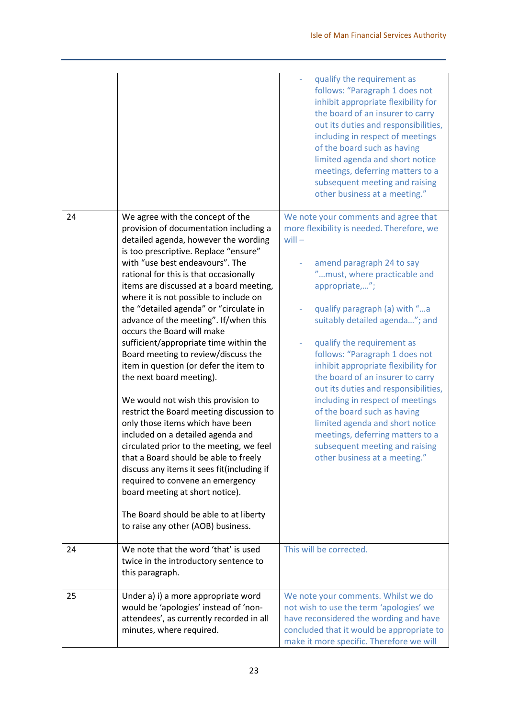|    |                                                                                                                                                                                                                                                                                                                                                                                                                                                                                                                                                                                                                                                                                                                                                                                                                                                                                                                                                                                                                                                             | qualify the requirement as<br>follows: "Paragraph 1 does not<br>inhibit appropriate flexibility for<br>the board of an insurer to carry<br>out its duties and responsibilities,<br>including in respect of meetings<br>of the board such as having<br>limited agenda and short notice<br>meetings, deferring matters to a<br>subsequent meeting and raising<br>other business at a meeting."                                                                                                                                                                                                                                                    |
|----|-------------------------------------------------------------------------------------------------------------------------------------------------------------------------------------------------------------------------------------------------------------------------------------------------------------------------------------------------------------------------------------------------------------------------------------------------------------------------------------------------------------------------------------------------------------------------------------------------------------------------------------------------------------------------------------------------------------------------------------------------------------------------------------------------------------------------------------------------------------------------------------------------------------------------------------------------------------------------------------------------------------------------------------------------------------|-------------------------------------------------------------------------------------------------------------------------------------------------------------------------------------------------------------------------------------------------------------------------------------------------------------------------------------------------------------------------------------------------------------------------------------------------------------------------------------------------------------------------------------------------------------------------------------------------------------------------------------------------|
| 24 | We agree with the concept of the<br>provision of documentation including a<br>detailed agenda, however the wording<br>is too prescriptive. Replace "ensure"<br>with "use best endeavours". The<br>rational for this is that occasionally<br>items are discussed at a board meeting,<br>where it is not possible to include on<br>the "detailed agenda" or "circulate in<br>advance of the meeting". If/when this<br>occurs the Board will make<br>sufficient/appropriate time within the<br>Board meeting to review/discuss the<br>item in question (or defer the item to<br>the next board meeting).<br>We would not wish this provision to<br>restrict the Board meeting discussion to<br>only those items which have been<br>included on a detailed agenda and<br>circulated prior to the meeting, we feel<br>that a Board should be able to freely<br>discuss any items it sees fit(including if<br>required to convene an emergency<br>board meeting at short notice).<br>The Board should be able to at liberty<br>to raise any other (AOB) business. | We note your comments and agree that<br>more flexibility is needed. Therefore, we<br>$will -$<br>amend paragraph 24 to say<br>"must, where practicable and<br>appropriate,";<br>qualify paragraph (a) with "a<br>suitably detailed agenda"; and<br>qualify the requirement as<br>follows: "Paragraph 1 does not<br>inhibit appropriate flexibility for<br>the board of an insurer to carry<br>out its duties and responsibilities,<br>including in respect of meetings<br>of the board such as having<br>limited agenda and short notice<br>meetings, deferring matters to a<br>subsequent meeting and raising<br>other business at a meeting." |
| 24 | We note that the word 'that' is used<br>twice in the introductory sentence to<br>this paragraph.                                                                                                                                                                                                                                                                                                                                                                                                                                                                                                                                                                                                                                                                                                                                                                                                                                                                                                                                                            | This will be corrected.                                                                                                                                                                                                                                                                                                                                                                                                                                                                                                                                                                                                                         |
| 25 | Under a) i) a more appropriate word<br>would be 'apologies' instead of 'non-<br>attendees', as currently recorded in all<br>minutes, where required.                                                                                                                                                                                                                                                                                                                                                                                                                                                                                                                                                                                                                                                                                                                                                                                                                                                                                                        | We note your comments. Whilst we do<br>not wish to use the term 'apologies' we<br>have reconsidered the wording and have<br>concluded that it would be appropriate to<br>make it more specific. Therefore we will                                                                                                                                                                                                                                                                                                                                                                                                                               |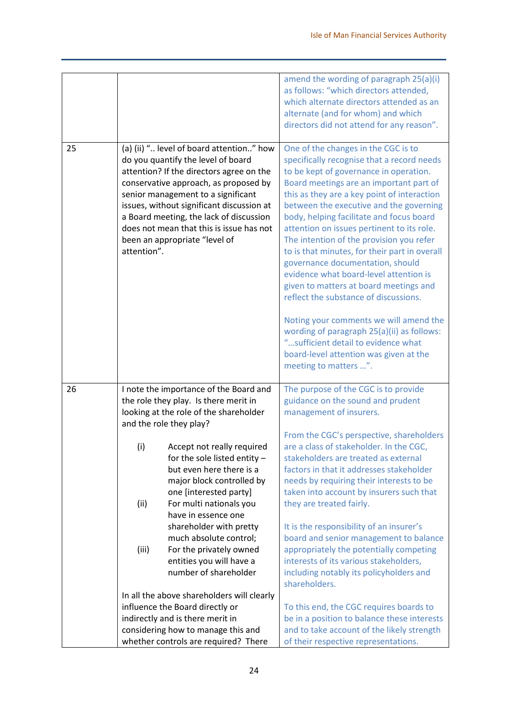| 25 |             | (a) (ii) " level of board attention" how<br>do you quantify the level of board                                                                                                                                                                                                               | amend the wording of paragraph 25(a)(i)<br>as follows: "which directors attended,<br>which alternate directors attended as an<br>alternate (and for whom) and which<br>directors did not attend for any reason".<br>One of the changes in the CGC is to<br>specifically recognise that a record needs                                                                                                                                                                                                                                                                                                                                                                                                                                 |
|----|-------------|----------------------------------------------------------------------------------------------------------------------------------------------------------------------------------------------------------------------------------------------------------------------------------------------|---------------------------------------------------------------------------------------------------------------------------------------------------------------------------------------------------------------------------------------------------------------------------------------------------------------------------------------------------------------------------------------------------------------------------------------------------------------------------------------------------------------------------------------------------------------------------------------------------------------------------------------------------------------------------------------------------------------------------------------|
|    | attention". | attention? If the directors agree on the<br>conservative approach, as proposed by<br>senior management to a significant<br>issues, without significant discussion at<br>a Board meeting, the lack of discussion<br>does not mean that this is issue has not<br>been an appropriate "level of | to be kept of governance in operation.<br>Board meetings are an important part of<br>this as they are a key point of interaction<br>between the executive and the governing<br>body, helping facilitate and focus board<br>attention on issues pertinent to its role.<br>The intention of the provision you refer<br>to is that minutes, for their part in overall<br>governance documentation, should<br>evidence what board-level attention is<br>given to matters at board meetings and<br>reflect the substance of discussions.<br>Noting your comments we will amend the<br>wording of paragraph 25(a)(ii) as follows:<br>"sufficient detail to evidence what<br>board-level attention was given at the<br>meeting to matters ". |
| 26 |             | I note the importance of the Board and                                                                                                                                                                                                                                                       | The purpose of the CGC is to provide                                                                                                                                                                                                                                                                                                                                                                                                                                                                                                                                                                                                                                                                                                  |
|    |             | the role they play. Is there merit in                                                                                                                                                                                                                                                        | guidance on the sound and prudent                                                                                                                                                                                                                                                                                                                                                                                                                                                                                                                                                                                                                                                                                                     |
|    |             | looking at the role of the shareholder<br>and the role they play?                                                                                                                                                                                                                            | management of insurers.<br>From the CGC's perspective, shareholders                                                                                                                                                                                                                                                                                                                                                                                                                                                                                                                                                                                                                                                                   |
|    | (i)         | Accept not really required                                                                                                                                                                                                                                                                   | are a class of stakeholder. In the CGC,                                                                                                                                                                                                                                                                                                                                                                                                                                                                                                                                                                                                                                                                                               |
|    |             | for the sole listed entity $-$                                                                                                                                                                                                                                                               | stakeholders are treated as external                                                                                                                                                                                                                                                                                                                                                                                                                                                                                                                                                                                                                                                                                                  |
|    |             | but even here there is a                                                                                                                                                                                                                                                                     | factors in that it addresses stakeholder                                                                                                                                                                                                                                                                                                                                                                                                                                                                                                                                                                                                                                                                                              |
|    |             | major block controlled by                                                                                                                                                                                                                                                                    | needs by requiring their interests to be                                                                                                                                                                                                                                                                                                                                                                                                                                                                                                                                                                                                                                                                                              |
|    |             | one [interested party]                                                                                                                                                                                                                                                                       | taken into account by insurers such that                                                                                                                                                                                                                                                                                                                                                                                                                                                                                                                                                                                                                                                                                              |
|    | (ii)        | For multi nationals you                                                                                                                                                                                                                                                                      | they are treated fairly.                                                                                                                                                                                                                                                                                                                                                                                                                                                                                                                                                                                                                                                                                                              |
|    |             | have in essence one                                                                                                                                                                                                                                                                          |                                                                                                                                                                                                                                                                                                                                                                                                                                                                                                                                                                                                                                                                                                                                       |
|    |             | shareholder with pretty                                                                                                                                                                                                                                                                      | It is the responsibility of an insurer's                                                                                                                                                                                                                                                                                                                                                                                                                                                                                                                                                                                                                                                                                              |
|    |             | much absolute control;                                                                                                                                                                                                                                                                       | board and senior management to balance                                                                                                                                                                                                                                                                                                                                                                                                                                                                                                                                                                                                                                                                                                |
|    | (iii)       | For the privately owned                                                                                                                                                                                                                                                                      | appropriately the potentially competing                                                                                                                                                                                                                                                                                                                                                                                                                                                                                                                                                                                                                                                                                               |
|    |             | entities you will have a<br>number of shareholder                                                                                                                                                                                                                                            | interests of its various stakeholders,<br>including notably its policyholders and<br>shareholders.                                                                                                                                                                                                                                                                                                                                                                                                                                                                                                                                                                                                                                    |
|    |             | In all the above shareholders will clearly                                                                                                                                                                                                                                                   |                                                                                                                                                                                                                                                                                                                                                                                                                                                                                                                                                                                                                                                                                                                                       |
|    |             | influence the Board directly or                                                                                                                                                                                                                                                              | To this end, the CGC requires boards to                                                                                                                                                                                                                                                                                                                                                                                                                                                                                                                                                                                                                                                                                               |
|    |             | indirectly and is there merit in                                                                                                                                                                                                                                                             | be in a position to balance these interests                                                                                                                                                                                                                                                                                                                                                                                                                                                                                                                                                                                                                                                                                           |
|    |             | considering how to manage this and<br>whether controls are required? There                                                                                                                                                                                                                   | and to take account of the likely strength<br>of their respective representations.                                                                                                                                                                                                                                                                                                                                                                                                                                                                                                                                                                                                                                                    |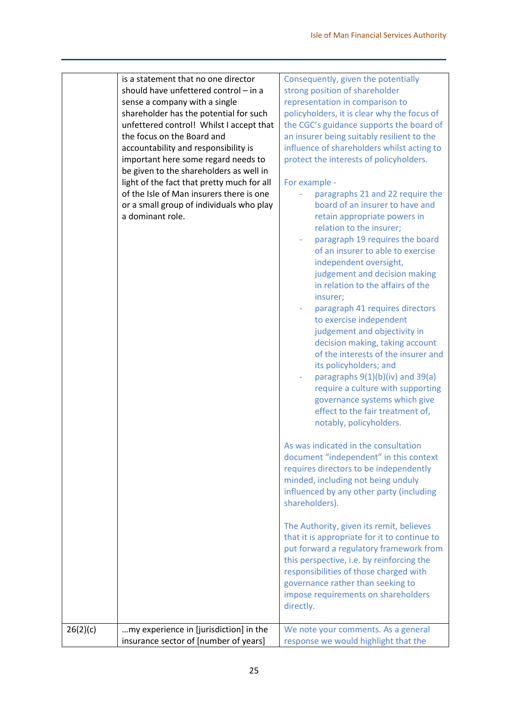| is a statement that no one director<br>Consequently, given the potentially<br>should have unfettered control - in a<br>strong position of shareholder<br>sense a company with a single<br>representation in comparison to<br>policyholders, it is clear why the focus of<br>shareholder has the potential for such<br>unfettered control! Whilst I accept that<br>the CGC's guidance supports the board of<br>the focus on the Board and<br>an insurer being suitably resilient to the<br>influence of shareholders whilst acting to<br>accountability and responsibility is<br>protect the interests of policyholders.<br>important here some regard needs to<br>be given to the shareholders as well in<br>light of the fact that pretty much for all<br>For example -<br>of the Isle of Man insurers there is one<br>paragraphs 21 and 22 require the<br>or a small group of individuals who play<br>board of an insurer to have and<br>a dominant role.<br>retain appropriate powers in<br>relation to the insurer;<br>paragraph 19 requires the board<br>of an insurer to able to exercise<br>independent oversight,<br>judgement and decision making<br>in relation to the affairs of the<br>insurer;<br>paragraph 41 requires directors<br>to exercise independent<br>judgement and objectivity in<br>decision making, taking account<br>of the interests of the insurer and<br>its policyholders; and<br>paragraphs $9(1)(b)(iv)$ and $39(a)$<br>require a culture with supporting<br>governance systems which give<br>effect to the fair treatment of,<br>notably, policyholders.<br>As was indicated in the consultation<br>document "independent" in this context<br>requires directors to be independently<br>minded, including not being unduly<br>influenced by any other party (including<br>shareholders).<br>The Authority, given its remit, believes<br>that it is appropriate for it to continue to<br>put forward a regulatory framework from<br>this perspective, i.e. by reinforcing the<br>responsibilities of those charged with<br>governance rather than seeking to<br>impose requirements on shareholders<br>directly.<br>my experience in [jurisdiction] in the<br>We note your comments. As a general |          |                                       |                                      |
|------------------------------------------------------------------------------------------------------------------------------------------------------------------------------------------------------------------------------------------------------------------------------------------------------------------------------------------------------------------------------------------------------------------------------------------------------------------------------------------------------------------------------------------------------------------------------------------------------------------------------------------------------------------------------------------------------------------------------------------------------------------------------------------------------------------------------------------------------------------------------------------------------------------------------------------------------------------------------------------------------------------------------------------------------------------------------------------------------------------------------------------------------------------------------------------------------------------------------------------------------------------------------------------------------------------------------------------------------------------------------------------------------------------------------------------------------------------------------------------------------------------------------------------------------------------------------------------------------------------------------------------------------------------------------------------------------------------------------------------------------------------------------------------------------------------------------------------------------------------------------------------------------------------------------------------------------------------------------------------------------------------------------------------------------------------------------------------------------------------------------------------------------------------------------------------------------------------------------------|----------|---------------------------------------|--------------------------------------|
|                                                                                                                                                                                                                                                                                                                                                                                                                                                                                                                                                                                                                                                                                                                                                                                                                                                                                                                                                                                                                                                                                                                                                                                                                                                                                                                                                                                                                                                                                                                                                                                                                                                                                                                                                                                                                                                                                                                                                                                                                                                                                                                                                                                                                                    |          |                                       |                                      |
|                                                                                                                                                                                                                                                                                                                                                                                                                                                                                                                                                                                                                                                                                                                                                                                                                                                                                                                                                                                                                                                                                                                                                                                                                                                                                                                                                                                                                                                                                                                                                                                                                                                                                                                                                                                                                                                                                                                                                                                                                                                                                                                                                                                                                                    |          |                                       |                                      |
|                                                                                                                                                                                                                                                                                                                                                                                                                                                                                                                                                                                                                                                                                                                                                                                                                                                                                                                                                                                                                                                                                                                                                                                                                                                                                                                                                                                                                                                                                                                                                                                                                                                                                                                                                                                                                                                                                                                                                                                                                                                                                                                                                                                                                                    |          |                                       |                                      |
|                                                                                                                                                                                                                                                                                                                                                                                                                                                                                                                                                                                                                                                                                                                                                                                                                                                                                                                                                                                                                                                                                                                                                                                                                                                                                                                                                                                                                                                                                                                                                                                                                                                                                                                                                                                                                                                                                                                                                                                                                                                                                                                                                                                                                                    |          |                                       |                                      |
|                                                                                                                                                                                                                                                                                                                                                                                                                                                                                                                                                                                                                                                                                                                                                                                                                                                                                                                                                                                                                                                                                                                                                                                                                                                                                                                                                                                                                                                                                                                                                                                                                                                                                                                                                                                                                                                                                                                                                                                                                                                                                                                                                                                                                                    |          |                                       |                                      |
|                                                                                                                                                                                                                                                                                                                                                                                                                                                                                                                                                                                                                                                                                                                                                                                                                                                                                                                                                                                                                                                                                                                                                                                                                                                                                                                                                                                                                                                                                                                                                                                                                                                                                                                                                                                                                                                                                                                                                                                                                                                                                                                                                                                                                                    |          |                                       |                                      |
|                                                                                                                                                                                                                                                                                                                                                                                                                                                                                                                                                                                                                                                                                                                                                                                                                                                                                                                                                                                                                                                                                                                                                                                                                                                                                                                                                                                                                                                                                                                                                                                                                                                                                                                                                                                                                                                                                                                                                                                                                                                                                                                                                                                                                                    |          |                                       |                                      |
|                                                                                                                                                                                                                                                                                                                                                                                                                                                                                                                                                                                                                                                                                                                                                                                                                                                                                                                                                                                                                                                                                                                                                                                                                                                                                                                                                                                                                                                                                                                                                                                                                                                                                                                                                                                                                                                                                                                                                                                                                                                                                                                                                                                                                                    |          |                                       |                                      |
|                                                                                                                                                                                                                                                                                                                                                                                                                                                                                                                                                                                                                                                                                                                                                                                                                                                                                                                                                                                                                                                                                                                                                                                                                                                                                                                                                                                                                                                                                                                                                                                                                                                                                                                                                                                                                                                                                                                                                                                                                                                                                                                                                                                                                                    |          |                                       |                                      |
|                                                                                                                                                                                                                                                                                                                                                                                                                                                                                                                                                                                                                                                                                                                                                                                                                                                                                                                                                                                                                                                                                                                                                                                                                                                                                                                                                                                                                                                                                                                                                                                                                                                                                                                                                                                                                                                                                                                                                                                                                                                                                                                                                                                                                                    |          |                                       |                                      |
|                                                                                                                                                                                                                                                                                                                                                                                                                                                                                                                                                                                                                                                                                                                                                                                                                                                                                                                                                                                                                                                                                                                                                                                                                                                                                                                                                                                                                                                                                                                                                                                                                                                                                                                                                                                                                                                                                                                                                                                                                                                                                                                                                                                                                                    |          |                                       |                                      |
|                                                                                                                                                                                                                                                                                                                                                                                                                                                                                                                                                                                                                                                                                                                                                                                                                                                                                                                                                                                                                                                                                                                                                                                                                                                                                                                                                                                                                                                                                                                                                                                                                                                                                                                                                                                                                                                                                                                                                                                                                                                                                                                                                                                                                                    |          |                                       |                                      |
|                                                                                                                                                                                                                                                                                                                                                                                                                                                                                                                                                                                                                                                                                                                                                                                                                                                                                                                                                                                                                                                                                                                                                                                                                                                                                                                                                                                                                                                                                                                                                                                                                                                                                                                                                                                                                                                                                                                                                                                                                                                                                                                                                                                                                                    |          |                                       |                                      |
|                                                                                                                                                                                                                                                                                                                                                                                                                                                                                                                                                                                                                                                                                                                                                                                                                                                                                                                                                                                                                                                                                                                                                                                                                                                                                                                                                                                                                                                                                                                                                                                                                                                                                                                                                                                                                                                                                                                                                                                                                                                                                                                                                                                                                                    |          |                                       |                                      |
|                                                                                                                                                                                                                                                                                                                                                                                                                                                                                                                                                                                                                                                                                                                                                                                                                                                                                                                                                                                                                                                                                                                                                                                                                                                                                                                                                                                                                                                                                                                                                                                                                                                                                                                                                                                                                                                                                                                                                                                                                                                                                                                                                                                                                                    |          |                                       |                                      |
|                                                                                                                                                                                                                                                                                                                                                                                                                                                                                                                                                                                                                                                                                                                                                                                                                                                                                                                                                                                                                                                                                                                                                                                                                                                                                                                                                                                                                                                                                                                                                                                                                                                                                                                                                                                                                                                                                                                                                                                                                                                                                                                                                                                                                                    |          |                                       |                                      |
|                                                                                                                                                                                                                                                                                                                                                                                                                                                                                                                                                                                                                                                                                                                                                                                                                                                                                                                                                                                                                                                                                                                                                                                                                                                                                                                                                                                                                                                                                                                                                                                                                                                                                                                                                                                                                                                                                                                                                                                                                                                                                                                                                                                                                                    |          |                                       |                                      |
|                                                                                                                                                                                                                                                                                                                                                                                                                                                                                                                                                                                                                                                                                                                                                                                                                                                                                                                                                                                                                                                                                                                                                                                                                                                                                                                                                                                                                                                                                                                                                                                                                                                                                                                                                                                                                                                                                                                                                                                                                                                                                                                                                                                                                                    |          |                                       |                                      |
|                                                                                                                                                                                                                                                                                                                                                                                                                                                                                                                                                                                                                                                                                                                                                                                                                                                                                                                                                                                                                                                                                                                                                                                                                                                                                                                                                                                                                                                                                                                                                                                                                                                                                                                                                                                                                                                                                                                                                                                                                                                                                                                                                                                                                                    |          |                                       |                                      |
|                                                                                                                                                                                                                                                                                                                                                                                                                                                                                                                                                                                                                                                                                                                                                                                                                                                                                                                                                                                                                                                                                                                                                                                                                                                                                                                                                                                                                                                                                                                                                                                                                                                                                                                                                                                                                                                                                                                                                                                                                                                                                                                                                                                                                                    |          |                                       |                                      |
|                                                                                                                                                                                                                                                                                                                                                                                                                                                                                                                                                                                                                                                                                                                                                                                                                                                                                                                                                                                                                                                                                                                                                                                                                                                                                                                                                                                                                                                                                                                                                                                                                                                                                                                                                                                                                                                                                                                                                                                                                                                                                                                                                                                                                                    |          |                                       |                                      |
|                                                                                                                                                                                                                                                                                                                                                                                                                                                                                                                                                                                                                                                                                                                                                                                                                                                                                                                                                                                                                                                                                                                                                                                                                                                                                                                                                                                                                                                                                                                                                                                                                                                                                                                                                                                                                                                                                                                                                                                                                                                                                                                                                                                                                                    |          |                                       |                                      |
|                                                                                                                                                                                                                                                                                                                                                                                                                                                                                                                                                                                                                                                                                                                                                                                                                                                                                                                                                                                                                                                                                                                                                                                                                                                                                                                                                                                                                                                                                                                                                                                                                                                                                                                                                                                                                                                                                                                                                                                                                                                                                                                                                                                                                                    |          |                                       |                                      |
|                                                                                                                                                                                                                                                                                                                                                                                                                                                                                                                                                                                                                                                                                                                                                                                                                                                                                                                                                                                                                                                                                                                                                                                                                                                                                                                                                                                                                                                                                                                                                                                                                                                                                                                                                                                                                                                                                                                                                                                                                                                                                                                                                                                                                                    |          |                                       |                                      |
|                                                                                                                                                                                                                                                                                                                                                                                                                                                                                                                                                                                                                                                                                                                                                                                                                                                                                                                                                                                                                                                                                                                                                                                                                                                                                                                                                                                                                                                                                                                                                                                                                                                                                                                                                                                                                                                                                                                                                                                                                                                                                                                                                                                                                                    |          |                                       |                                      |
|                                                                                                                                                                                                                                                                                                                                                                                                                                                                                                                                                                                                                                                                                                                                                                                                                                                                                                                                                                                                                                                                                                                                                                                                                                                                                                                                                                                                                                                                                                                                                                                                                                                                                                                                                                                                                                                                                                                                                                                                                                                                                                                                                                                                                                    |          |                                       |                                      |
|                                                                                                                                                                                                                                                                                                                                                                                                                                                                                                                                                                                                                                                                                                                                                                                                                                                                                                                                                                                                                                                                                                                                                                                                                                                                                                                                                                                                                                                                                                                                                                                                                                                                                                                                                                                                                                                                                                                                                                                                                                                                                                                                                                                                                                    |          |                                       |                                      |
|                                                                                                                                                                                                                                                                                                                                                                                                                                                                                                                                                                                                                                                                                                                                                                                                                                                                                                                                                                                                                                                                                                                                                                                                                                                                                                                                                                                                                                                                                                                                                                                                                                                                                                                                                                                                                                                                                                                                                                                                                                                                                                                                                                                                                                    |          |                                       |                                      |
|                                                                                                                                                                                                                                                                                                                                                                                                                                                                                                                                                                                                                                                                                                                                                                                                                                                                                                                                                                                                                                                                                                                                                                                                                                                                                                                                                                                                                                                                                                                                                                                                                                                                                                                                                                                                                                                                                                                                                                                                                                                                                                                                                                                                                                    |          |                                       |                                      |
|                                                                                                                                                                                                                                                                                                                                                                                                                                                                                                                                                                                                                                                                                                                                                                                                                                                                                                                                                                                                                                                                                                                                                                                                                                                                                                                                                                                                                                                                                                                                                                                                                                                                                                                                                                                                                                                                                                                                                                                                                                                                                                                                                                                                                                    |          |                                       |                                      |
|                                                                                                                                                                                                                                                                                                                                                                                                                                                                                                                                                                                                                                                                                                                                                                                                                                                                                                                                                                                                                                                                                                                                                                                                                                                                                                                                                                                                                                                                                                                                                                                                                                                                                                                                                                                                                                                                                                                                                                                                                                                                                                                                                                                                                                    |          |                                       |                                      |
|                                                                                                                                                                                                                                                                                                                                                                                                                                                                                                                                                                                                                                                                                                                                                                                                                                                                                                                                                                                                                                                                                                                                                                                                                                                                                                                                                                                                                                                                                                                                                                                                                                                                                                                                                                                                                                                                                                                                                                                                                                                                                                                                                                                                                                    |          |                                       |                                      |
|                                                                                                                                                                                                                                                                                                                                                                                                                                                                                                                                                                                                                                                                                                                                                                                                                                                                                                                                                                                                                                                                                                                                                                                                                                                                                                                                                                                                                                                                                                                                                                                                                                                                                                                                                                                                                                                                                                                                                                                                                                                                                                                                                                                                                                    |          |                                       |                                      |
|                                                                                                                                                                                                                                                                                                                                                                                                                                                                                                                                                                                                                                                                                                                                                                                                                                                                                                                                                                                                                                                                                                                                                                                                                                                                                                                                                                                                                                                                                                                                                                                                                                                                                                                                                                                                                                                                                                                                                                                                                                                                                                                                                                                                                                    |          |                                       |                                      |
|                                                                                                                                                                                                                                                                                                                                                                                                                                                                                                                                                                                                                                                                                                                                                                                                                                                                                                                                                                                                                                                                                                                                                                                                                                                                                                                                                                                                                                                                                                                                                                                                                                                                                                                                                                                                                                                                                                                                                                                                                                                                                                                                                                                                                                    |          |                                       |                                      |
|                                                                                                                                                                                                                                                                                                                                                                                                                                                                                                                                                                                                                                                                                                                                                                                                                                                                                                                                                                                                                                                                                                                                                                                                                                                                                                                                                                                                                                                                                                                                                                                                                                                                                                                                                                                                                                                                                                                                                                                                                                                                                                                                                                                                                                    |          |                                       |                                      |
|                                                                                                                                                                                                                                                                                                                                                                                                                                                                                                                                                                                                                                                                                                                                                                                                                                                                                                                                                                                                                                                                                                                                                                                                                                                                                                                                                                                                                                                                                                                                                                                                                                                                                                                                                                                                                                                                                                                                                                                                                                                                                                                                                                                                                                    |          |                                       |                                      |
|                                                                                                                                                                                                                                                                                                                                                                                                                                                                                                                                                                                                                                                                                                                                                                                                                                                                                                                                                                                                                                                                                                                                                                                                                                                                                                                                                                                                                                                                                                                                                                                                                                                                                                                                                                                                                                                                                                                                                                                                                                                                                                                                                                                                                                    |          |                                       |                                      |
|                                                                                                                                                                                                                                                                                                                                                                                                                                                                                                                                                                                                                                                                                                                                                                                                                                                                                                                                                                                                                                                                                                                                                                                                                                                                                                                                                                                                                                                                                                                                                                                                                                                                                                                                                                                                                                                                                                                                                                                                                                                                                                                                                                                                                                    |          |                                       |                                      |
|                                                                                                                                                                                                                                                                                                                                                                                                                                                                                                                                                                                                                                                                                                                                                                                                                                                                                                                                                                                                                                                                                                                                                                                                                                                                                                                                                                                                                                                                                                                                                                                                                                                                                                                                                                                                                                                                                                                                                                                                                                                                                                                                                                                                                                    |          |                                       |                                      |
|                                                                                                                                                                                                                                                                                                                                                                                                                                                                                                                                                                                                                                                                                                                                                                                                                                                                                                                                                                                                                                                                                                                                                                                                                                                                                                                                                                                                                                                                                                                                                                                                                                                                                                                                                                                                                                                                                                                                                                                                                                                                                                                                                                                                                                    |          |                                       |                                      |
|                                                                                                                                                                                                                                                                                                                                                                                                                                                                                                                                                                                                                                                                                                                                                                                                                                                                                                                                                                                                                                                                                                                                                                                                                                                                                                                                                                                                                                                                                                                                                                                                                                                                                                                                                                                                                                                                                                                                                                                                                                                                                                                                                                                                                                    |          |                                       |                                      |
|                                                                                                                                                                                                                                                                                                                                                                                                                                                                                                                                                                                                                                                                                                                                                                                                                                                                                                                                                                                                                                                                                                                                                                                                                                                                                                                                                                                                                                                                                                                                                                                                                                                                                                                                                                                                                                                                                                                                                                                                                                                                                                                                                                                                                                    |          |                                       |                                      |
|                                                                                                                                                                                                                                                                                                                                                                                                                                                                                                                                                                                                                                                                                                                                                                                                                                                                                                                                                                                                                                                                                                                                                                                                                                                                                                                                                                                                                                                                                                                                                                                                                                                                                                                                                                                                                                                                                                                                                                                                                                                                                                                                                                                                                                    |          |                                       |                                      |
|                                                                                                                                                                                                                                                                                                                                                                                                                                                                                                                                                                                                                                                                                                                                                                                                                                                                                                                                                                                                                                                                                                                                                                                                                                                                                                                                                                                                                                                                                                                                                                                                                                                                                                                                                                                                                                                                                                                                                                                                                                                                                                                                                                                                                                    |          |                                       |                                      |
|                                                                                                                                                                                                                                                                                                                                                                                                                                                                                                                                                                                                                                                                                                                                                                                                                                                                                                                                                                                                                                                                                                                                                                                                                                                                                                                                                                                                                                                                                                                                                                                                                                                                                                                                                                                                                                                                                                                                                                                                                                                                                                                                                                                                                                    |          |                                       |                                      |
|                                                                                                                                                                                                                                                                                                                                                                                                                                                                                                                                                                                                                                                                                                                                                                                                                                                                                                                                                                                                                                                                                                                                                                                                                                                                                                                                                                                                                                                                                                                                                                                                                                                                                                                                                                                                                                                                                                                                                                                                                                                                                                                                                                                                                                    |          |                                       |                                      |
|                                                                                                                                                                                                                                                                                                                                                                                                                                                                                                                                                                                                                                                                                                                                                                                                                                                                                                                                                                                                                                                                                                                                                                                                                                                                                                                                                                                                                                                                                                                                                                                                                                                                                                                                                                                                                                                                                                                                                                                                                                                                                                                                                                                                                                    |          |                                       |                                      |
|                                                                                                                                                                                                                                                                                                                                                                                                                                                                                                                                                                                                                                                                                                                                                                                                                                                                                                                                                                                                                                                                                                                                                                                                                                                                                                                                                                                                                                                                                                                                                                                                                                                                                                                                                                                                                                                                                                                                                                                                                                                                                                                                                                                                                                    | 26(2)(c) |                                       |                                      |
|                                                                                                                                                                                                                                                                                                                                                                                                                                                                                                                                                                                                                                                                                                                                                                                                                                                                                                                                                                                                                                                                                                                                                                                                                                                                                                                                                                                                                                                                                                                                                                                                                                                                                                                                                                                                                                                                                                                                                                                                                                                                                                                                                                                                                                    |          | insurance sector of [number of years] | response we would highlight that the |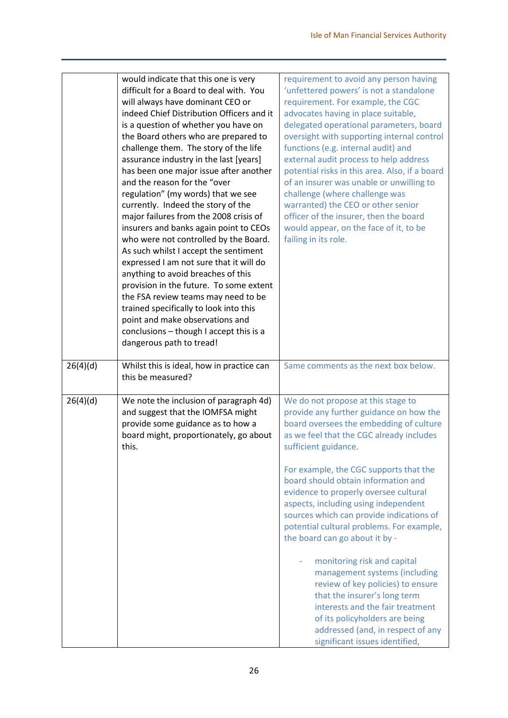|          | would indicate that this one is very<br>difficult for a Board to deal with. You<br>will always have dominant CEO or<br>indeed Chief Distribution Officers and it<br>is a question of whether you have on<br>the Board others who are prepared to<br>challenge them. The story of the life<br>assurance industry in the last [years]<br>has been one major issue after another<br>and the reason for the "over<br>regulation" (my words) that we see<br>currently. Indeed the story of the<br>major failures from the 2008 crisis of<br>insurers and banks again point to CEOs<br>who were not controlled by the Board.<br>As such whilst I accept the sentiment<br>expressed I am not sure that it will do<br>anything to avoid breaches of this<br>provision in the future. To some extent<br>the FSA review teams may need to be<br>trained specifically to look into this<br>point and make observations and<br>conclusions - though I accept this is a<br>dangerous path to tread! | requirement to avoid any person having<br>'unfettered powers' is not a standalone<br>requirement. For example, the CGC<br>advocates having in place suitable,<br>delegated operational parameters, board<br>oversight with supporting internal control<br>functions (e.g. internal audit) and<br>external audit process to help address<br>potential risks in this area. Also, if a board<br>of an insurer was unable or unwilling to<br>challenge (where challenge was<br>warranted) the CEO or other senior<br>officer of the insurer, then the board<br>would appear, on the face of it, to be<br>failing in its role.                                                                                                                                                   |
|----------|----------------------------------------------------------------------------------------------------------------------------------------------------------------------------------------------------------------------------------------------------------------------------------------------------------------------------------------------------------------------------------------------------------------------------------------------------------------------------------------------------------------------------------------------------------------------------------------------------------------------------------------------------------------------------------------------------------------------------------------------------------------------------------------------------------------------------------------------------------------------------------------------------------------------------------------------------------------------------------------|-----------------------------------------------------------------------------------------------------------------------------------------------------------------------------------------------------------------------------------------------------------------------------------------------------------------------------------------------------------------------------------------------------------------------------------------------------------------------------------------------------------------------------------------------------------------------------------------------------------------------------------------------------------------------------------------------------------------------------------------------------------------------------|
| 26(4)(d) | Whilst this is ideal, how in practice can<br>this be measured?                                                                                                                                                                                                                                                                                                                                                                                                                                                                                                                                                                                                                                                                                                                                                                                                                                                                                                                         | Same comments as the next box below.                                                                                                                                                                                                                                                                                                                                                                                                                                                                                                                                                                                                                                                                                                                                        |
| 26(4)(d) | We note the inclusion of paragraph 4d)<br>and suggest that the IOMFSA might<br>provide some guidance as to how a<br>board might, proportionately, go about<br>this.                                                                                                                                                                                                                                                                                                                                                                                                                                                                                                                                                                                                                                                                                                                                                                                                                    | We do not propose at this stage to<br>provide any further guidance on how the<br>board oversees the embedding of culture<br>as we feel that the CGC already includes<br>sufficient guidance.<br>For example, the CGC supports that the<br>board should obtain information and<br>evidence to properly oversee cultural<br>aspects, including using independent<br>sources which can provide indications of<br>potential cultural problems. For example,<br>the board can go about it by -<br>monitoring risk and capital<br>management systems (including<br>review of key policies) to ensure<br>that the insurer's long term<br>interests and the fair treatment<br>of its policyholders are being<br>addressed (and, in respect of any<br>significant issues identified, |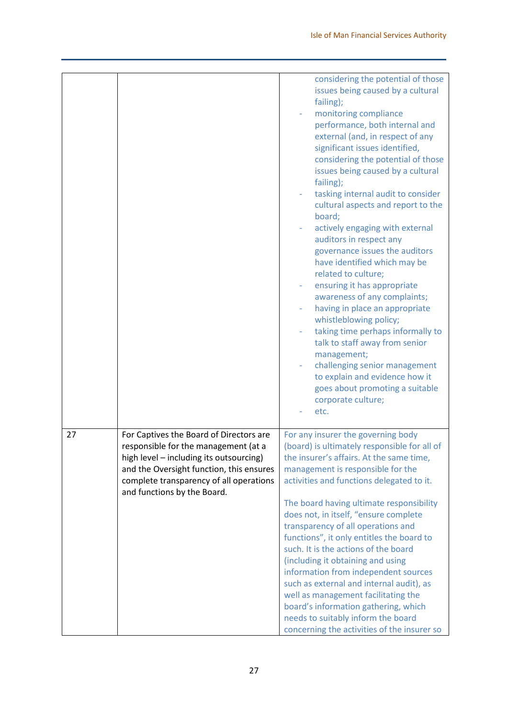|    |                                                                                                                                                                                                                                                  | considering the potential of those<br>issues being caused by a cultural<br>failing);<br>monitoring compliance<br>performance, both internal and<br>external (and, in respect of any<br>significant issues identified,<br>considering the potential of those<br>issues being caused by a cultural<br>failing);<br>tasking internal audit to consider<br>cultural aspects and report to the<br>board;<br>actively engaging with external<br>auditors in respect any<br>governance issues the auditors<br>have identified which may be<br>related to culture;<br>ensuring it has appropriate<br>awareness of any complaints;<br>having in place an appropriate<br>whistleblowing policy;<br>taking time perhaps informally to<br>talk to staff away from senior<br>management;<br>challenging senior management<br>to explain and evidence how it<br>goes about promoting a suitable<br>corporate culture;<br>etc. |
|----|--------------------------------------------------------------------------------------------------------------------------------------------------------------------------------------------------------------------------------------------------|-----------------------------------------------------------------------------------------------------------------------------------------------------------------------------------------------------------------------------------------------------------------------------------------------------------------------------------------------------------------------------------------------------------------------------------------------------------------------------------------------------------------------------------------------------------------------------------------------------------------------------------------------------------------------------------------------------------------------------------------------------------------------------------------------------------------------------------------------------------------------------------------------------------------|
|    |                                                                                                                                                                                                                                                  |                                                                                                                                                                                                                                                                                                                                                                                                                                                                                                                                                                                                                                                                                                                                                                                                                                                                                                                 |
| 27 | For Captives the Board of Directors are<br>responsible for the management (at a<br>high level - including its outsourcing)<br>and the Oversight function, this ensures<br>complete transparency of all operations<br>and functions by the Board. | For any insurer the governing body<br>(board) is ultimately responsible for all of<br>the insurer's affairs. At the same time,<br>management is responsible for the<br>activities and functions delegated to it.<br>The board having ultimate responsibility<br>does not, in itself, "ensure complete<br>transparency of all operations and<br>functions", it only entitles the board to<br>such. It is the actions of the board<br>(including it obtaining and using<br>information from independent sources<br>such as external and internal audit), as<br>well as management facilitating the<br>board's information gathering, which<br>needs to suitably inform the board<br>concerning the activities of the insurer so                                                                                                                                                                                   |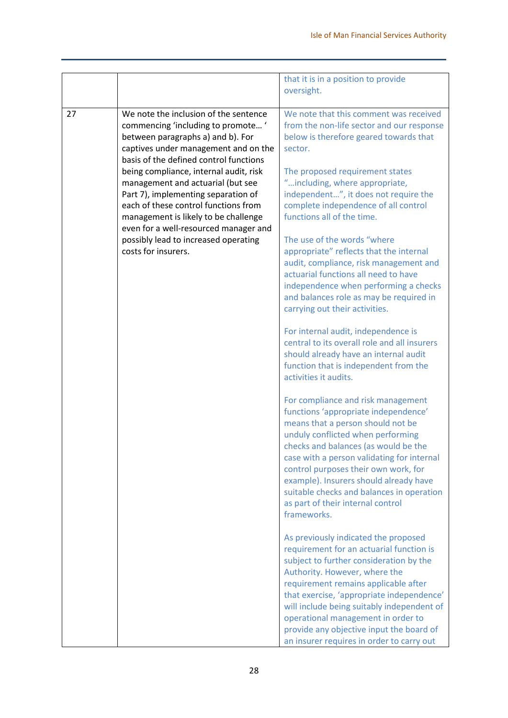|    |                                        | that it is in a position to provide          |
|----|----------------------------------------|----------------------------------------------|
|    |                                        | oversight.                                   |
|    |                                        |                                              |
| 27 | We note the inclusion of the sentence  | We note that this comment was received       |
|    | commencing 'including to promote '     | from the non-life sector and our response    |
|    | between paragraphs a) and b). For      | below is therefore geared towards that       |
|    | captives under management and on the   | sector.                                      |
|    | basis of the defined control functions |                                              |
|    | being compliance, internal audit, risk | The proposed requirement states              |
|    | management and actuarial (but see      | "including, where appropriate,               |
|    | Part 7), implementing separation of    | independent", it does not require the        |
|    | each of these control functions from   | complete independence of all control         |
|    | management is likely to be challenge   | functions all of the time.                   |
|    | even for a well-resourced manager and  |                                              |
|    | possibly lead to increased operating   | The use of the words "where                  |
|    | costs for insurers.                    | appropriate" reflects that the internal      |
|    |                                        | audit, compliance, risk management and       |
|    |                                        | actuarial functions all need to have         |
|    |                                        | independence when performing a checks        |
|    |                                        | and balances role as may be required in      |
|    |                                        | carrying out their activities.               |
|    |                                        |                                              |
|    |                                        | For internal audit, independence is          |
|    |                                        | central to its overall role and all insurers |
|    |                                        |                                              |
|    |                                        | should already have an internal audit        |
|    |                                        | function that is independent from the        |
|    |                                        | activities it audits.                        |
|    |                                        |                                              |
|    |                                        | For compliance and risk management           |
|    |                                        | functions 'appropriate independence'         |
|    |                                        | means that a person should not be            |
|    |                                        | unduly conflicted when performing            |
|    |                                        | checks and balances (as would be the         |
|    |                                        | case with a person validating for internal   |
|    |                                        | control purposes their own work, for         |
|    |                                        | example). Insurers should already have       |
|    |                                        | suitable checks and balances in operation    |
|    |                                        | as part of their internal control            |
|    |                                        | frameworks.                                  |
|    |                                        |                                              |
|    |                                        | As previously indicated the proposed         |
|    |                                        | requirement for an actuarial function is     |
|    |                                        | subject to further consideration by the      |
|    |                                        | Authority. However, where the                |
|    |                                        | requirement remains applicable after         |
|    |                                        | that exercise, 'appropriate independence'    |
|    |                                        | will include being suitably independent of   |
|    |                                        | operational management in order to           |
|    |                                        |                                              |
|    |                                        | provide any objective input the board of     |
|    |                                        | an insurer requires in order to carry out    |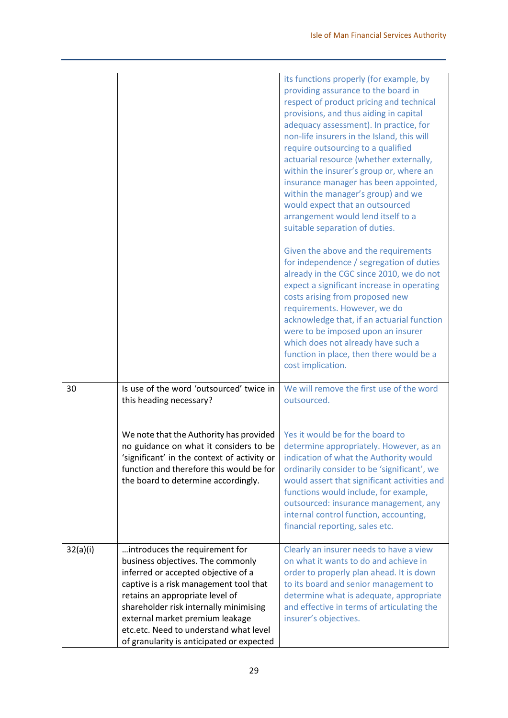|          |                                                                                                                                                                                                                                                                                                                                                             | its functions properly (for example, by<br>providing assurance to the board in<br>respect of product pricing and technical<br>provisions, and thus aiding in capital<br>adequacy assessment). In practice, for<br>non-life insurers in the Island, this will<br>require outsourcing to a qualified<br>actuarial resource (whether externally,<br>within the insurer's group or, where an<br>insurance manager has been appointed,<br>within the manager's group) and we<br>would expect that an outsourced<br>arrangement would lend itself to a<br>suitable separation of duties. |
|----------|-------------------------------------------------------------------------------------------------------------------------------------------------------------------------------------------------------------------------------------------------------------------------------------------------------------------------------------------------------------|------------------------------------------------------------------------------------------------------------------------------------------------------------------------------------------------------------------------------------------------------------------------------------------------------------------------------------------------------------------------------------------------------------------------------------------------------------------------------------------------------------------------------------------------------------------------------------|
|          |                                                                                                                                                                                                                                                                                                                                                             | Given the above and the requirements<br>for independence / segregation of duties<br>already in the CGC since 2010, we do not<br>expect a significant increase in operating<br>costs arising from proposed new<br>requirements. However, we do<br>acknowledge that, if an actuarial function<br>were to be imposed upon an insurer<br>which does not already have such a<br>function in place, then there would be a<br>cost implication.                                                                                                                                           |
| 30       | Is use of the word 'outsourced' twice in<br>this heading necessary?                                                                                                                                                                                                                                                                                         | We will remove the first use of the word<br>outsourced.                                                                                                                                                                                                                                                                                                                                                                                                                                                                                                                            |
|          | We note that the Authority has provided<br>no guidance on what it considers to be<br>'significant' in the context of activity or<br>function and therefore this would be for<br>the board to determine accordingly.                                                                                                                                         | Yes it would be for the board to<br>determine appropriately. However, as an<br>indication of what the Authority would<br>ordinarily consider to be 'significant', we<br>would assert that significant activities and<br>functions would include, for example,<br>outsourced: insurance management, any<br>internal control function, accounting,<br>financial reporting, sales etc.                                                                                                                                                                                                |
| 32(a)(i) | introduces the requirement for<br>business objectives. The commonly<br>inferred or accepted objective of a<br>captive is a risk management tool that<br>retains an appropriate level of<br>shareholder risk internally minimising<br>external market premium leakage<br>etc.etc. Need to understand what level<br>of granularity is anticipated or expected | Clearly an insurer needs to have a view<br>on what it wants to do and achieve in<br>order to properly plan ahead. It is down<br>to its board and senior management to<br>determine what is adequate, appropriate<br>and effective in terms of articulating the<br>insurer's objectives.                                                                                                                                                                                                                                                                                            |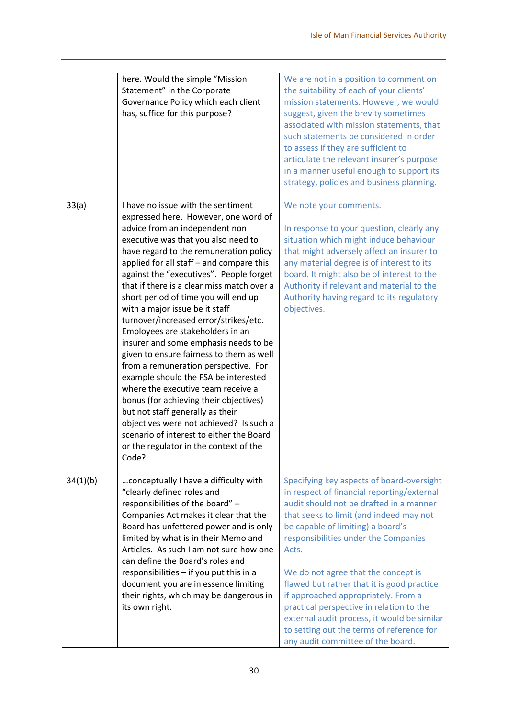|          | here. Would the simple "Mission<br>Statement" in the Corporate<br>Governance Policy which each client<br>has, suffice for this purpose?                                                                                                                                                                                                                                                                                                                                                                                                                                                                                                                                                                                                                                                                                                                                                                                      | We are not in a position to comment on<br>the suitability of each of your clients'<br>mission statements. However, we would<br>suggest, given the brevity sometimes<br>associated with mission statements, that<br>such statements be considered in order<br>to assess if they are sufficient to<br>articulate the relevant insurer's purpose<br>in a manner useful enough to support its<br>strategy, policies and business planning.                                                                                                                                       |
|----------|------------------------------------------------------------------------------------------------------------------------------------------------------------------------------------------------------------------------------------------------------------------------------------------------------------------------------------------------------------------------------------------------------------------------------------------------------------------------------------------------------------------------------------------------------------------------------------------------------------------------------------------------------------------------------------------------------------------------------------------------------------------------------------------------------------------------------------------------------------------------------------------------------------------------------|------------------------------------------------------------------------------------------------------------------------------------------------------------------------------------------------------------------------------------------------------------------------------------------------------------------------------------------------------------------------------------------------------------------------------------------------------------------------------------------------------------------------------------------------------------------------------|
| 33(a)    | I have no issue with the sentiment<br>expressed here. However, one word of<br>advice from an independent non<br>executive was that you also need to<br>have regard to the remuneration policy<br>applied for all staff - and compare this<br>against the "executives". People forget<br>that if there is a clear miss match over a<br>short period of time you will end up<br>with a major issue be it staff<br>turnover/increased error/strikes/etc.<br>Employees are stakeholders in an<br>insurer and some emphasis needs to be<br>given to ensure fairness to them as well<br>from a remuneration perspective. For<br>example should the FSA be interested<br>where the executive team receive a<br>bonus (for achieving their objectives)<br>but not staff generally as their<br>objectives were not achieved? Is such a<br>scenario of interest to either the Board<br>or the regulator in the context of the<br>Code? | We note your comments.<br>In response to your question, clearly any<br>situation which might induce behaviour<br>that might adversely affect an insurer to<br>any material degree is of interest to its<br>board. It might also be of interest to the<br>Authority if relevant and material to the<br>Authority having regard to its regulatory<br>objectives.                                                                                                                                                                                                               |
| 34(1)(b) | conceptually I have a difficulty with<br>"clearly defined roles and<br>responsibilities of the board" -<br>Companies Act makes it clear that the<br>Board has unfettered power and is only<br>limited by what is in their Memo and<br>Articles. As such I am not sure how one<br>can define the Board's roles and<br>responsibilities $-$ if you put this in a<br>document you are in essence limiting<br>their rights, which may be dangerous in<br>its own right.                                                                                                                                                                                                                                                                                                                                                                                                                                                          | Specifying key aspects of board-oversight<br>in respect of financial reporting/external<br>audit should not be drafted in a manner<br>that seeks to limit (and indeed may not<br>be capable of limiting) a board's<br>responsibilities under the Companies<br>Acts.<br>We do not agree that the concept is<br>flawed but rather that it is good practice<br>if approached appropriately. From a<br>practical perspective in relation to the<br>external audit process, it would be similar<br>to setting out the terms of reference for<br>any audit committee of the board. |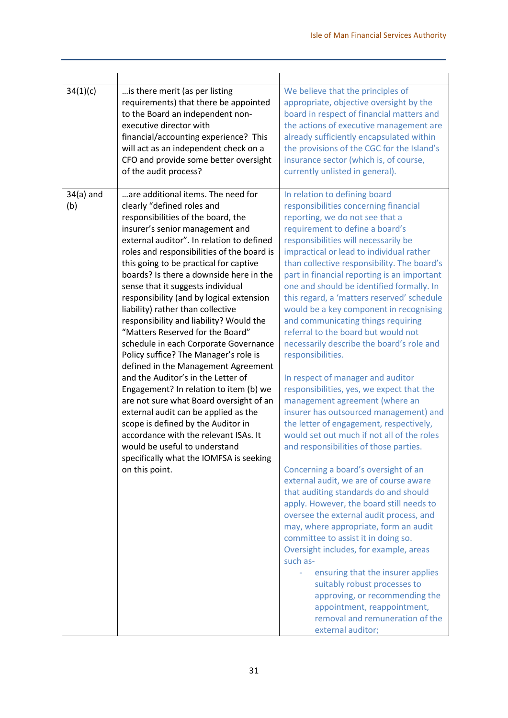| 34(1)(c)           | is there merit (as per listing<br>requirements) that there be appointed<br>to the Board an independent non-<br>executive director with<br>financial/accounting experience? This<br>will act as an independent check on a<br>CFO and provide some better oversight<br>of the audit process?                                                                                                                                                                                                                                                                                                                                                                                                                                                                                                                                                                                                                                                                                                              | We believe that the principles of<br>appropriate, objective oversight by the<br>board in respect of financial matters and<br>the actions of executive management are<br>already sufficiently encapsulated within<br>the provisions of the CGC for the Island's<br>insurance sector (which is, of course,<br>currently unlisted in general).                                                                                                                                                                                                                                                                                                                                                                                                                                                                                                                                                                                                                                                                                                                                                                                                                                                                                                                                                                                                                                                                                                                                |
|--------------------|---------------------------------------------------------------------------------------------------------------------------------------------------------------------------------------------------------------------------------------------------------------------------------------------------------------------------------------------------------------------------------------------------------------------------------------------------------------------------------------------------------------------------------------------------------------------------------------------------------------------------------------------------------------------------------------------------------------------------------------------------------------------------------------------------------------------------------------------------------------------------------------------------------------------------------------------------------------------------------------------------------|----------------------------------------------------------------------------------------------------------------------------------------------------------------------------------------------------------------------------------------------------------------------------------------------------------------------------------------------------------------------------------------------------------------------------------------------------------------------------------------------------------------------------------------------------------------------------------------------------------------------------------------------------------------------------------------------------------------------------------------------------------------------------------------------------------------------------------------------------------------------------------------------------------------------------------------------------------------------------------------------------------------------------------------------------------------------------------------------------------------------------------------------------------------------------------------------------------------------------------------------------------------------------------------------------------------------------------------------------------------------------------------------------------------------------------------------------------------------------|
| $34(a)$ and<br>(b) | are additional items. The need for<br>clearly "defined roles and<br>responsibilities of the board, the<br>insurer's senior management and<br>external auditor". In relation to defined<br>roles and responsibilities of the board is<br>this going to be practical for captive<br>boards? Is there a downside here in the<br>sense that it suggests individual<br>responsibility (and by logical extension<br>liability) rather than collective<br>responsibility and liability? Would the<br>"Matters Reserved for the Board"<br>schedule in each Corporate Governance<br>Policy suffice? The Manager's role is<br>defined in the Management Agreement<br>and the Auditor's in the Letter of<br>Engagement? In relation to item (b) we<br>are not sure what Board oversight of an<br>external audit can be applied as the<br>scope is defined by the Auditor in<br>accordance with the relevant ISAs. It<br>would be useful to understand<br>specifically what the IOMFSA is seeking<br>on this point. | In relation to defining board<br>responsibilities concerning financial<br>reporting, we do not see that a<br>requirement to define a board's<br>responsibilities will necessarily be<br>impractical or lead to individual rather<br>than collective responsibility. The board's<br>part in financial reporting is an important<br>one and should be identified formally. In<br>this regard, a 'matters reserved' schedule<br>would be a key component in recognising<br>and communicating things requiring<br>referral to the board but would not<br>necessarily describe the board's role and<br>responsibilities.<br>In respect of manager and auditor<br>responsibilities, yes, we expect that the<br>management agreement (where an<br>insurer has outsourced management) and<br>the letter of engagement, respectively,<br>would set out much if not all of the roles<br>and responsibilities of those parties.<br>Concerning a board's oversight of an<br>external audit, we are of course aware<br>that auditing standards do and should<br>apply. However, the board still needs to<br>oversee the external audit process, and<br>may, where appropriate, form an audit<br>committee to assist it in doing so.<br>Oversight includes, for example, areas<br>such as-<br>ensuring that the insurer applies<br>suitably robust processes to<br>approving, or recommending the<br>appointment, reappointment,<br>removal and remuneration of the<br>external auditor; |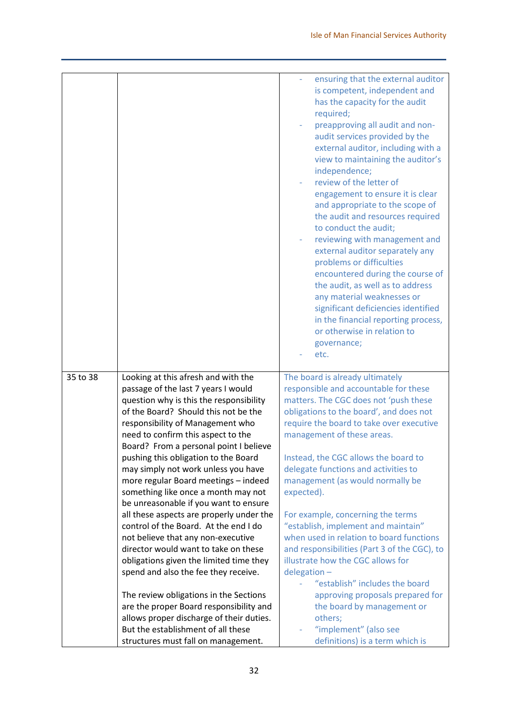|          |                                                                                     | ensuring that the external auditor<br>is competent, independent and<br>has the capacity for the audit<br>required;<br>preapproving all audit and non-<br>audit services provided by the<br>external auditor, including with a<br>view to maintaining the auditor's<br>independence;<br>review of the letter of<br>engagement to ensure it is clear<br>and appropriate to the scope of<br>the audit and resources required<br>to conduct the audit;<br>reviewing with management and<br>external auditor separately any<br>problems or difficulties<br>encountered during the course of<br>the audit, as well as to address<br>any material weaknesses or<br>significant deficiencies identified<br>in the financial reporting process,<br>or otherwise in relation to<br>governance;<br>etc. |
|----------|-------------------------------------------------------------------------------------|----------------------------------------------------------------------------------------------------------------------------------------------------------------------------------------------------------------------------------------------------------------------------------------------------------------------------------------------------------------------------------------------------------------------------------------------------------------------------------------------------------------------------------------------------------------------------------------------------------------------------------------------------------------------------------------------------------------------------------------------------------------------------------------------|
|          |                                                                                     |                                                                                                                                                                                                                                                                                                                                                                                                                                                                                                                                                                                                                                                                                                                                                                                              |
| 35 to 38 | Looking at this afresh and with the<br>passage of the last 7 years I would          | The board is already ultimately<br>responsible and accountable for these                                                                                                                                                                                                                                                                                                                                                                                                                                                                                                                                                                                                                                                                                                                     |
|          | question why is this the responsibility                                             | matters. The CGC does not 'push these                                                                                                                                                                                                                                                                                                                                                                                                                                                                                                                                                                                                                                                                                                                                                        |
|          | of the Board? Should this not be the                                                | obligations to the board', and does not                                                                                                                                                                                                                                                                                                                                                                                                                                                                                                                                                                                                                                                                                                                                                      |
|          | responsibility of Management who                                                    | require the board to take over executive                                                                                                                                                                                                                                                                                                                                                                                                                                                                                                                                                                                                                                                                                                                                                     |
|          | need to confirm this aspect to the                                                  | management of these areas.                                                                                                                                                                                                                                                                                                                                                                                                                                                                                                                                                                                                                                                                                                                                                                   |
|          | Board? From a personal point I believe                                              |                                                                                                                                                                                                                                                                                                                                                                                                                                                                                                                                                                                                                                                                                                                                                                                              |
|          | pushing this obligation to the Board                                                | Instead, the CGC allows the board to                                                                                                                                                                                                                                                                                                                                                                                                                                                                                                                                                                                                                                                                                                                                                         |
|          | may simply not work unless you have                                                 | delegate functions and activities to                                                                                                                                                                                                                                                                                                                                                                                                                                                                                                                                                                                                                                                                                                                                                         |
|          | more regular Board meetings - indeed                                                | management (as would normally be                                                                                                                                                                                                                                                                                                                                                                                                                                                                                                                                                                                                                                                                                                                                                             |
|          | something like once a month may not                                                 | expected).                                                                                                                                                                                                                                                                                                                                                                                                                                                                                                                                                                                                                                                                                                                                                                                   |
|          | be unreasonable if you want to ensure                                               |                                                                                                                                                                                                                                                                                                                                                                                                                                                                                                                                                                                                                                                                                                                                                                                              |
|          | all these aspects are properly under the                                            | For example, concerning the terms                                                                                                                                                                                                                                                                                                                                                                                                                                                                                                                                                                                                                                                                                                                                                            |
|          | control of the Board. At the end I do                                               | "establish, implement and maintain"                                                                                                                                                                                                                                                                                                                                                                                                                                                                                                                                                                                                                                                                                                                                                          |
|          | not believe that any non-executive                                                  | when used in relation to board functions                                                                                                                                                                                                                                                                                                                                                                                                                                                                                                                                                                                                                                                                                                                                                     |
|          | director would want to take on these                                                | and responsibilities (Part 3 of the CGC), to                                                                                                                                                                                                                                                                                                                                                                                                                                                                                                                                                                                                                                                                                                                                                 |
|          | obligations given the limited time they                                             | illustrate how the CGC allows for                                                                                                                                                                                                                                                                                                                                                                                                                                                                                                                                                                                                                                                                                                                                                            |
|          | spend and also the fee they receive.                                                | $delegation -$                                                                                                                                                                                                                                                                                                                                                                                                                                                                                                                                                                                                                                                                                                                                                                               |
|          |                                                                                     | "establish" includes the board                                                                                                                                                                                                                                                                                                                                                                                                                                                                                                                                                                                                                                                                                                                                                               |
|          | The review obligations in the Sections                                              | approving proposals prepared for                                                                                                                                                                                                                                                                                                                                                                                                                                                                                                                                                                                                                                                                                                                                                             |
|          | are the proper Board responsibility and<br>allows proper discharge of their duties. | the board by management or<br>others;                                                                                                                                                                                                                                                                                                                                                                                                                                                                                                                                                                                                                                                                                                                                                        |
|          | But the establishment of all these                                                  | "implement" (also see                                                                                                                                                                                                                                                                                                                                                                                                                                                                                                                                                                                                                                                                                                                                                                        |
|          | structures must fall on management.                                                 | definitions) is a term which is                                                                                                                                                                                                                                                                                                                                                                                                                                                                                                                                                                                                                                                                                                                                                              |
|          |                                                                                     |                                                                                                                                                                                                                                                                                                                                                                                                                                                                                                                                                                                                                                                                                                                                                                                              |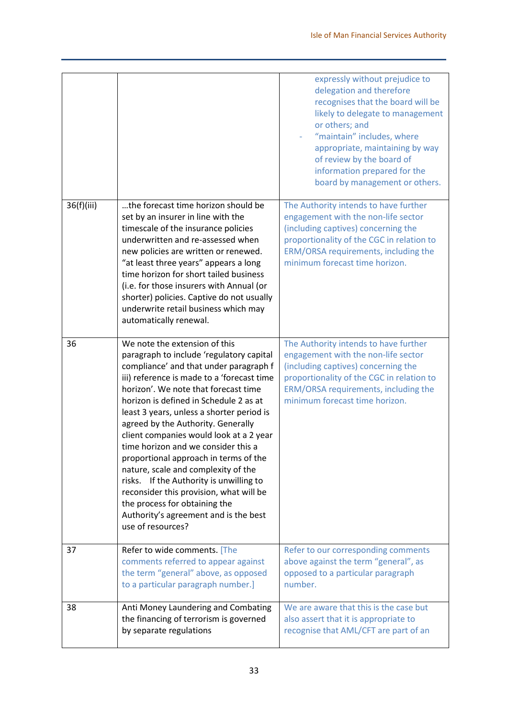|            |                                                                                                                                                                                                                                                                                                                                                                                                                                                                                                                                                                                                                                                                                               | expressly without prejudice to<br>delegation and therefore<br>recognises that the board will be<br>likely to delegate to management<br>or others; and<br>"maintain" includes, where<br>appropriate, maintaining by way<br>of review by the board of<br>information prepared for the<br>board by management or others. |
|------------|-----------------------------------------------------------------------------------------------------------------------------------------------------------------------------------------------------------------------------------------------------------------------------------------------------------------------------------------------------------------------------------------------------------------------------------------------------------------------------------------------------------------------------------------------------------------------------------------------------------------------------------------------------------------------------------------------|-----------------------------------------------------------------------------------------------------------------------------------------------------------------------------------------------------------------------------------------------------------------------------------------------------------------------|
| 36(f)(iii) | the forecast time horizon should be<br>set by an insurer in line with the<br>timescale of the insurance policies<br>underwritten and re-assessed when<br>new policies are written or renewed.<br>"at least three years" appears a long<br>time horizon for short tailed business<br>(i.e. for those insurers with Annual (or<br>shorter) policies. Captive do not usually<br>underwrite retail business which may<br>automatically renewal.                                                                                                                                                                                                                                                   | The Authority intends to have further<br>engagement with the non-life sector<br>(including captives) concerning the<br>proportionality of the CGC in relation to<br>ERM/ORSA requirements, including the<br>minimum forecast time horizon.                                                                            |
| 36         | We note the extension of this<br>paragraph to include 'regulatory capital<br>compliance' and that under paragraph f<br>iii) reference is made to a 'forecast time<br>horizon'. We note that forecast time<br>horizon is defined in Schedule 2 as at<br>least 3 years, unless a shorter period is<br>agreed by the Authority. Generally<br>client companies would look at a 2 year<br>time horizon and we consider this a<br>proportional approach in terms of the<br>nature, scale and complexity of the<br>risks. If the Authority is unwilling to<br>reconsider this provision, what will be<br>the process for obtaining the<br>Authority's agreement and is the best<br>use of resources? | The Authority intends to have further<br>engagement with the non-life sector<br>(including captives) concerning the<br>proportionality of the CGC in relation to<br>ERM/ORSA requirements, including the<br>minimum forecast time horizon.                                                                            |
| 37         | Refer to wide comments. [The<br>comments referred to appear against<br>the term "general" above, as opposed<br>to a particular paragraph number.]                                                                                                                                                                                                                                                                                                                                                                                                                                                                                                                                             | Refer to our corresponding comments<br>above against the term "general", as<br>opposed to a particular paragraph<br>number.                                                                                                                                                                                           |
| 38         | Anti Money Laundering and Combating<br>the financing of terrorism is governed<br>by separate regulations                                                                                                                                                                                                                                                                                                                                                                                                                                                                                                                                                                                      | We are aware that this is the case but<br>also assert that it is appropriate to<br>recognise that AML/CFT are part of an                                                                                                                                                                                              |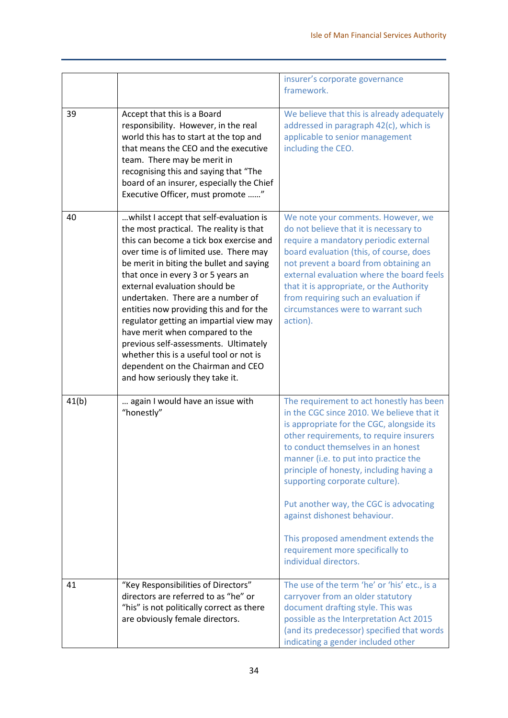|       |                                                                                                                                                                                                                                                                                                                                                                                                                                                                                                                                                                                                                      | insurer's corporate governance<br>framework.                                                                                                                                                                                                                                                                                                                                                                                                                                                                             |
|-------|----------------------------------------------------------------------------------------------------------------------------------------------------------------------------------------------------------------------------------------------------------------------------------------------------------------------------------------------------------------------------------------------------------------------------------------------------------------------------------------------------------------------------------------------------------------------------------------------------------------------|--------------------------------------------------------------------------------------------------------------------------------------------------------------------------------------------------------------------------------------------------------------------------------------------------------------------------------------------------------------------------------------------------------------------------------------------------------------------------------------------------------------------------|
| 39    | Accept that this is a Board<br>responsibility. However, in the real<br>world this has to start at the top and<br>that means the CEO and the executive<br>team. There may be merit in<br>recognising this and saying that "The<br>board of an insurer, especially the Chief<br>Executive Officer, must promote "                                                                                                                                                                                                                                                                                                      | We believe that this is already adequately<br>addressed in paragraph 42(c), which is<br>applicable to senior management<br>including the CEO.                                                                                                                                                                                                                                                                                                                                                                            |
| 40    | whilst I accept that self-evaluation is<br>the most practical. The reality is that<br>this can become a tick box exercise and<br>over time is of limited use. There may<br>be merit in biting the bullet and saying<br>that once in every 3 or 5 years an<br>external evaluation should be<br>undertaken. There are a number of<br>entities now providing this and for the<br>regulator getting an impartial view may<br>have merit when compared to the<br>previous self-assessments. Ultimately<br>whether this is a useful tool or not is<br>dependent on the Chairman and CEO<br>and how seriously they take it. | We note your comments. However, we<br>do not believe that it is necessary to<br>require a mandatory periodic external<br>board evaluation (this, of course, does<br>not prevent a board from obtaining an<br>external evaluation where the board feels<br>that it is appropriate, or the Authority<br>from requiring such an evaluation if<br>circumstances were to warrant such<br>action).                                                                                                                             |
| 41(b) | again I would have an issue with<br>"honestly"                                                                                                                                                                                                                                                                                                                                                                                                                                                                                                                                                                       | The requirement to act honestly has been<br>in the CGC since 2010. We believe that it<br>is appropriate for the CGC, alongside its<br>other requirements, to require insurers<br>to conduct themselves in an honest<br>manner (i.e. to put into practice the<br>principle of honesty, including having a<br>supporting corporate culture).<br>Put another way, the CGC is advocating<br>against dishonest behaviour.<br>This proposed amendment extends the<br>requirement more specifically to<br>individual directors. |
| 41    | "Key Responsibilities of Directors"<br>directors are referred to as "he" or<br>"his" is not politically correct as there<br>are obviously female directors.                                                                                                                                                                                                                                                                                                                                                                                                                                                          | The use of the term 'he' or 'his' etc., is a<br>carryover from an older statutory<br>document drafting style. This was<br>possible as the Interpretation Act 2015<br>(and its predecessor) specified that words<br>indicating a gender included other                                                                                                                                                                                                                                                                    |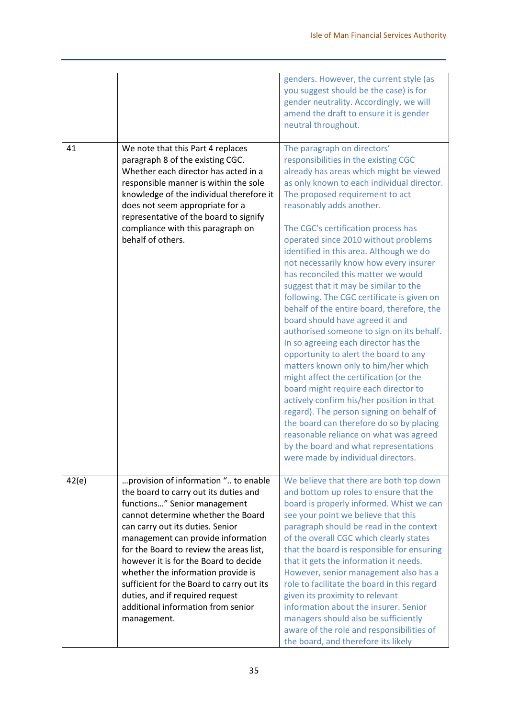|       |                                                                                                                                                                                                                                                                                                                                                                                                                                                                                              | genders. However, the current style (as<br>you suggest should be the case) is for<br>gender neutrality. Accordingly, we will<br>amend the draft to ensure it is gender<br>neutral throughout.                                                                                                                                                                                                                                                                                                                                                                                                                                                                                                                                                                                                                                                                                                                                                                                                                                                                                                                                       |
|-------|----------------------------------------------------------------------------------------------------------------------------------------------------------------------------------------------------------------------------------------------------------------------------------------------------------------------------------------------------------------------------------------------------------------------------------------------------------------------------------------------|-------------------------------------------------------------------------------------------------------------------------------------------------------------------------------------------------------------------------------------------------------------------------------------------------------------------------------------------------------------------------------------------------------------------------------------------------------------------------------------------------------------------------------------------------------------------------------------------------------------------------------------------------------------------------------------------------------------------------------------------------------------------------------------------------------------------------------------------------------------------------------------------------------------------------------------------------------------------------------------------------------------------------------------------------------------------------------------------------------------------------------------|
| 41    | We note that this Part 4 replaces<br>paragraph 8 of the existing CGC.<br>Whether each director has acted in a<br>responsible manner is within the sole<br>knowledge of the individual therefore it<br>does not seem appropriate for a<br>representative of the board to signify<br>compliance with this paragraph on<br>behalf of others.                                                                                                                                                    | The paragraph on directors'<br>responsibilities in the existing CGC<br>already has areas which might be viewed<br>as only known to each individual director.<br>The proposed requirement to act<br>reasonably adds another.<br>The CGC's certification process has<br>operated since 2010 without problems<br>identified in this area. Although we do<br>not necessarily know how every insurer<br>has reconciled this matter we would<br>suggest that it may be similar to the<br>following. The CGC certificate is given on<br>behalf of the entire board, therefore, the<br>board should have agreed it and<br>authorised someone to sign on its behalf.<br>In so agreeing each director has the<br>opportunity to alert the board to any<br>matters known only to him/her which<br>might affect the certification (or the<br>board might require each director to<br>actively confirm his/her position in that<br>regard). The person signing on behalf of<br>the board can therefore do so by placing<br>reasonable reliance on what was agreed<br>by the board and what representations<br>were made by individual directors. |
| 42(e) | provision of information " to enable<br>the board to carry out its duties and<br>functions" Senior management<br>cannot determine whether the Board<br>can carry out its duties. Senior<br>management can provide information<br>for the Board to review the areas list,<br>however it is for the Board to decide<br>whether the information provide is<br>sufficient for the Board to carry out its<br>duties, and if required request<br>additional information from senior<br>management. | We believe that there are both top down<br>and bottom up roles to ensure that the<br>board is properly informed. Whist we can<br>see your point we believe that this<br>paragraph should be read in the context<br>of the overall CGC which clearly states<br>that the board is responsible for ensuring<br>that it gets the information it needs.<br>However, senior management also has a<br>role to facilitate the board in this regard<br>given its proximity to relevant<br>information about the insurer. Senior<br>managers should also be sufficiently<br>aware of the role and responsibilities of<br>the board, and therefore its likely                                                                                                                                                                                                                                                                                                                                                                                                                                                                                  |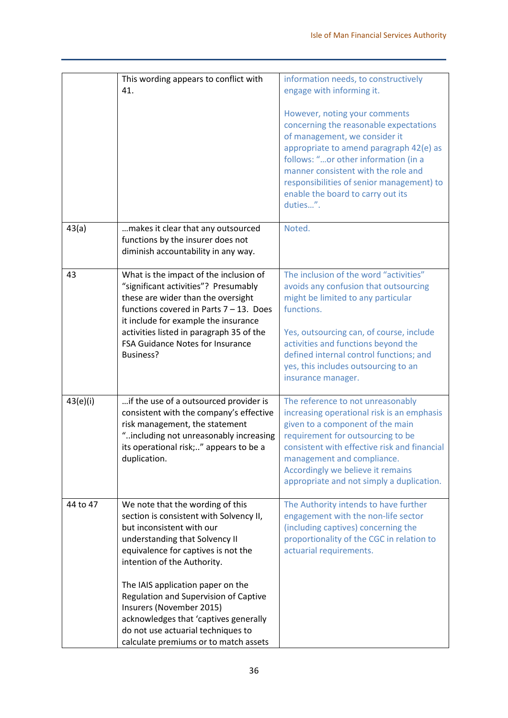|          | This wording appears to conflict with<br>41.                                                                                                                                                                                                                                                                                                                                                                                                       | information needs, to constructively<br>engage with informing it.<br>However, noting your comments<br>concerning the reasonable expectations<br>of management, we consider it<br>appropriate to amend paragraph 42(e) as<br>follows: "or other information (in a<br>manner consistent with the role and<br>responsibilities of senior management) to<br>enable the board to carry out its<br>duties". |
|----------|----------------------------------------------------------------------------------------------------------------------------------------------------------------------------------------------------------------------------------------------------------------------------------------------------------------------------------------------------------------------------------------------------------------------------------------------------|-------------------------------------------------------------------------------------------------------------------------------------------------------------------------------------------------------------------------------------------------------------------------------------------------------------------------------------------------------------------------------------------------------|
| 43(a)    | makes it clear that any outsourced<br>functions by the insurer does not<br>diminish accountability in any way.                                                                                                                                                                                                                                                                                                                                     | Noted.                                                                                                                                                                                                                                                                                                                                                                                                |
| 43       | What is the impact of the inclusion of<br>"significant activities"? Presumably<br>these are wider than the oversight<br>functions covered in Parts $7 - 13$ . Does<br>it include for example the insurance<br>activities listed in paragraph 35 of the<br>FSA Guidance Notes for Insurance<br>Business?                                                                                                                                            | The inclusion of the word "activities"<br>avoids any confusion that outsourcing<br>might be limited to any particular<br>functions.<br>Yes, outsourcing can, of course, include<br>activities and functions beyond the<br>defined internal control functions; and<br>yes, this includes outsourcing to an<br>insurance manager.                                                                       |
| 43(e)(i) | if the use of a outsourced provider is<br>consistent with the company's effective<br>risk management, the statement<br>"including not unreasonably increasing<br>its operational risk;" appears to be a<br>duplication.                                                                                                                                                                                                                            | The reference to not unreasonably<br>increasing operational risk is an emphasis<br>given to a component of the main<br>requirement for outsourcing to be<br>consistent with effective risk and financial<br>management and compliance.<br>Accordingly we believe it remains<br>appropriate and not simply a duplication.                                                                              |
| 44 to 47 | We note that the wording of this<br>section is consistent with Solvency II,<br>but inconsistent with our<br>understanding that Solvency II<br>equivalence for captives is not the<br>intention of the Authority.<br>The IAIS application paper on the<br>Regulation and Supervision of Captive<br>Insurers (November 2015)<br>acknowledges that 'captives generally<br>do not use actuarial techniques to<br>calculate premiums or to match assets | The Authority intends to have further<br>engagement with the non-life sector<br>(including captives) concerning the<br>proportionality of the CGC in relation to<br>actuarial requirements.                                                                                                                                                                                                           |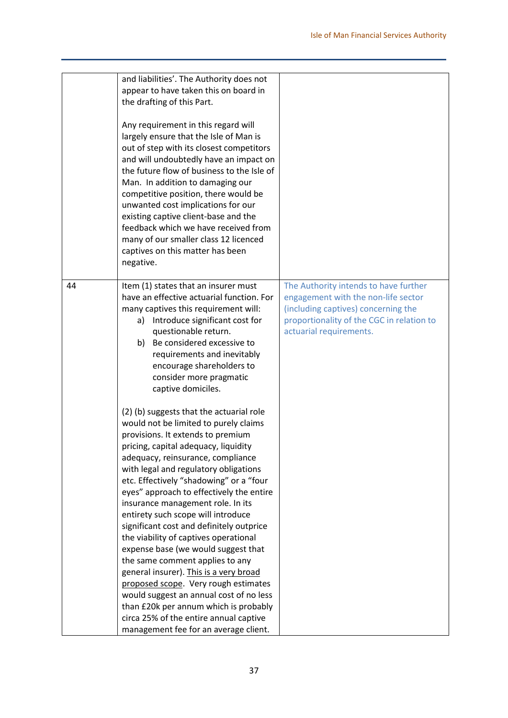|    | and liabilities'. The Authority does not<br>appear to have taken this on board in<br>the drafting of this Part.<br>Any requirement in this regard will<br>largely ensure that the Isle of Man is<br>out of step with its closest competitors<br>and will undoubtedly have an impact on<br>the future flow of business to the Isle of<br>Man. In addition to damaging our<br>competitive position, there would be<br>unwanted cost implications for our<br>existing captive client-base and the<br>feedback which we have received from<br>many of our smaller class 12 licenced<br>captives on this matter has been<br>negative.                                                                                                                                                                                                       |                                                                                                                                                                                             |
|----|----------------------------------------------------------------------------------------------------------------------------------------------------------------------------------------------------------------------------------------------------------------------------------------------------------------------------------------------------------------------------------------------------------------------------------------------------------------------------------------------------------------------------------------------------------------------------------------------------------------------------------------------------------------------------------------------------------------------------------------------------------------------------------------------------------------------------------------|---------------------------------------------------------------------------------------------------------------------------------------------------------------------------------------------|
| 44 | Item (1) states that an insurer must<br>have an effective actuarial function. For<br>many captives this requirement will:<br>a) Introduce significant cost for<br>questionable return.<br>b) Be considered excessive to<br>requirements and inevitably<br>encourage shareholders to<br>consider more pragmatic<br>captive domiciles.                                                                                                                                                                                                                                                                                                                                                                                                                                                                                                   | The Authority intends to have further<br>engagement with the non-life sector<br>(including captives) concerning the<br>proportionality of the CGC in relation to<br>actuarial requirements. |
|    | (2) (b) suggests that the actuarial role<br>would not be limited to purely claims<br>provisions. It extends to premium<br>pricing, capital adequacy, liquidity<br>adequacy, reinsurance, compliance<br>with legal and regulatory obligations<br>etc. Effectively "shadowing" or a "four<br>eyes" approach to effectively the entire<br>insurance management role. In its<br>entirety such scope will introduce<br>significant cost and definitely outprice<br>the viability of captives operational<br>expense base (we would suggest that<br>the same comment applies to any<br>general insurer). This is a very broad<br>proposed scope. Very rough estimates<br>would suggest an annual cost of no less<br>than £20k per annum which is probably<br>circa 25% of the entire annual captive<br>management fee for an average client. |                                                                                                                                                                                             |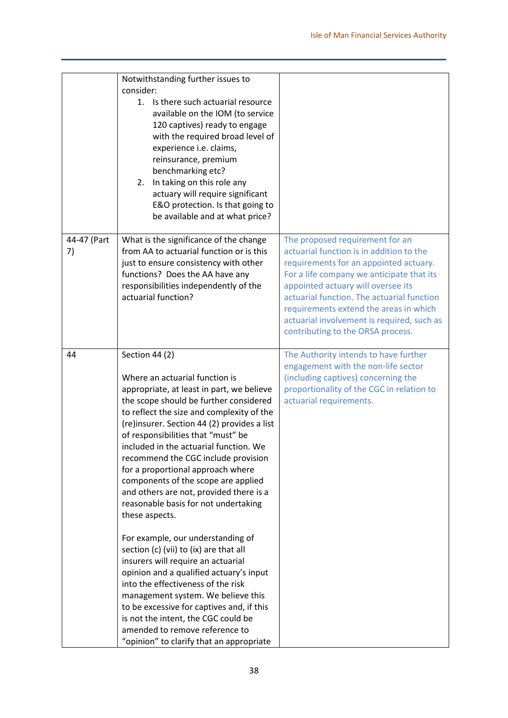|                   | Notwithstanding further issues to<br>consider:<br>Is there such actuarial resource<br>1.<br>available on the IOM (to service<br>120 captives) ready to engage<br>with the required broad level of<br>experience i.e. claims,<br>reinsurance, premium<br>benchmarking etc?<br>In taking on this role any<br>2.<br>actuary will require significant<br>E&O protection. Is that going to<br>be available and at what price?                                                                                                                                                                                                                                                                                                                                                                                                                                                                                                                                  |                                                                                                                                                                                                                                                                                                                                                                                     |
|-------------------|-----------------------------------------------------------------------------------------------------------------------------------------------------------------------------------------------------------------------------------------------------------------------------------------------------------------------------------------------------------------------------------------------------------------------------------------------------------------------------------------------------------------------------------------------------------------------------------------------------------------------------------------------------------------------------------------------------------------------------------------------------------------------------------------------------------------------------------------------------------------------------------------------------------------------------------------------------------|-------------------------------------------------------------------------------------------------------------------------------------------------------------------------------------------------------------------------------------------------------------------------------------------------------------------------------------------------------------------------------------|
| 44-47 (Part<br>7) | What is the significance of the change<br>from AA to actuarial function or is this<br>just to ensure consistency with other<br>functions? Does the AA have any<br>responsibilities independently of the<br>actuarial function?                                                                                                                                                                                                                                                                                                                                                                                                                                                                                                                                                                                                                                                                                                                            | The proposed requirement for an<br>actuarial function is in addition to the<br>requirements for an appointed actuary.<br>For a life company we anticipate that its<br>appointed actuary will oversee its<br>actuarial function. The actuarial function<br>requirements extend the areas in which<br>actuarial involvement is required, such as<br>contributing to the ORSA process. |
| 44                | Section 44 (2)<br>Where an actuarial function is<br>appropriate, at least in part, we believe<br>the scope should be further considered<br>to reflect the size and complexity of the<br>(re)insurer. Section 44 (2) provides a list<br>of responsibilities that "must" be<br>included in the actuarial function. We<br>recommend the CGC include provision<br>for a proportional approach where<br>components of the scope are applied<br>and others are not, provided there is a<br>reasonable basis for not undertaking<br>these aspects.<br>For example, our understanding of<br>section (c) (vii) to (ix) are that all<br>insurers will require an actuarial<br>opinion and a qualified actuary's input<br>into the effectiveness of the risk<br>management system. We believe this<br>to be excessive for captives and, if this<br>is not the intent, the CGC could be<br>amended to remove reference to<br>"opinion" to clarify that an appropriate | The Authority intends to have further<br>engagement with the non-life sector<br>(including captives) concerning the<br>proportionality of the CGC in relation to<br>actuarial requirements.                                                                                                                                                                                         |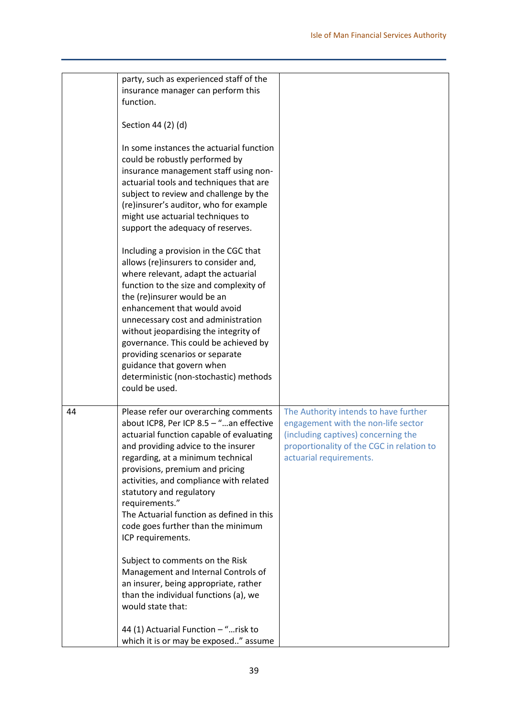|    | party, such as experienced staff of the                                                                                                                                                                                                                                                                                                                                                                                                                                                                                                                                                                                       |                                                                                                                                                                                             |
|----|-------------------------------------------------------------------------------------------------------------------------------------------------------------------------------------------------------------------------------------------------------------------------------------------------------------------------------------------------------------------------------------------------------------------------------------------------------------------------------------------------------------------------------------------------------------------------------------------------------------------------------|---------------------------------------------------------------------------------------------------------------------------------------------------------------------------------------------|
|    | insurance manager can perform this                                                                                                                                                                                                                                                                                                                                                                                                                                                                                                                                                                                            |                                                                                                                                                                                             |
|    | function.                                                                                                                                                                                                                                                                                                                                                                                                                                                                                                                                                                                                                     |                                                                                                                                                                                             |
|    |                                                                                                                                                                                                                                                                                                                                                                                                                                                                                                                                                                                                                               |                                                                                                                                                                                             |
|    | Section 44 (2) (d)                                                                                                                                                                                                                                                                                                                                                                                                                                                                                                                                                                                                            |                                                                                                                                                                                             |
|    | In some instances the actuarial function<br>could be robustly performed by<br>insurance management staff using non-<br>actuarial tools and techniques that are<br>subject to review and challenge by the<br>(re)insurer's auditor, who for example<br>might use actuarial techniques to<br>support the adequacy of reserves.                                                                                                                                                                                                                                                                                                  |                                                                                                                                                                                             |
|    | Including a provision in the CGC that<br>allows (re)insurers to consider and,<br>where relevant, adapt the actuarial<br>function to the size and complexity of<br>the (re)insurer would be an<br>enhancement that would avoid<br>unnecessary cost and administration<br>without jeopardising the integrity of<br>governance. This could be achieved by<br>providing scenarios or separate<br>guidance that govern when<br>deterministic (non-stochastic) methods<br>could be used.                                                                                                                                            |                                                                                                                                                                                             |
| 44 | Please refer our overarching comments<br>about ICP8, Per ICP 8.5 - "an effective<br>actuarial function capable of evaluating<br>and providing advice to the insurer<br>regarding, at a minimum technical<br>provisions, premium and pricing<br>activities, and compliance with related<br>statutory and regulatory<br>requirements."<br>The Actuarial function as defined in this<br>code goes further than the minimum<br>ICP requirements.<br>Subject to comments on the Risk<br>Management and Internal Controls of<br>an insurer, being appropriate, rather<br>than the individual functions (a), we<br>would state that: | The Authority intends to have further<br>engagement with the non-life sector<br>(including captives) concerning the<br>proportionality of the CGC in relation to<br>actuarial requirements. |
|    | 44 (1) Actuarial Function - "risk to<br>which it is or may be exposed" assume                                                                                                                                                                                                                                                                                                                                                                                                                                                                                                                                                 |                                                                                                                                                                                             |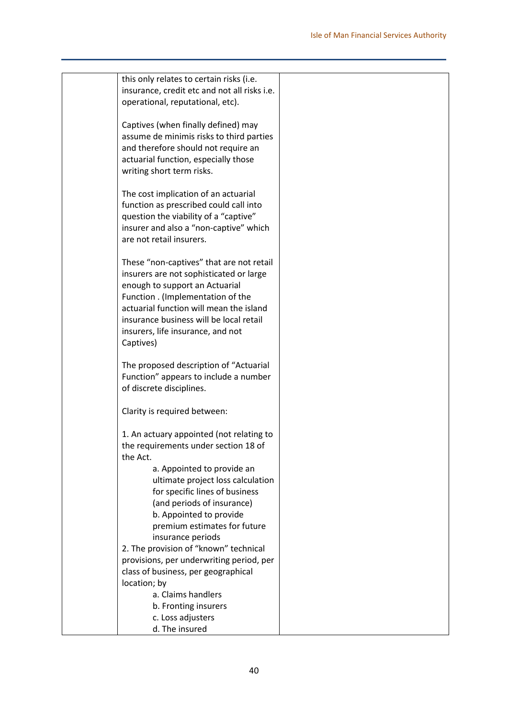| this only relates to certain risks (i.e.     |  |
|----------------------------------------------|--|
| insurance, credit etc and not all risks i.e. |  |
| operational, reputational, etc).             |  |
|                                              |  |
| Captives (when finally defined) may          |  |
| assume de minimis risks to third parties     |  |
| and therefore should not require an          |  |
| actuarial function, especially those         |  |
| writing short term risks.                    |  |
|                                              |  |
| The cost implication of an actuarial         |  |
| function as prescribed could call into       |  |
|                                              |  |
| question the viability of a "captive"        |  |
| insurer and also a "non-captive" which       |  |
| are not retail insurers.                     |  |
|                                              |  |
| These "non-captives" that are not retail     |  |
| insurers are not sophisticated or large      |  |
| enough to support an Actuarial               |  |
| Function . (Implementation of the            |  |
| actuarial function will mean the island      |  |
| insurance business will be local retail      |  |
| insurers, life insurance, and not            |  |
| Captives)                                    |  |
|                                              |  |
| The proposed description of "Actuarial       |  |
| Function" appears to include a number        |  |
| of discrete disciplines.                     |  |
|                                              |  |
| Clarity is required between:                 |  |
|                                              |  |
| 1. An actuary appointed (not relating to     |  |
| the requirements under section 18 of         |  |
| the Act.                                     |  |
| a. Appointed to provide an                   |  |
| ultimate project loss calculation            |  |
| for specific lines of business               |  |
| (and periods of insurance)                   |  |
| b. Appointed to provide                      |  |
| premium estimates for future                 |  |
| insurance periods                            |  |
| 2. The provision of "known" technical        |  |
| provisions, per underwriting period, per     |  |
| class of business, per geographical          |  |
|                                              |  |
| location; by                                 |  |
| a. Claims handlers                           |  |
| b. Fronting insurers                         |  |
| c. Loss adjusters                            |  |
| d. The insured                               |  |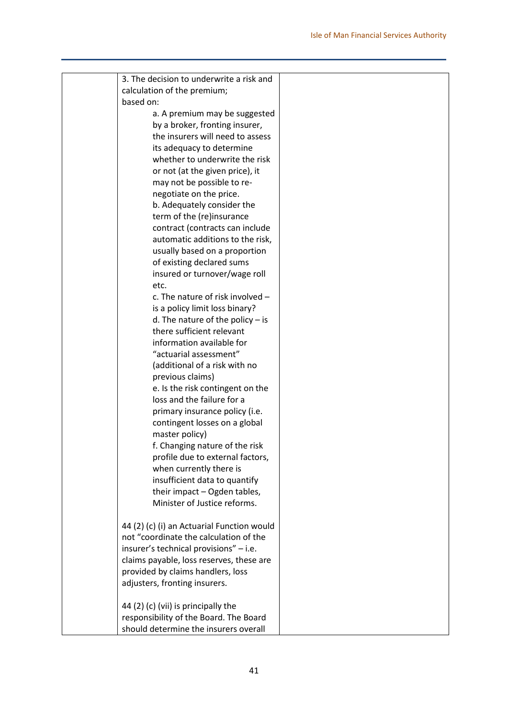| 3. The decision to underwrite a risk and   |  |
|--------------------------------------------|--|
| calculation of the premium;                |  |
| based on:                                  |  |
| a. A premium may be suggested              |  |
| by a broker, fronting insurer,             |  |
| the insurers will need to assess           |  |
| its adequacy to determine                  |  |
| whether to underwrite the risk             |  |
| or not (at the given price), it            |  |
|                                            |  |
| may not be possible to re-                 |  |
| negotiate on the price.                    |  |
| b. Adequately consider the                 |  |
| term of the (re)insurance                  |  |
| contract (contracts can include            |  |
| automatic additions to the risk,           |  |
| usually based on a proportion              |  |
| of existing declared sums                  |  |
| insured or turnover/wage roll              |  |
| etc.                                       |  |
| c. The nature of risk involved -           |  |
| is a policy limit loss binary?             |  |
| d. The nature of the policy $-$ is         |  |
| there sufficient relevant                  |  |
| information available for                  |  |
| "actuarial assessment"                     |  |
| (additional of a risk with no              |  |
| previous claims)                           |  |
| e. Is the risk contingent on the           |  |
| loss and the failure for a                 |  |
| primary insurance policy (i.e.             |  |
| contingent losses on a global              |  |
| master policy)                             |  |
| f. Changing nature of the risk             |  |
| profile due to external factors,           |  |
| when currently there is                    |  |
| insufficient data to quantify              |  |
| their impact - Ogden tables,               |  |
| Minister of Justice reforms.               |  |
|                                            |  |
| 44 (2) (c) (i) an Actuarial Function would |  |
| not "coordinate the calculation of the     |  |
| insurer's technical provisions" - i.e.     |  |
| claims payable, loss reserves, these are   |  |
| provided by claims handlers, loss          |  |
| adjusters, fronting insurers.              |  |
|                                            |  |
|                                            |  |
| 44 (2) (c) (vii) is principally the        |  |
| responsibility of the Board. The Board     |  |
| should determine the insurers overall      |  |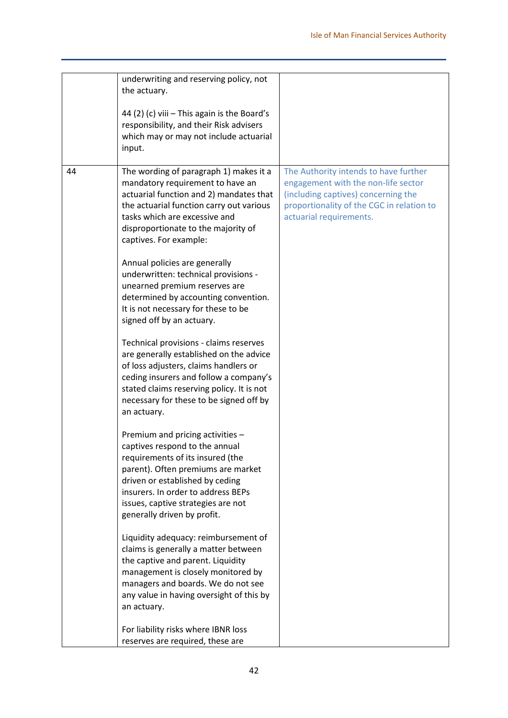|    | underwriting and reserving policy, not<br>the actuary.                                                                                                                                                                                                                                               |                                                                                                                                                                                             |
|----|------------------------------------------------------------------------------------------------------------------------------------------------------------------------------------------------------------------------------------------------------------------------------------------------------|---------------------------------------------------------------------------------------------------------------------------------------------------------------------------------------------|
|    | 44 (2) (c) viii - This again is the Board's<br>responsibility, and their Risk advisers<br>which may or may not include actuarial<br>input.                                                                                                                                                           |                                                                                                                                                                                             |
| 44 | The wording of paragraph 1) makes it a<br>mandatory requirement to have an<br>actuarial function and 2) mandates that<br>the actuarial function carry out various<br>tasks which are excessive and<br>disproportionate to the majority of<br>captives. For example:<br>Annual policies are generally | The Authority intends to have further<br>engagement with the non-life sector<br>(including captives) concerning the<br>proportionality of the CGC in relation to<br>actuarial requirements. |
|    | underwritten: technical provisions -<br>unearned premium reserves are<br>determined by accounting convention.<br>It is not necessary for these to be<br>signed off by an actuary.                                                                                                                    |                                                                                                                                                                                             |
|    | Technical provisions - claims reserves<br>are generally established on the advice<br>of loss adjusters, claims handlers or<br>ceding insurers and follow a company's<br>stated claims reserving policy. It is not<br>necessary for these to be signed off by<br>an actuary.                          |                                                                                                                                                                                             |
|    | Premium and pricing activities -<br>captives respond to the annual<br>requirements of its insured (the<br>parent). Often premiums are market<br>driven or established by ceding<br>insurers. In order to address BEPs<br>issues, captive strategies are not<br>generally driven by profit.           |                                                                                                                                                                                             |
|    | Liquidity adequacy: reimbursement of<br>claims is generally a matter between<br>the captive and parent. Liquidity<br>management is closely monitored by<br>managers and boards. We do not see<br>any value in having oversight of this by<br>an actuary.                                             |                                                                                                                                                                                             |
|    | For liability risks where IBNR loss<br>reserves are required, these are                                                                                                                                                                                                                              |                                                                                                                                                                                             |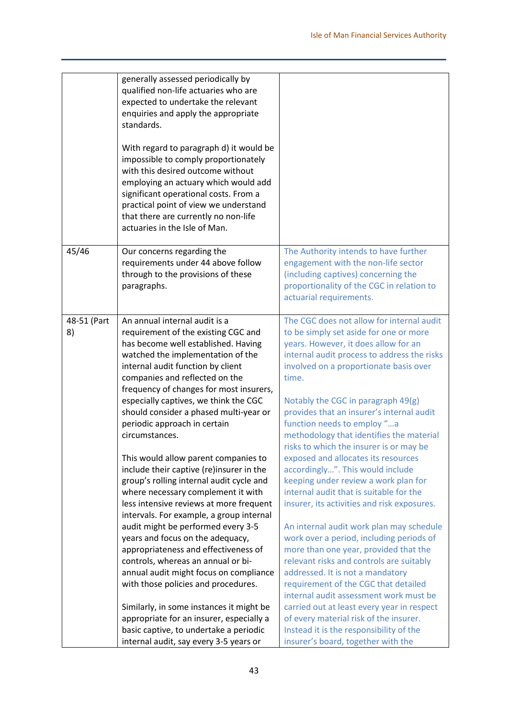|                   | generally assessed periodically by<br>qualified non-life actuaries who are<br>expected to undertake the relevant<br>enquiries and apply the appropriate<br>standards.<br>With regard to paragraph d) it would be<br>impossible to comply proportionately<br>with this desired outcome without<br>employing an actuary which would add<br>significant operational costs. From a<br>practical point of view we understand<br>that there are currently no non-life<br>actuaries in the Isle of Man.                                                                                                                                                                                                                                                                                                                                                                                                              |                                                                                                                                                                                                                                                                                                                                                                                                                                                                                                                                                                                                                                                                                                                                                                                                                                                                                                                                                        |
|-------------------|---------------------------------------------------------------------------------------------------------------------------------------------------------------------------------------------------------------------------------------------------------------------------------------------------------------------------------------------------------------------------------------------------------------------------------------------------------------------------------------------------------------------------------------------------------------------------------------------------------------------------------------------------------------------------------------------------------------------------------------------------------------------------------------------------------------------------------------------------------------------------------------------------------------|--------------------------------------------------------------------------------------------------------------------------------------------------------------------------------------------------------------------------------------------------------------------------------------------------------------------------------------------------------------------------------------------------------------------------------------------------------------------------------------------------------------------------------------------------------------------------------------------------------------------------------------------------------------------------------------------------------------------------------------------------------------------------------------------------------------------------------------------------------------------------------------------------------------------------------------------------------|
| 45/46             | Our concerns regarding the<br>requirements under 44 above follow<br>through to the provisions of these<br>paragraphs.                                                                                                                                                                                                                                                                                                                                                                                                                                                                                                                                                                                                                                                                                                                                                                                         | The Authority intends to have further<br>engagement with the non-life sector<br>(including captives) concerning the<br>proportionality of the CGC in relation to<br>actuarial requirements.                                                                                                                                                                                                                                                                                                                                                                                                                                                                                                                                                                                                                                                                                                                                                            |
| 48-51 (Part<br>8) | An annual internal audit is a<br>requirement of the existing CGC and<br>has become well established. Having<br>watched the implementation of the<br>internal audit function by client<br>companies and reflected on the<br>frequency of changes for most insurers,<br>especially captives, we think the CGC<br>should consider a phased multi-year or<br>periodic approach in certain<br>circumstances.<br>This would allow parent companies to<br>include their captive (re)insurer in the<br>group's rolling internal audit cycle and<br>where necessary complement it with<br>less intensive reviews at more frequent<br>intervals. For example, a group internal<br>audit might be performed every 3-5<br>years and focus on the adequacy,<br>appropriateness and effectiveness of<br>controls, whereas an annual or bi-<br>annual audit might focus on compliance<br>with those policies and procedures. | The CGC does not allow for internal audit<br>to be simply set aside for one or more<br>years. However, it does allow for an<br>internal audit process to address the risks<br>involved on a proportionate basis over<br>time.<br>Notably the CGC in paragraph 49(g)<br>provides that an insurer's internal audit<br>function needs to employ "a<br>methodology that identifies the material<br>risks to which the insurer is or may be<br>exposed and allocates its resources<br>accordingly". This would include<br>keeping under review a work plan for<br>internal audit that is suitable for the<br>insurer, its activities and risk exposures.<br>An internal audit work plan may schedule<br>work over a period, including periods of<br>more than one year, provided that the<br>relevant risks and controls are suitably<br>addressed. It is not a mandatory<br>requirement of the CGC that detailed<br>internal audit assessment work must be |
|                   | Similarly, in some instances it might be<br>appropriate for an insurer, especially a<br>basic captive, to undertake a periodic<br>internal audit, say every 3-5 years or                                                                                                                                                                                                                                                                                                                                                                                                                                                                                                                                                                                                                                                                                                                                      | carried out at least every year in respect<br>of every material risk of the insurer.<br>Instead it is the responsibility of the<br>insurer's board, together with the                                                                                                                                                                                                                                                                                                                                                                                                                                                                                                                                                                                                                                                                                                                                                                                  |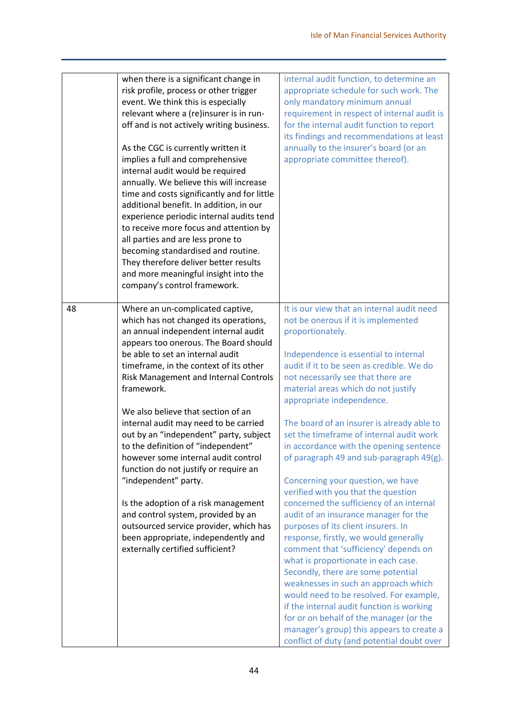|                  | when there is a significant change in<br>risk profile, process or other trigger<br>event. We think this is especially<br>relevant where a (re)insurer is in run-<br>off and is not actively writing business.<br>As the CGC is currently written it<br>implies a full and comprehensive<br>internal audit would be required<br>annually. We believe this will increase<br>time and costs significantly and for little<br>additional benefit. In addition, in our<br>experience periodic internal audits tend<br>to receive more focus and attention by<br>all parties and are less prone to<br>becoming standardised and routine.<br>They therefore deliver better results<br>and more meaningful insight into the<br>company's control framework.          | internal audit function, to determine an<br>appropriate schedule for such work. The<br>only mandatory minimum annual<br>requirement in respect of internal audit is<br>for the internal audit function to report<br>its findings and recommendations at least<br>annually to the insurer's board (or an<br>appropriate committee thereof).                                                                                                                                                                                                                                                                                                                                                                                                                                                                                                                                                                                                                                                                                                                                                                                          |
|------------------|-------------------------------------------------------------------------------------------------------------------------------------------------------------------------------------------------------------------------------------------------------------------------------------------------------------------------------------------------------------------------------------------------------------------------------------------------------------------------------------------------------------------------------------------------------------------------------------------------------------------------------------------------------------------------------------------------------------------------------------------------------------|-------------------------------------------------------------------------------------------------------------------------------------------------------------------------------------------------------------------------------------------------------------------------------------------------------------------------------------------------------------------------------------------------------------------------------------------------------------------------------------------------------------------------------------------------------------------------------------------------------------------------------------------------------------------------------------------------------------------------------------------------------------------------------------------------------------------------------------------------------------------------------------------------------------------------------------------------------------------------------------------------------------------------------------------------------------------------------------------------------------------------------------|
| 48<br>framework. | Where an un-complicated captive,<br>which has not changed its operations,<br>an annual independent internal audit<br>appears too onerous. The Board should<br>be able to set an internal audit<br>timeframe, in the context of its other<br>Risk Management and Internal Controls<br>We also believe that section of an<br>internal audit may need to be carried<br>out by an "independent" party, subject<br>to the definition of "independent"<br>however some internal audit control<br>function do not justify or require an<br>"independent" party.<br>Is the adoption of a risk management<br>and control system, provided by an<br>outsourced service provider, which has<br>been appropriate, independently and<br>externally certified sufficient? | It is our view that an internal audit need<br>not be onerous if it is implemented<br>proportionately.<br>Independence is essential to internal<br>audit if it to be seen as credible. We do<br>not necessarily see that there are<br>material areas which do not justify<br>appropriate independence.<br>The board of an insurer is already able to<br>set the timeframe of internal audit work<br>in accordance with the opening sentence<br>of paragraph 49 and sub-paragraph 49(g).<br>Concerning your question, we have<br>verified with you that the question<br>concerned the sufficiency of an internal<br>audit of an insurance manager for the<br>purposes of its client insurers. In<br>response, firstly, we would generally<br>comment that 'sufficiency' depends on<br>what is proportionate in each case.<br>Secondly, there are some potential<br>weaknesses in such an approach which<br>would need to be resolved. For example,<br>if the internal audit function is working<br>for or on behalf of the manager (or the<br>manager's group) this appears to create a<br>conflict of duty (and potential doubt over |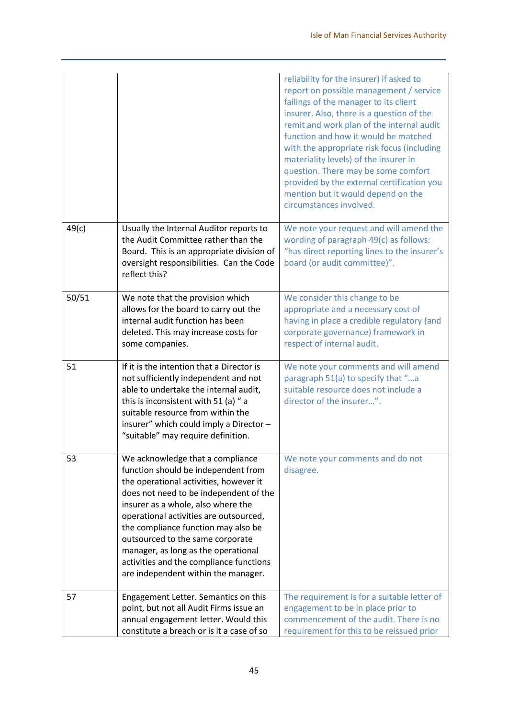|       |                                                                                                                                                                                                                                                                                                                                                                                                                                                 | reliability for the insurer) if asked to<br>report on possible management / service<br>failings of the manager to its client<br>insurer. Also, there is a question of the<br>remit and work plan of the internal audit<br>function and how it would be matched<br>with the appropriate risk focus (including<br>materiality levels) of the insurer in<br>question. There may be some comfort<br>provided by the external certification you<br>mention but it would depend on the<br>circumstances involved. |
|-------|-------------------------------------------------------------------------------------------------------------------------------------------------------------------------------------------------------------------------------------------------------------------------------------------------------------------------------------------------------------------------------------------------------------------------------------------------|-------------------------------------------------------------------------------------------------------------------------------------------------------------------------------------------------------------------------------------------------------------------------------------------------------------------------------------------------------------------------------------------------------------------------------------------------------------------------------------------------------------|
| 49(c) | Usually the Internal Auditor reports to<br>the Audit Committee rather than the<br>Board. This is an appropriate division of<br>oversight responsibilities. Can the Code<br>reflect this?                                                                                                                                                                                                                                                        | We note your request and will amend the<br>wording of paragraph 49(c) as follows:<br>"has direct reporting lines to the insurer's<br>board (or audit committee)".                                                                                                                                                                                                                                                                                                                                           |
| 50/51 | We note that the provision which<br>allows for the board to carry out the<br>internal audit function has been<br>deleted. This may increase costs for<br>some companies.                                                                                                                                                                                                                                                                        | We consider this change to be<br>appropriate and a necessary cost of<br>having in place a credible regulatory (and<br>corporate governance) framework in<br>respect of internal audit.                                                                                                                                                                                                                                                                                                                      |
| 51    | If it is the intention that a Director is<br>not sufficiently independent and not<br>able to undertake the internal audit,<br>this is inconsistent with 51 (a) " a<br>suitable resource from within the<br>insurer" which could imply a Director -<br>"suitable" may require definition.                                                                                                                                                        | We note your comments and will amend<br>paragraph 51(a) to specify that "a<br>suitable resource does not include a<br>director of the insurer".                                                                                                                                                                                                                                                                                                                                                             |
| 53    | We acknowledge that a compliance<br>function should be independent from<br>the operational activities, however it<br>does not need to be independent of the<br>insurer as a whole, also where the<br>operational activities are outsourced,<br>the compliance function may also be<br>outsourced to the same corporate<br>manager, as long as the operational<br>activities and the compliance functions<br>are independent within the manager. | We note your comments and do not<br>disagree.                                                                                                                                                                                                                                                                                                                                                                                                                                                               |
| 57    | Engagement Letter. Semantics on this<br>point, but not all Audit Firms issue an<br>annual engagement letter. Would this<br>constitute a breach or is it a case of so                                                                                                                                                                                                                                                                            | The requirement is for a suitable letter of<br>engagement to be in place prior to<br>commencement of the audit. There is no<br>requirement for this to be reissued prior                                                                                                                                                                                                                                                                                                                                    |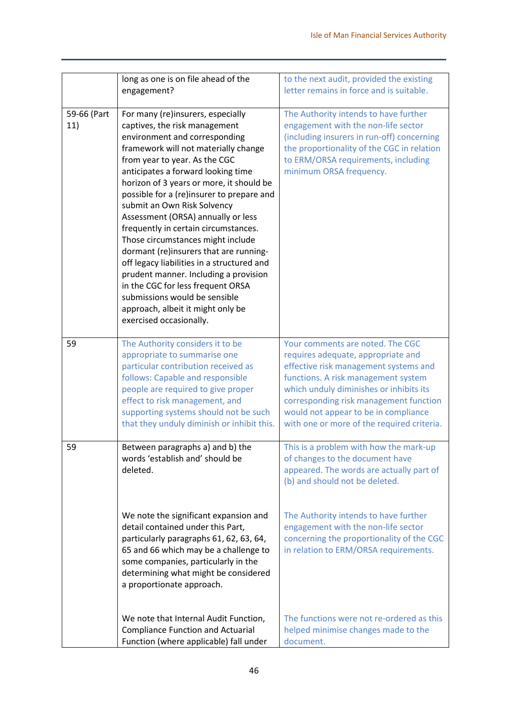|                    | long as one is on file ahead of the<br>engagement?                                                                                                                                                                                                                                                                                                                                                                                                                                                                                                                                                                                                                                                                                   | to the next audit, provided the existing<br>letter remains in force and is suitable.                                                                                                                                                                                                                                              |
|--------------------|--------------------------------------------------------------------------------------------------------------------------------------------------------------------------------------------------------------------------------------------------------------------------------------------------------------------------------------------------------------------------------------------------------------------------------------------------------------------------------------------------------------------------------------------------------------------------------------------------------------------------------------------------------------------------------------------------------------------------------------|-----------------------------------------------------------------------------------------------------------------------------------------------------------------------------------------------------------------------------------------------------------------------------------------------------------------------------------|
| 59-66 (Part<br>11) | For many (re)insurers, especially<br>captives, the risk management<br>environment and corresponding<br>framework will not materially change<br>from year to year. As the CGC<br>anticipates a forward looking time<br>horizon of 3 years or more, it should be<br>possible for a (re)insurer to prepare and<br>submit an Own Risk Solvency<br>Assessment (ORSA) annually or less<br>frequently in certain circumstances.<br>Those circumstances might include<br>dormant (re)insurers that are running-<br>off legacy liabilities in a structured and<br>prudent manner. Including a provision<br>in the CGC for less frequent ORSA<br>submissions would be sensible<br>approach, albeit it might only be<br>exercised occasionally. | The Authority intends to have further<br>engagement with the non-life sector<br>(including insurers in run-off) concerning<br>the proportionality of the CGC in relation<br>to ERM/ORSA requirements, including<br>minimum ORSA frequency.                                                                                        |
| 59                 | The Authority considers it to be<br>appropriate to summarise one<br>particular contribution received as<br>follows: Capable and responsible<br>people are required to give proper<br>effect to risk management, and<br>supporting systems should not be such<br>that they unduly diminish or inhibit this.                                                                                                                                                                                                                                                                                                                                                                                                                           | Your comments are noted. The CGC<br>requires adequate, appropriate and<br>effective risk management systems and<br>functions. A risk management system<br>which unduly diminishes or inhibits its<br>corresponding risk management function<br>would not appear to be in compliance<br>with one or more of the required criteria. |
| 59                 | Between paragraphs a) and b) the<br>words 'establish and' should be<br>deleted.                                                                                                                                                                                                                                                                                                                                                                                                                                                                                                                                                                                                                                                      | This is a problem with how the mark-up<br>of changes to the document have<br>appeared. The words are actually part of<br>(b) and should not be deleted.                                                                                                                                                                           |
|                    | We note the significant expansion and<br>detail contained under this Part,<br>particularly paragraphs 61, 62, 63, 64,<br>65 and 66 which may be a challenge to<br>some companies, particularly in the<br>determining what might be considered<br>a proportionate approach.                                                                                                                                                                                                                                                                                                                                                                                                                                                           | The Authority intends to have further<br>engagement with the non-life sector<br>concerning the proportionality of the CGC<br>in relation to ERM/ORSA requirements.                                                                                                                                                                |
|                    | We note that Internal Audit Function,<br><b>Compliance Function and Actuarial</b><br>Function (where applicable) fall under                                                                                                                                                                                                                                                                                                                                                                                                                                                                                                                                                                                                          | The functions were not re-ordered as this<br>helped minimise changes made to the<br>document.                                                                                                                                                                                                                                     |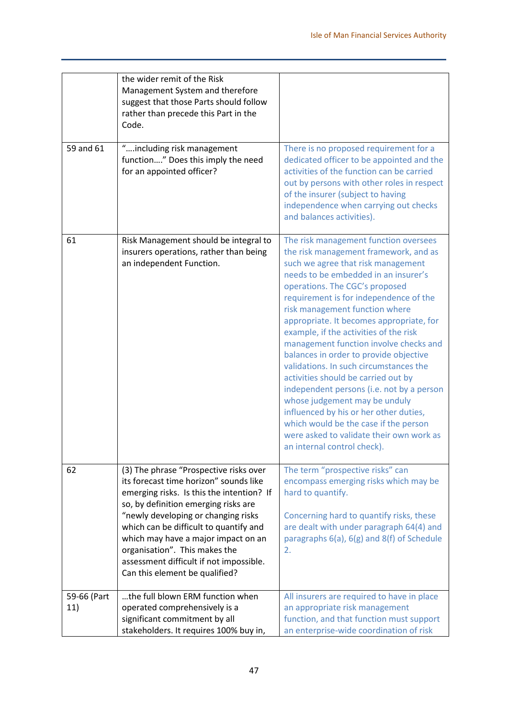|                    | the wider remit of the Risk<br>Management System and therefore<br>suggest that those Parts should follow<br>rather than precede this Part in the<br>Code.                                                                                                                                                                                                                                                   |                                                                                                                                                                                                                                                                                                                                                                                                                                                                                                                                                                                                                                                                                                                                                                                   |
|--------------------|-------------------------------------------------------------------------------------------------------------------------------------------------------------------------------------------------------------------------------------------------------------------------------------------------------------------------------------------------------------------------------------------------------------|-----------------------------------------------------------------------------------------------------------------------------------------------------------------------------------------------------------------------------------------------------------------------------------------------------------------------------------------------------------------------------------------------------------------------------------------------------------------------------------------------------------------------------------------------------------------------------------------------------------------------------------------------------------------------------------------------------------------------------------------------------------------------------------|
| 59 and 61          | "including risk management<br>function" Does this imply the need<br>for an appointed officer?                                                                                                                                                                                                                                                                                                               | There is no proposed requirement for a<br>dedicated officer to be appointed and the<br>activities of the function can be carried<br>out by persons with other roles in respect<br>of the insurer (subject to having<br>independence when carrying out checks<br>and balances activities).                                                                                                                                                                                                                                                                                                                                                                                                                                                                                         |
| 61                 | Risk Management should be integral to<br>insurers operations, rather than being<br>an independent Function.                                                                                                                                                                                                                                                                                                 | The risk management function oversees<br>the risk management framework, and as<br>such we agree that risk management<br>needs to be embedded in an insurer's<br>operations. The CGC's proposed<br>requirement is for independence of the<br>risk management function where<br>appropriate. It becomes appropriate, for<br>example, if the activities of the risk<br>management function involve checks and<br>balances in order to provide objective<br>validations. In such circumstances the<br>activities should be carried out by<br>independent persons (i.e. not by a person<br>whose judgement may be unduly<br>influenced by his or her other duties,<br>which would be the case if the person<br>were asked to validate their own work as<br>an internal control check). |
| 62                 | (3) The phrase "Prospective risks over<br>its forecast time horizon" sounds like<br>emerging risks. Is this the intention? If<br>so, by definition emerging risks are<br>"newly developing or changing risks<br>which can be difficult to quantify and<br>which may have a major impact on an<br>organisation". This makes the<br>assessment difficult if not impossible.<br>Can this element be qualified? | The term "prospective risks" can<br>encompass emerging risks which may be<br>hard to quantify.<br>Concerning hard to quantify risks, these<br>are dealt with under paragraph 64(4) and<br>paragraphs 6(a), 6(g) and 8(f) of Schedule<br>2.                                                                                                                                                                                                                                                                                                                                                                                                                                                                                                                                        |
| 59-66 (Part<br>11) | the full blown ERM function when<br>operated comprehensively is a<br>significant commitment by all<br>stakeholders. It requires 100% buy in,                                                                                                                                                                                                                                                                | All insurers are required to have in place<br>an appropriate risk management<br>function, and that function must support<br>an enterprise-wide coordination of risk                                                                                                                                                                                                                                                                                                                                                                                                                                                                                                                                                                                                               |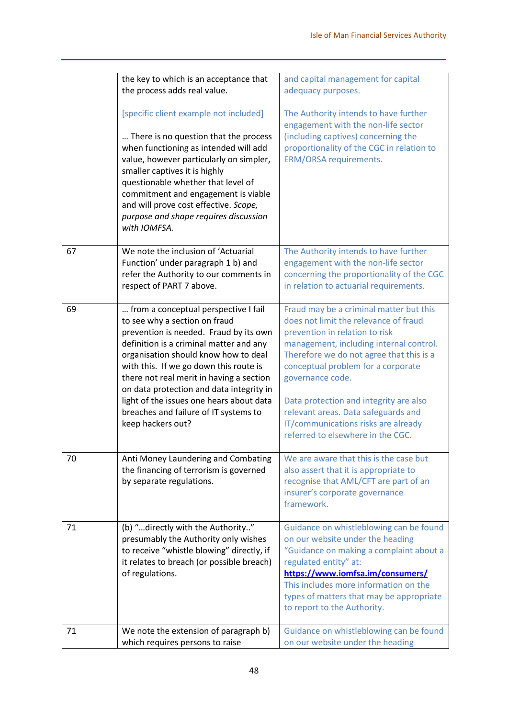|    | the key to which is an acceptance that<br>the process adds real value.                                                                                                                                                                                                                                                                                                                                                                         | and capital management for capital<br>adequacy purposes.                                                                                                                                                                                                                                                                                                                                                                         |
|----|------------------------------------------------------------------------------------------------------------------------------------------------------------------------------------------------------------------------------------------------------------------------------------------------------------------------------------------------------------------------------------------------------------------------------------------------|----------------------------------------------------------------------------------------------------------------------------------------------------------------------------------------------------------------------------------------------------------------------------------------------------------------------------------------------------------------------------------------------------------------------------------|
|    | [specific client example not included]                                                                                                                                                                                                                                                                                                                                                                                                         | The Authority intends to have further<br>engagement with the non-life sector                                                                                                                                                                                                                                                                                                                                                     |
|    | There is no question that the process<br>when functioning as intended will add<br>value, however particularly on simpler,<br>smaller captives it is highly<br>questionable whether that level of<br>commitment and engagement is viable<br>and will prove cost effective. Scope,<br>purpose and shape requires discussion<br>with IOMFSA.                                                                                                      | (including captives) concerning the<br>proportionality of the CGC in relation to<br><b>ERM/ORSA requirements.</b>                                                                                                                                                                                                                                                                                                                |
| 67 | We note the inclusion of 'Actuarial<br>Function' under paragraph 1 b) and<br>refer the Authority to our comments in<br>respect of PART 7 above.                                                                                                                                                                                                                                                                                                | The Authority intends to have further<br>engagement with the non-life sector<br>concerning the proportionality of the CGC<br>in relation to actuarial requirements.                                                                                                                                                                                                                                                              |
| 69 | from a conceptual perspective I fail<br>to see why a section on fraud<br>prevention is needed. Fraud by its own<br>definition is a criminal matter and any<br>organisation should know how to deal<br>with this. If we go down this route is<br>there not real merit in having a section<br>on data protection and data integrity in<br>light of the issues one hears about data<br>breaches and failure of IT systems to<br>keep hackers out? | Fraud may be a criminal matter but this<br>does not limit the relevance of fraud<br>prevention in relation to risk<br>management, including internal control.<br>Therefore we do not agree that this is a<br>conceptual problem for a corporate<br>governance code.<br>Data protection and integrity are also<br>relevant areas. Data safeguards and<br>IT/communications risks are already<br>referred to elsewhere in the CGC. |
| 70 | Anti Money Laundering and Combating<br>the financing of terrorism is governed<br>by separate regulations.                                                                                                                                                                                                                                                                                                                                      | We are aware that this is the case but<br>also assert that it is appropriate to<br>recognise that AML/CFT are part of an<br>insurer's corporate governance<br>framework.                                                                                                                                                                                                                                                         |
| 71 | (b) "directly with the Authority"<br>presumably the Authority only wishes<br>to receive "whistle blowing" directly, if<br>it relates to breach (or possible breach)<br>of regulations.                                                                                                                                                                                                                                                         | Guidance on whistleblowing can be found<br>on our website under the heading<br>"Guidance on making a complaint about a<br>regulated entity" at:<br>https://www.iomfsa.im/consumers/<br>This includes more information on the<br>types of matters that may be appropriate<br>to report to the Authority.                                                                                                                          |
| 71 | We note the extension of paragraph b)<br>which requires persons to raise                                                                                                                                                                                                                                                                                                                                                                       | Guidance on whistleblowing can be found<br>on our website under the heading                                                                                                                                                                                                                                                                                                                                                      |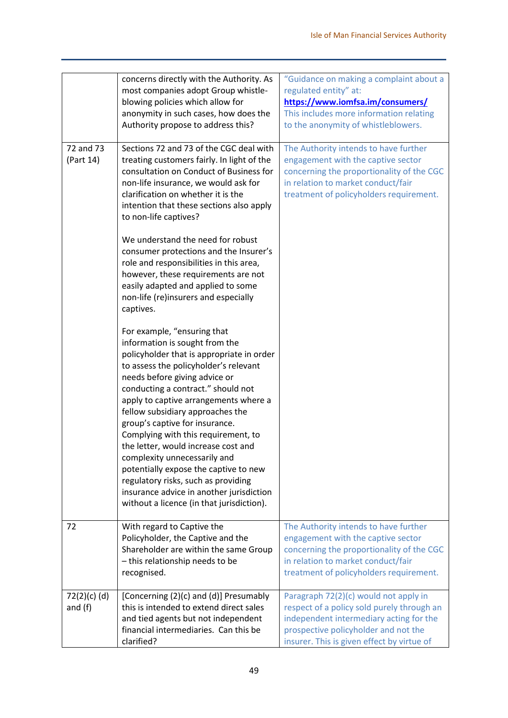| 72 and 73<br>(Part 14)      | concerns directly with the Authority. As<br>most companies adopt Group whistle-<br>blowing policies which allow for<br>anonymity in such cases, how does the<br>Authority propose to address this?<br>Sections 72 and 73 of the CGC deal with<br>treating customers fairly. In light of the<br>consultation on Conduct of Business for<br>non-life insurance, we would ask for<br>clarification on whether it is the<br>intention that these sections also apply<br>to non-life captives?                                                                                                                                        | "Guidance on making a complaint about a<br>regulated entity" at:<br>https://www.iomfsa.im/consumers/<br>This includes more information relating<br>to the anonymity of whistleblowers.<br>The Authority intends to have further<br>engagement with the captive sector<br>concerning the proportionality of the CGC<br>in relation to market conduct/fair<br>treatment of policyholders requirement. |
|-----------------------------|----------------------------------------------------------------------------------------------------------------------------------------------------------------------------------------------------------------------------------------------------------------------------------------------------------------------------------------------------------------------------------------------------------------------------------------------------------------------------------------------------------------------------------------------------------------------------------------------------------------------------------|-----------------------------------------------------------------------------------------------------------------------------------------------------------------------------------------------------------------------------------------------------------------------------------------------------------------------------------------------------------------------------------------------------|
|                             | We understand the need for robust<br>consumer protections and the Insurer's<br>role and responsibilities in this area,<br>however, these requirements are not<br>easily adapted and applied to some<br>non-life (re)insurers and especially<br>captives.                                                                                                                                                                                                                                                                                                                                                                         |                                                                                                                                                                                                                                                                                                                                                                                                     |
|                             | For example, "ensuring that<br>information is sought from the<br>policyholder that is appropriate in order<br>to assess the policyholder's relevant<br>needs before giving advice or<br>conducting a contract." should not<br>apply to captive arrangements where a<br>fellow subsidiary approaches the<br>group's captive for insurance.<br>Complying with this requirement, to<br>the letter, would increase cost and<br>complexity unnecessarily and<br>potentially expose the captive to new<br>regulatory risks, such as providing<br>insurance advice in another jurisdiction<br>without a licence (in that jurisdiction). |                                                                                                                                                                                                                                                                                                                                                                                                     |
| 72                          | With regard to Captive the<br>Policyholder, the Captive and the<br>Shareholder are within the same Group<br>- this relationship needs to be<br>recognised.                                                                                                                                                                                                                                                                                                                                                                                                                                                                       | The Authority intends to have further<br>engagement with the captive sector<br>concerning the proportionality of the CGC<br>in relation to market conduct/fair<br>treatment of policyholders requirement.                                                                                                                                                                                           |
| $72(2)(c)$ (d)<br>and $(f)$ | [Concerning (2)(c) and (d)] Presumably<br>this is intended to extend direct sales<br>and tied agents but not independent<br>financial intermediaries. Can this be<br>clarified?                                                                                                                                                                                                                                                                                                                                                                                                                                                  | Paragraph 72(2)(c) would not apply in<br>respect of a policy sold purely through an<br>independent intermediary acting for the<br>prospective policyholder and not the<br>insurer. This is given effect by virtue of                                                                                                                                                                                |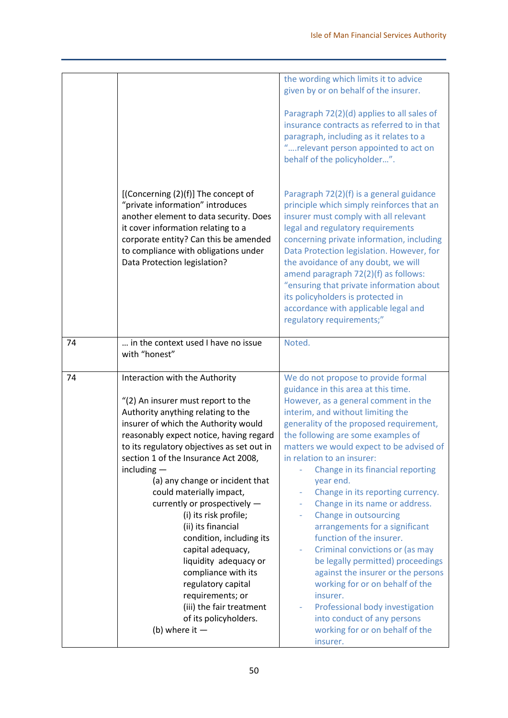|    |                                                                                                                                                                                                                                                                          | the wording which limits it to advice<br>given by or on behalf of the insurer.                                                                                                                                                                                                                                                                                                                                                                                                                     |
|----|--------------------------------------------------------------------------------------------------------------------------------------------------------------------------------------------------------------------------------------------------------------------------|----------------------------------------------------------------------------------------------------------------------------------------------------------------------------------------------------------------------------------------------------------------------------------------------------------------------------------------------------------------------------------------------------------------------------------------------------------------------------------------------------|
|    |                                                                                                                                                                                                                                                                          | Paragraph 72(2)(d) applies to all sales of<br>insurance contracts as referred to in that<br>paragraph, including as it relates to a<br>"relevant person appointed to act on<br>behalf of the policyholder".                                                                                                                                                                                                                                                                                        |
|    | [(Concerning (2)(f)] The concept of<br>"private information" introduces<br>another element to data security. Does<br>it cover information relating to a<br>corporate entity? Can this be amended<br>to compliance with obligations under<br>Data Protection legislation? | Paragraph 72(2)(f) is a general guidance<br>principle which simply reinforces that an<br>insurer must comply with all relevant<br>legal and regulatory requirements<br>concerning private information, including<br>Data Protection legislation. However, for<br>the avoidance of any doubt, we will<br>amend paragraph 72(2)(f) as follows:<br>"ensuring that private information about<br>its policyholders is protected in<br>accordance with applicable legal and<br>regulatory requirements;" |
| 74 | in the context used I have no issue<br>with "honest"                                                                                                                                                                                                                     | Noted.                                                                                                                                                                                                                                                                                                                                                                                                                                                                                             |
| 74 | Interaction with the Authority                                                                                                                                                                                                                                           | We do not propose to provide formal                                                                                                                                                                                                                                                                                                                                                                                                                                                                |
|    |                                                                                                                                                                                                                                                                          | guidance in this area at this time.                                                                                                                                                                                                                                                                                                                                                                                                                                                                |
|    | "(2) An insurer must report to the                                                                                                                                                                                                                                       | However, as a general comment in the                                                                                                                                                                                                                                                                                                                                                                                                                                                               |
|    | Authority anything relating to the                                                                                                                                                                                                                                       | interim, and without limiting the                                                                                                                                                                                                                                                                                                                                                                                                                                                                  |
|    | insurer of which the Authority would                                                                                                                                                                                                                                     | generality of the proposed requirement,                                                                                                                                                                                                                                                                                                                                                                                                                                                            |
|    | reasonably expect notice, having regard                                                                                                                                                                                                                                  | the following are some examples of                                                                                                                                                                                                                                                                                                                                                                                                                                                                 |
|    | to its regulatory objectives as set out in                                                                                                                                                                                                                               | matters we would expect to be advised of                                                                                                                                                                                                                                                                                                                                                                                                                                                           |
|    | section 1 of the Insurance Act 2008,                                                                                                                                                                                                                                     | in relation to an insurer:                                                                                                                                                                                                                                                                                                                                                                                                                                                                         |
|    | including $-$                                                                                                                                                                                                                                                            | Change in its financial reporting                                                                                                                                                                                                                                                                                                                                                                                                                                                                  |
|    | (a) any change or incident that                                                                                                                                                                                                                                          | year end.                                                                                                                                                                                                                                                                                                                                                                                                                                                                                          |
|    | could materially impact,                                                                                                                                                                                                                                                 | Change in its reporting currency.                                                                                                                                                                                                                                                                                                                                                                                                                                                                  |
|    | currently or prospectively -<br>(i) its risk profile;                                                                                                                                                                                                                    | Change in its name or address.<br>Change in outsourcing                                                                                                                                                                                                                                                                                                                                                                                                                                            |
|    | (ii) its financial                                                                                                                                                                                                                                                       | arrangements for a significant                                                                                                                                                                                                                                                                                                                                                                                                                                                                     |
|    | condition, including its                                                                                                                                                                                                                                                 | function of the insurer.                                                                                                                                                                                                                                                                                                                                                                                                                                                                           |
|    | capital adequacy,                                                                                                                                                                                                                                                        | Criminal convictions or (as may                                                                                                                                                                                                                                                                                                                                                                                                                                                                    |
|    | liquidity adequacy or                                                                                                                                                                                                                                                    | be legally permitted) proceedings                                                                                                                                                                                                                                                                                                                                                                                                                                                                  |
|    | compliance with its                                                                                                                                                                                                                                                      | against the insurer or the persons                                                                                                                                                                                                                                                                                                                                                                                                                                                                 |
|    | regulatory capital                                                                                                                                                                                                                                                       | working for or on behalf of the                                                                                                                                                                                                                                                                                                                                                                                                                                                                    |
|    | requirements; or                                                                                                                                                                                                                                                         | insurer.                                                                                                                                                                                                                                                                                                                                                                                                                                                                                           |
|    | (iii) the fair treatment                                                                                                                                                                                                                                                 | Professional body investigation                                                                                                                                                                                                                                                                                                                                                                                                                                                                    |
|    | of its policyholders.                                                                                                                                                                                                                                                    | into conduct of any persons                                                                                                                                                                                                                                                                                                                                                                                                                                                                        |
|    | (b) where it $-$                                                                                                                                                                                                                                                         | working for or on behalf of the<br>insurer.                                                                                                                                                                                                                                                                                                                                                                                                                                                        |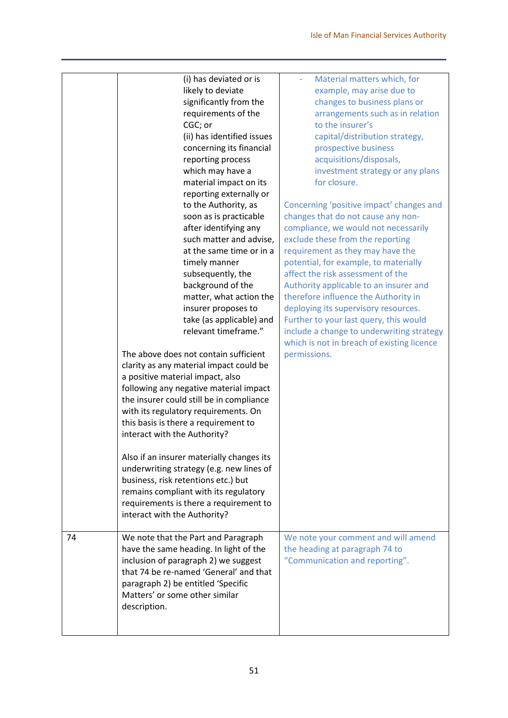|    | (i) has deviated or is<br>likely to deviate<br>significantly from the<br>requirements of the<br>CGC; or<br>(ii) has identified issues<br>concerning its financial<br>reporting process<br>which may have a<br>material impact on its<br>reporting externally or<br>to the Authority, as<br>soon as is practicable<br>after identifying any<br>such matter and advise,<br>at the same time or in a<br>timely manner<br>subsequently, the<br>background of the<br>matter, what action the<br>insurer proposes to<br>take (as applicable) and<br>relevant timeframe."<br>The above does not contain sufficient<br>clarity as any material impact could be<br>a positive material impact, also<br>following any negative material impact<br>the insurer could still be in compliance<br>with its regulatory requirements. On<br>this basis is there a requirement to<br>interact with the Authority?<br>Also if an insurer materially changes its<br>underwriting strategy (e.g. new lines of<br>business, risk retentions etc.) but | Material matters which, for<br>example, may arise due to<br>changes to business plans or<br>arrangements such as in relation<br>to the insurer's<br>capital/distribution strategy,<br>prospective business<br>acquisitions/disposals,<br>investment strategy or any plans<br>for closure.<br>Concerning 'positive impact' changes and<br>changes that do not cause any non-<br>compliance, we would not necessarily<br>exclude these from the reporting<br>requirement as they may have the<br>potential, for example, to materially<br>affect the risk assessment of the<br>Authority applicable to an insurer and<br>therefore influence the Authority in<br>deploying its supervisory resources.<br>Further to your last query, this would<br>include a change to underwriting strategy<br>which is not in breach of existing licence<br>permissions. |
|----|----------------------------------------------------------------------------------------------------------------------------------------------------------------------------------------------------------------------------------------------------------------------------------------------------------------------------------------------------------------------------------------------------------------------------------------------------------------------------------------------------------------------------------------------------------------------------------------------------------------------------------------------------------------------------------------------------------------------------------------------------------------------------------------------------------------------------------------------------------------------------------------------------------------------------------------------------------------------------------------------------------------------------------|----------------------------------------------------------------------------------------------------------------------------------------------------------------------------------------------------------------------------------------------------------------------------------------------------------------------------------------------------------------------------------------------------------------------------------------------------------------------------------------------------------------------------------------------------------------------------------------------------------------------------------------------------------------------------------------------------------------------------------------------------------------------------------------------------------------------------------------------------------|
|    | remains compliant with its regulatory<br>requirements is there a requirement to<br>interact with the Authority?                                                                                                                                                                                                                                                                                                                                                                                                                                                                                                                                                                                                                                                                                                                                                                                                                                                                                                                  |                                                                                                                                                                                                                                                                                                                                                                                                                                                                                                                                                                                                                                                                                                                                                                                                                                                          |
| 74 | We note that the Part and Paragraph<br>have the same heading. In light of the<br>inclusion of paragraph 2) we suggest<br>that 74 be re-named 'General' and that<br>paragraph 2) be entitled 'Specific<br>Matters' or some other similar<br>description.                                                                                                                                                                                                                                                                                                                                                                                                                                                                                                                                                                                                                                                                                                                                                                          | We note your comment and will amend<br>the heading at paragraph 74 to<br>"Communication and reporting".                                                                                                                                                                                                                                                                                                                                                                                                                                                                                                                                                                                                                                                                                                                                                  |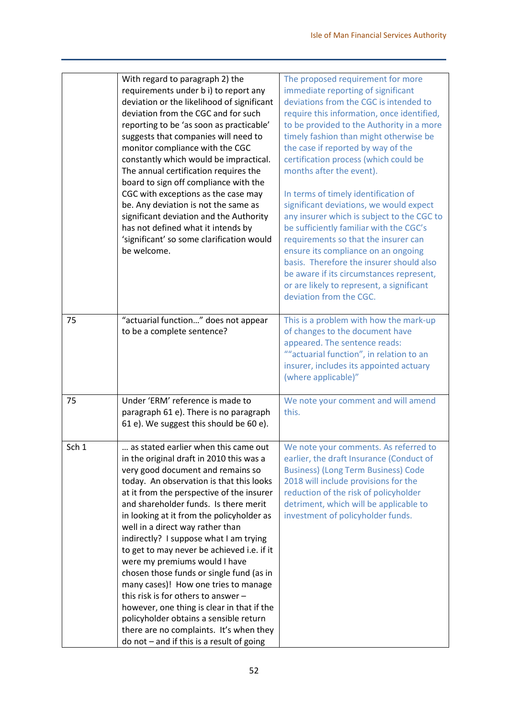|       | With regard to paragraph 2) the                                                   | The proposed requirement for more                                                       |
|-------|-----------------------------------------------------------------------------------|-----------------------------------------------------------------------------------------|
|       | requirements under b i) to report any                                             | immediate reporting of significant<br>deviations from the CGC is intended to            |
|       | deviation or the likelihood of significant<br>deviation from the CGC and for such |                                                                                         |
|       | reporting to be 'as soon as practicable'                                          | require this information, once identified,<br>to be provided to the Authority in a more |
|       | suggests that companies will need to                                              | timely fashion than might otherwise be                                                  |
|       | monitor compliance with the CGC                                                   | the case if reported by way of the                                                      |
|       |                                                                                   |                                                                                         |
|       | constantly which would be impractical.                                            | certification process (which could be<br>months after the event).                       |
|       | The annual certification requires the                                             |                                                                                         |
|       | board to sign off compliance with the                                             |                                                                                         |
|       | CGC with exceptions as the case may                                               | In terms of timely identification of                                                    |
|       | be. Any deviation is not the same as                                              | significant deviations, we would expect                                                 |
|       | significant deviation and the Authority                                           | any insurer which is subject to the CGC to                                              |
|       | has not defined what it intends by                                                | be sufficiently familiar with the CGC's                                                 |
|       | 'significant' so some clarification would                                         | requirements so that the insurer can                                                    |
|       | be welcome.                                                                       | ensure its compliance on an ongoing                                                     |
|       |                                                                                   | basis. Therefore the insurer should also                                                |
|       |                                                                                   | be aware if its circumstances represent,                                                |
|       |                                                                                   | or are likely to represent, a significant                                               |
|       |                                                                                   | deviation from the CGC.                                                                 |
|       |                                                                                   |                                                                                         |
| 75    | "actuarial function" does not appear                                              | This is a problem with how the mark-up                                                  |
|       | to be a complete sentence?                                                        | of changes to the document have                                                         |
|       |                                                                                   | appeared. The sentence reads:                                                           |
|       |                                                                                   | ""actuarial function", in relation to an                                                |
|       |                                                                                   | insurer, includes its appointed actuary                                                 |
|       |                                                                                   | (where applicable)"                                                                     |
| 75    | Under 'ERM' reference is made to                                                  | We note your comment and will amend                                                     |
|       | paragraph 61 e). There is no paragraph                                            | this.                                                                                   |
|       | 61 e). We suggest this should be 60 e).                                           |                                                                                         |
|       |                                                                                   |                                                                                         |
| Sch 1 | as stated earlier when this came out                                              | We note your comments. As referred to                                                   |
|       | in the original draft in 2010 this was a                                          | earlier, the draft Insurance (Conduct of                                                |
|       | very good document and remains so                                                 | <b>Business) (Long Term Business) Code</b>                                              |
|       | today. An observation is that this looks                                          | 2018 will include provisions for the                                                    |
|       | at it from the perspective of the insurer                                         | reduction of the risk of policyholder                                                   |
|       | and shareholder funds. Is there merit                                             | detriment, which will be applicable to                                                  |
|       | in looking at it from the policyholder as                                         | investment of policyholder funds.                                                       |
|       | well in a direct way rather than                                                  |                                                                                         |
|       | indirectly? I suppose what I am trying                                            |                                                                                         |
|       | to get to may never be achieved i.e. if it                                        |                                                                                         |
|       | were my premiums would I have                                                     |                                                                                         |
|       | chosen those funds or single fund (as in                                          |                                                                                         |
|       | many cases)! How one tries to manage                                              |                                                                                         |
|       | this risk is for others to answer -                                               |                                                                                         |
|       | however, one thing is clear in that if the                                        |                                                                                         |
|       | policyholder obtains a sensible return                                            |                                                                                         |
|       | there are no complaints. It's when they                                           |                                                                                         |
|       | do not $-$ and if this is a result of going                                       |                                                                                         |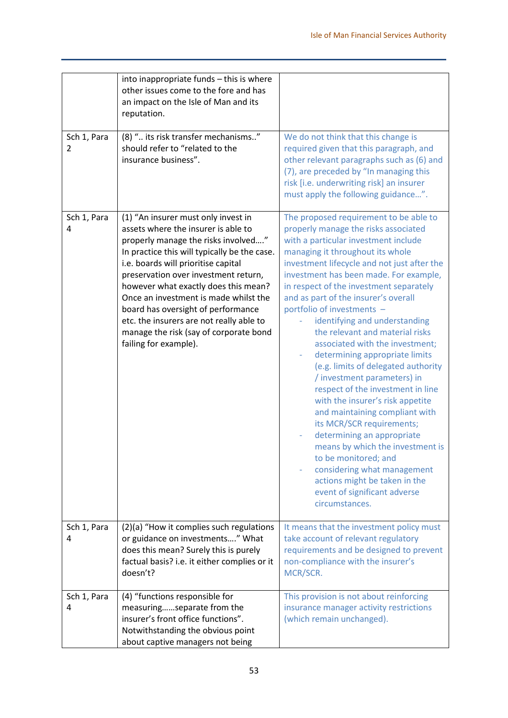|                  | into inappropriate funds - this is where<br>other issues come to the fore and has<br>an impact on the Isle of Man and its<br>reputation.                                                                                                                                                                                                                                                                                                                                               |                                                                                                                                                                                                                                                                                                                                                                                                                                                                                                                                                                                                                                                                                                                                                                                                                                                                                                                                         |
|------------------|----------------------------------------------------------------------------------------------------------------------------------------------------------------------------------------------------------------------------------------------------------------------------------------------------------------------------------------------------------------------------------------------------------------------------------------------------------------------------------------|-----------------------------------------------------------------------------------------------------------------------------------------------------------------------------------------------------------------------------------------------------------------------------------------------------------------------------------------------------------------------------------------------------------------------------------------------------------------------------------------------------------------------------------------------------------------------------------------------------------------------------------------------------------------------------------------------------------------------------------------------------------------------------------------------------------------------------------------------------------------------------------------------------------------------------------------|
| Sch 1, Para<br>2 | (8) " its risk transfer mechanisms"<br>should refer to "related to the<br>insurance business".                                                                                                                                                                                                                                                                                                                                                                                         | We do not think that this change is<br>required given that this paragraph, and<br>other relevant paragraphs such as (6) and<br>(7), are preceded by "In managing this<br>risk [i.e. underwriting risk] an insurer<br>must apply the following guidance".                                                                                                                                                                                                                                                                                                                                                                                                                                                                                                                                                                                                                                                                                |
| Sch 1, Para<br>4 | (1) "An insurer must only invest in<br>assets where the insurer is able to<br>properly manage the risks involved"<br>In practice this will typically be the case.<br>i.e. boards will prioritise capital<br>preservation over investment return,<br>however what exactly does this mean?<br>Once an investment is made whilst the<br>board has oversight of performance<br>etc. the insurers are not really able to<br>manage the risk (say of corporate bond<br>failing for example). | The proposed requirement to be able to<br>properly manage the risks associated<br>with a particular investment include<br>managing it throughout its whole<br>investment lifecycle and not just after the<br>investment has been made. For example,<br>in respect of the investment separately<br>and as part of the insurer's overall<br>portfolio of investments -<br>identifying and understanding<br>the relevant and material risks<br>associated with the investment;<br>determining appropriate limits<br>(e.g. limits of delegated authority<br>/ investment parameters) in<br>respect of the investment in line<br>with the insurer's risk appetite<br>and maintaining compliant with<br>its MCR/SCR requirements;<br>determining an appropriate<br>means by which the investment is<br>to be monitored; and<br>considering what management<br>actions might be taken in the<br>event of significant adverse<br>circumstances. |
| Sch 1, Para<br>4 | (2)(a) "How it complies such regulations<br>or guidance on investments" What<br>does this mean? Surely this is purely<br>factual basis? i.e. it either complies or it<br>doesn't?                                                                                                                                                                                                                                                                                                      | It means that the investment policy must<br>take account of relevant regulatory<br>requirements and be designed to prevent<br>non-compliance with the insurer's<br>MCR/SCR.                                                                                                                                                                                                                                                                                                                                                                                                                                                                                                                                                                                                                                                                                                                                                             |
| Sch 1, Para<br>4 | (4) "functions responsible for<br>measuringseparate from the<br>insurer's front office functions".<br>Notwithstanding the obvious point<br>about captive managers not being                                                                                                                                                                                                                                                                                                            | This provision is not about reinforcing<br>insurance manager activity restrictions<br>(which remain unchanged).                                                                                                                                                                                                                                                                                                                                                                                                                                                                                                                                                                                                                                                                                                                                                                                                                         |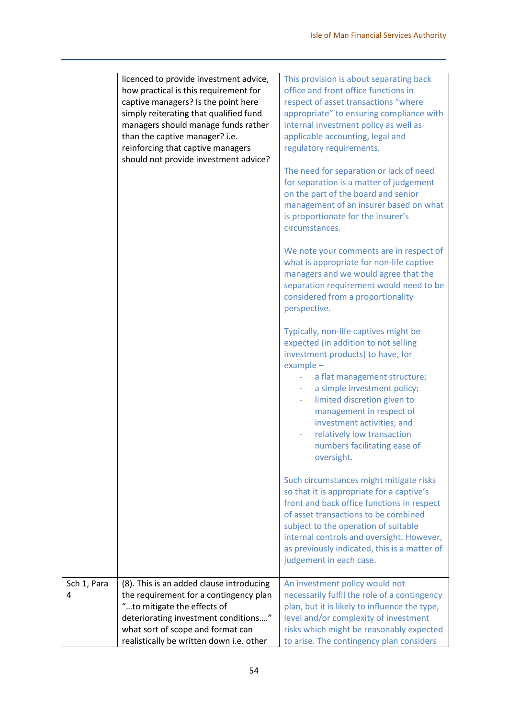|                  | licenced to provide investment advice,<br>how practical is this requirement for<br>captive managers? Is the point here<br>simply reiterating that qualified fund<br>managers should manage funds rather<br>than the captive manager? i.e.<br>reinforcing that captive managers<br>should not provide investment advice? | This provision is about separating back<br>office and front office functions in<br>respect of asset transactions "where<br>appropriate" to ensuring compliance with<br>internal investment policy as well as<br>applicable accounting, legal and<br>regulatory requirements.<br>The need for separation or lack of need<br>for separation is a matter of judgement<br>on the part of the board and senior<br>management of an insurer based on what<br>is proportionate for the insurer's<br>circumstances. |
|------------------|-------------------------------------------------------------------------------------------------------------------------------------------------------------------------------------------------------------------------------------------------------------------------------------------------------------------------|-------------------------------------------------------------------------------------------------------------------------------------------------------------------------------------------------------------------------------------------------------------------------------------------------------------------------------------------------------------------------------------------------------------------------------------------------------------------------------------------------------------|
|                  |                                                                                                                                                                                                                                                                                                                         | We note your comments are in respect of<br>what is appropriate for non-life captive<br>managers and we would agree that the<br>separation requirement would need to be<br>considered from a proportionality<br>perspective.                                                                                                                                                                                                                                                                                 |
|                  |                                                                                                                                                                                                                                                                                                                         | Typically, non-life captives might be<br>expected (in addition to not selling<br>investment products) to have, for<br>$example -$<br>a flat management structure;<br>a simple investment policy;<br>limited discretion given to<br>management in respect of<br>investment activities; and<br>relatively low transaction<br>numbers facilitating ease of<br>oversight.                                                                                                                                       |
|                  |                                                                                                                                                                                                                                                                                                                         | Such circumstances might mitigate risks<br>so that it is appropriate for a captive's<br>front and back office functions in respect<br>of asset transactions to be combined<br>subject to the operation of suitable<br>internal controls and oversight. However,<br>as previously indicated, this is a matter of<br>judgement in each case.                                                                                                                                                                  |
| Sch 1, Para<br>4 | (8). This is an added clause introducing<br>the requirement for a contingency plan<br>"to mitigate the effects of<br>deteriorating investment conditions"<br>what sort of scope and format can<br>realistically be written down i.e. other                                                                              | An investment policy would not<br>necessarily fulfil the role of a contingency<br>plan, but it is likely to influence the type,<br>level and/or complexity of investment<br>risks which might be reasonably expected<br>to arise. The contingency plan considers                                                                                                                                                                                                                                            |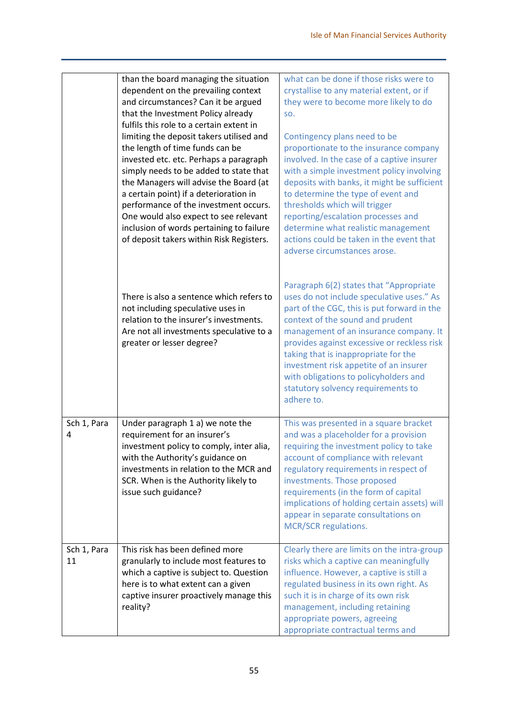|                   | than the board managing the situation<br>dependent on the prevailing context<br>and circumstances? Can it be argued<br>that the Investment Policy already<br>fulfils this role to a certain extent in<br>limiting the deposit takers utilised and<br>the length of time funds can be<br>invested etc. etc. Perhaps a paragraph<br>simply needs to be added to state that<br>the Managers will advise the Board (at<br>a certain point) if a deterioration in<br>performance of the investment occurs.<br>One would also expect to see relevant<br>inclusion of words pertaining to failure<br>of deposit takers within Risk Registers. | what can be done if those risks were to<br>crystallise to any material extent, or if<br>they were to become more likely to do<br>SO.<br>Contingency plans need to be<br>proportionate to the insurance company<br>involved. In the case of a captive insurer<br>with a simple investment policy involving<br>deposits with banks, it might be sufficient<br>to determine the type of event and<br>thresholds which will trigger<br>reporting/escalation processes and<br>determine what realistic management<br>actions could be taken in the event that<br>adverse circumstances arose. |
|-------------------|----------------------------------------------------------------------------------------------------------------------------------------------------------------------------------------------------------------------------------------------------------------------------------------------------------------------------------------------------------------------------------------------------------------------------------------------------------------------------------------------------------------------------------------------------------------------------------------------------------------------------------------|------------------------------------------------------------------------------------------------------------------------------------------------------------------------------------------------------------------------------------------------------------------------------------------------------------------------------------------------------------------------------------------------------------------------------------------------------------------------------------------------------------------------------------------------------------------------------------------|
|                   | There is also a sentence which refers to<br>not including speculative uses in<br>relation to the insurer's investments.<br>Are not all investments speculative to a<br>greater or lesser degree?                                                                                                                                                                                                                                                                                                                                                                                                                                       | Paragraph 6(2) states that "Appropriate<br>uses do not include speculative uses." As<br>part of the CGC, this is put forward in the<br>context of the sound and prudent<br>management of an insurance company. It<br>provides against excessive or reckless risk<br>taking that is inappropriate for the<br>investment risk appetite of an insurer<br>with obligations to policyholders and<br>statutory solvency requirements to<br>adhere to.                                                                                                                                          |
| Sch 1, Para<br>4  | Under paragraph 1 a) we note the<br>requirement for an insurer's<br>investment policy to comply, inter alia,<br>with the Authority's guidance on<br>investments in relation to the MCR and<br>SCR. When is the Authority likely to<br>issue such guidance?                                                                                                                                                                                                                                                                                                                                                                             | This was presented in a square bracket<br>and was a placeholder for a provision<br>requiring the investment policy to take<br>account of compliance with relevant<br>regulatory requirements in respect of<br>investments. Those proposed<br>requirements (in the form of capital<br>implications of holding certain assets) will<br>appear in separate consultations on<br>MCR/SCR regulations.                                                                                                                                                                                         |
| Sch 1, Para<br>11 | This risk has been defined more<br>granularly to include most features to<br>which a captive is subject to. Question<br>here is to what extent can a given<br>captive insurer proactively manage this<br>reality?                                                                                                                                                                                                                                                                                                                                                                                                                      | Clearly there are limits on the intra-group<br>risks which a captive can meaningfully<br>influence. However, a captive is still a<br>regulated business in its own right. As<br>such it is in charge of its own risk<br>management, including retaining<br>appropriate powers, agreeing<br>appropriate contractual terms and                                                                                                                                                                                                                                                             |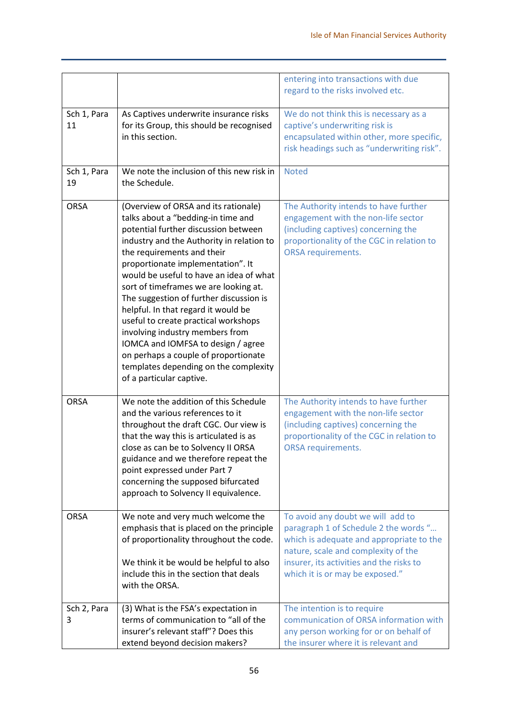|                   |                                                                                                                                                                                                                                                                                                                                                                                                                                                                                                                                                                                                                                        | entering into transactions with due<br>regard to the risks involved etc.                                                                                                                                                                     |
|-------------------|----------------------------------------------------------------------------------------------------------------------------------------------------------------------------------------------------------------------------------------------------------------------------------------------------------------------------------------------------------------------------------------------------------------------------------------------------------------------------------------------------------------------------------------------------------------------------------------------------------------------------------------|----------------------------------------------------------------------------------------------------------------------------------------------------------------------------------------------------------------------------------------------|
| Sch 1, Para<br>11 | As Captives underwrite insurance risks<br>for its Group, this should be recognised<br>in this section.                                                                                                                                                                                                                                                                                                                                                                                                                                                                                                                                 | We do not think this is necessary as a<br>captive's underwriting risk is<br>encapsulated within other, more specific,<br>risk headings such as "underwriting risk".                                                                          |
| Sch 1, Para<br>19 | We note the inclusion of this new risk in<br>the Schedule.                                                                                                                                                                                                                                                                                                                                                                                                                                                                                                                                                                             | <b>Noted</b>                                                                                                                                                                                                                                 |
| <b>ORSA</b>       | (Overview of ORSA and its rationale)<br>talks about a "bedding-in time and<br>potential further discussion between<br>industry and the Authority in relation to<br>the requirements and their<br>proportionate implementation". It<br>would be useful to have an idea of what<br>sort of timeframes we are looking at.<br>The suggestion of further discussion is<br>helpful. In that regard it would be<br>useful to create practical workshops<br>involving industry members from<br>IOMCA and IOMFSA to design / agree<br>on perhaps a couple of proportionate<br>templates depending on the complexity<br>of a particular captive. | The Authority intends to have further<br>engagement with the non-life sector<br>(including captives) concerning the<br>proportionality of the CGC in relation to<br><b>ORSA requirements.</b>                                                |
| <b>ORSA</b>       | We note the addition of this Schedule<br>and the various references to it<br>throughout the draft CGC. Our view is<br>that the way this is articulated is as<br>close as can be to Solvency II ORSA<br>guidance and we therefore repeat the<br>point expressed under Part 7<br>concerning the supposed bifurcated<br>approach to Solvency II equivalence.                                                                                                                                                                                                                                                                              | The Authority intends to have further<br>engagement with the non-life sector<br>(including captives) concerning the<br>proportionality of the CGC in relation to<br><b>ORSA requirements.</b>                                                |
| <b>ORSA</b>       | We note and very much welcome the<br>emphasis that is placed on the principle<br>of proportionality throughout the code.<br>We think it be would be helpful to also<br>include this in the section that deals<br>with the ORSA.                                                                                                                                                                                                                                                                                                                                                                                                        | To avoid any doubt we will add to<br>paragraph 1 of Schedule 2 the words "<br>which is adequate and appropriate to the<br>nature, scale and complexity of the<br>insurer, its activities and the risks to<br>which it is or may be exposed." |
| Sch 2, Para<br>3  | (3) What is the FSA's expectation in<br>terms of communication to "all of the<br>insurer's relevant staff"? Does this<br>extend beyond decision makers?                                                                                                                                                                                                                                                                                                                                                                                                                                                                                | The intention is to require<br>communication of ORSA information with<br>any person working for or on behalf of<br>the insurer where it is relevant and                                                                                      |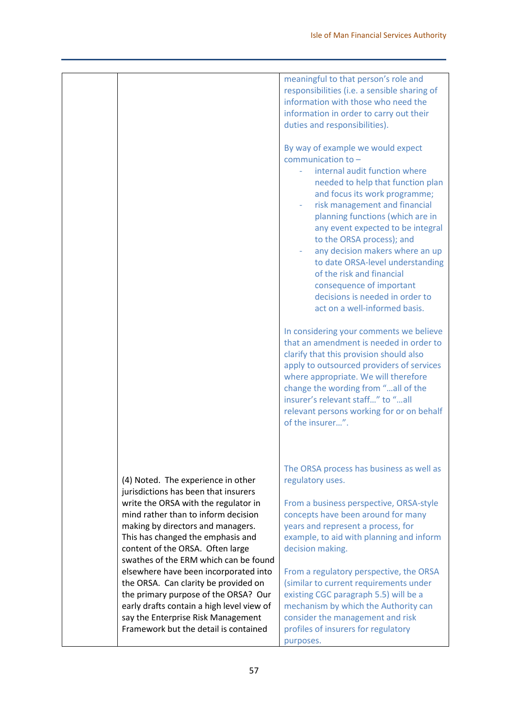|                                                                                                                                                                                                 | meaningful to that person's role and<br>responsibilities (i.e. a sensible sharing of<br>information with those who need the<br>information in order to carry out their<br>duties and responsibilities).<br>By way of example we would expect<br>communication to $-$<br>internal audit function where<br>needed to help that function plan<br>and focus its work programme;<br>risk management and financial<br>planning functions (which are in<br>any event expected to be integral<br>to the ORSA process); and<br>any decision makers where an up<br>to date ORSA-level understanding<br>of the risk and financial<br>consequence of important<br>decisions is needed in order to<br>act on a well-informed basis.<br>In considering your comments we believe<br>that an amendment is needed in order to<br>clarify that this provision should also<br>apply to outsourced providers of services<br>where appropriate. We will therefore<br>change the wording from "all of the<br>insurer's relevant staff" to "all<br>relevant persons working for or on behalf<br>of the insurer". |
|-------------------------------------------------------------------------------------------------------------------------------------------------------------------------------------------------|-------------------------------------------------------------------------------------------------------------------------------------------------------------------------------------------------------------------------------------------------------------------------------------------------------------------------------------------------------------------------------------------------------------------------------------------------------------------------------------------------------------------------------------------------------------------------------------------------------------------------------------------------------------------------------------------------------------------------------------------------------------------------------------------------------------------------------------------------------------------------------------------------------------------------------------------------------------------------------------------------------------------------------------------------------------------------------------------|
| (4) Noted. The experience in other<br>jurisdictions has been that insurers<br>write the ORSA with the regulator in<br>mind rather than to inform decision<br>making by directors and managers.  | The ORSA process has business as well as<br>regulatory uses.<br>From a business perspective, ORSA-style<br>concepts have been around for many<br>years and represent a process, for                                                                                                                                                                                                                                                                                                                                                                                                                                                                                                                                                                                                                                                                                                                                                                                                                                                                                                       |
| This has changed the emphasis and<br>content of the ORSA. Often large<br>swathes of the ERM which can be found<br>elsewhere have been incorporated into<br>the ORSA. Can clarity be provided on | example, to aid with planning and inform<br>decision making.<br>From a regulatory perspective, the ORSA<br>(similar to current requirements under                                                                                                                                                                                                                                                                                                                                                                                                                                                                                                                                                                                                                                                                                                                                                                                                                                                                                                                                         |
| the primary purpose of the ORSA? Our<br>early drafts contain a high level view of<br>say the Enterprise Risk Management<br>Framework but the detail is contained                                | existing CGC paragraph 5.5) will be a<br>mechanism by which the Authority can<br>consider the management and risk<br>profiles of insurers for regulatory<br>purposes.                                                                                                                                                                                                                                                                                                                                                                                                                                                                                                                                                                                                                                                                                                                                                                                                                                                                                                                     |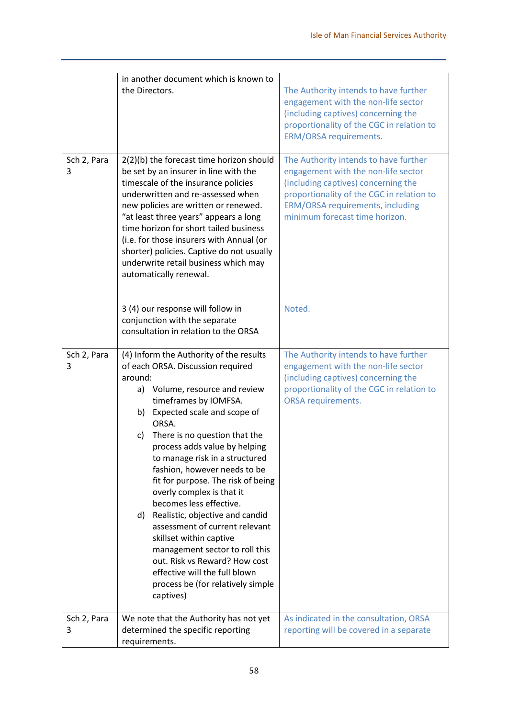|                  | in another document which is known to<br>the Directors.                                                                                                                                                                                                                                                                                                                                                                                                                                                                                                                                                                                                                                           | The Authority intends to have further<br>engagement with the non-life sector<br>(including captives) concerning the<br>proportionality of the CGC in relation to<br><b>ERM/ORSA requirements.</b>                                             |
|------------------|---------------------------------------------------------------------------------------------------------------------------------------------------------------------------------------------------------------------------------------------------------------------------------------------------------------------------------------------------------------------------------------------------------------------------------------------------------------------------------------------------------------------------------------------------------------------------------------------------------------------------------------------------------------------------------------------------|-----------------------------------------------------------------------------------------------------------------------------------------------------------------------------------------------------------------------------------------------|
| Sch 2, Para<br>3 | 2(2)(b) the forecast time horizon should<br>be set by an insurer in line with the<br>timescale of the insurance policies<br>underwritten and re-assessed when<br>new policies are written or renewed.<br>"at least three years" appears a long<br>time horizon for short tailed business<br>(i.e. for those insurers with Annual (or<br>shorter) policies. Captive do not usually<br>underwrite retail business which may<br>automatically renewal.                                                                                                                                                                                                                                               | The Authority intends to have further<br>engagement with the non-life sector<br>(including captives) concerning the<br>proportionality of the CGC in relation to<br><b>ERM/ORSA requirements, including</b><br>minimum forecast time horizon. |
|                  | 3 (4) our response will follow in<br>conjunction with the separate<br>consultation in relation to the ORSA                                                                                                                                                                                                                                                                                                                                                                                                                                                                                                                                                                                        | Noted.                                                                                                                                                                                                                                        |
| Sch 2, Para<br>3 | (4) Inform the Authority of the results<br>of each ORSA. Discussion required<br>around:<br>Volume, resource and review<br>a)<br>timeframes by IOMFSA.<br>b) Expected scale and scope of<br>ORSA.<br>There is no question that the<br>c)<br>process adds value by helping<br>to manage risk in a structured<br>fashion, however needs to be<br>fit for purpose. The risk of being<br>overly complex is that it<br>becomes less effective.<br>d) Realistic, objective and candid<br>assessment of current relevant<br>skillset within captive<br>management sector to roll this<br>out. Risk vs Reward? How cost<br>effective will the full blown<br>process be (for relatively simple<br>captives) | The Authority intends to have further<br>engagement with the non-life sector<br>(including captives) concerning the<br>proportionality of the CGC in relation to<br><b>ORSA requirements.</b>                                                 |
| Sch 2, Para<br>3 | We note that the Authority has not yet<br>determined the specific reporting<br>requirements.                                                                                                                                                                                                                                                                                                                                                                                                                                                                                                                                                                                                      | As indicated in the consultation, ORSA<br>reporting will be covered in a separate                                                                                                                                                             |